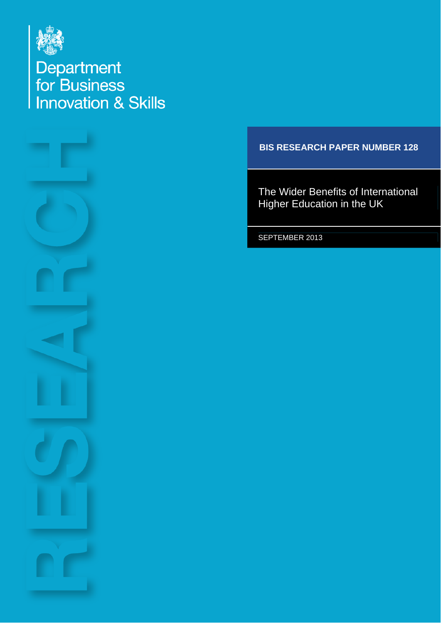

Department<br>for Business<br>Innovation & Skills



### **BIS RESEARCH PAPER NUMBER 128**

The Wider Benefits of International Higher Education in the UK

SEPTEMBER 2013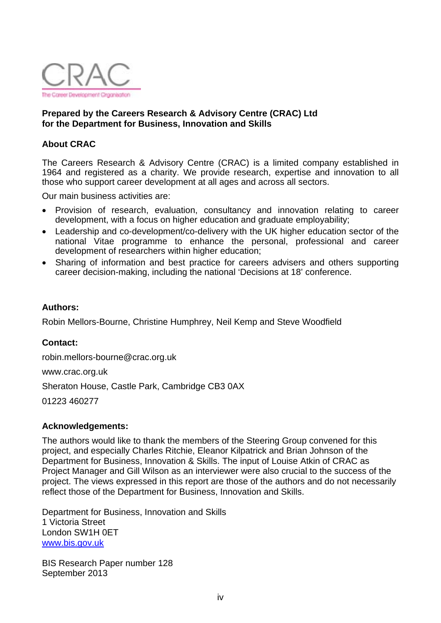

#### **Prepared by the Careers Research & Advisory Centre (CRAC) Ltd for the Department for Business, Innovation and Skills**

#### **About CRAC**

The Careers Research & Advisory Centre (CRAC) is a limited company established in 1964 and registered as a charity. We provide research, expertise and innovation to all those who support career development at all ages and across all sectors.

Our main business activities are:

- Provision of research, evaluation, consultancy and innovation relating to career development, with a focus on higher education and graduate employability;
- Leadership and co-development/co-delivery with the UK higher education sector of the national Vitae programme to enhance the personal, professional and career development of researchers within higher education;
- Sharing of information and best practice for careers advisers and others supporting career decision-making, including the national 'Decisions at 18' conference.

#### **Authors:**

Robin Mellors-Bourne, Christine Humphrey, Neil Kemp and Steve Woodfield

#### **Contact:**

[robin.mellors-bourne@crac.org.uk](mailto:robin.mellors-bourne@crac.org.uk) 

[www.crac.org.uk](http://www.crac.org.uk/) 

Sheraton House, Castle Park, Cambridge CB3 0AX

01223 460277

#### **Acknowledgements:**

The authors would like to thank the members of the Steering Group convened for this project, and especially Charles Ritchie, Eleanor Kilpatrick and Brian Johnson of the Department for Business, Innovation & Skills. The input of Louise Atkin of CRAC as Project Manager and Gill Wilson as an interviewer were also crucial to the success of the project. The views expressed in this report are those of the authors and do not necessarily reflect those of the Department for Business, Innovation and Skills.

Department for Business, Innovation and Skills 1 Victoria Street London SW1H 0ET [www.bis.gov.uk](http://www.bis.gov.uk/)

BIS Research Paper number 128 September 2013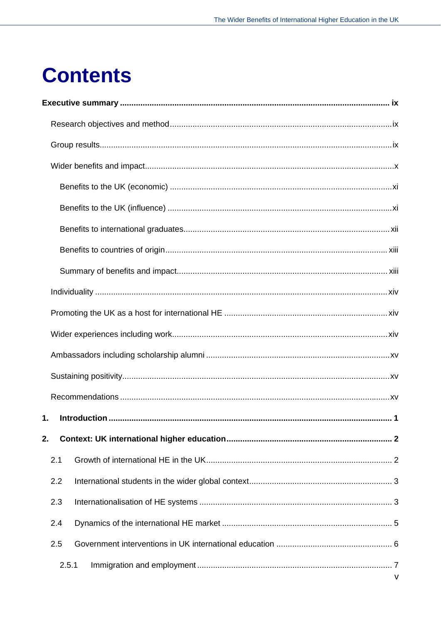## **Contents**

| 1.  |              |  |  |  |  |  |  |
|-----|--------------|--|--|--|--|--|--|
| 2.  |              |  |  |  |  |  |  |
| 2.1 |              |  |  |  |  |  |  |
| 2.2 |              |  |  |  |  |  |  |
| 2.3 |              |  |  |  |  |  |  |
| 2.4 |              |  |  |  |  |  |  |
| 2.5 |              |  |  |  |  |  |  |
|     | 2.5.1        |  |  |  |  |  |  |
|     | $\mathsf{V}$ |  |  |  |  |  |  |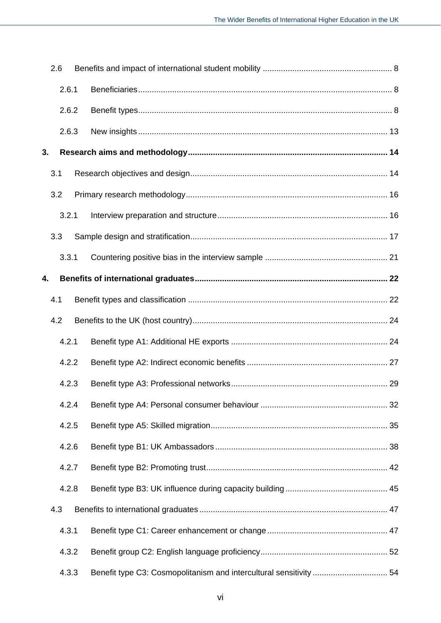|       | 2.6 |       |  |
|-------|-----|-------|--|
|       |     | 2.6.1 |  |
| 2.6.2 |     |       |  |
|       |     | 2.6.3 |  |
| 3.    |     |       |  |
|       | 3.1 |       |  |
|       | 3.2 |       |  |
|       |     | 3.2.1 |  |
|       | 3.3 |       |  |
|       |     | 3.3.1 |  |
| 4.    |     |       |  |
|       | 4.1 |       |  |
|       | 4.2 |       |  |
|       |     | 4.2.1 |  |
|       |     | 4.2.2 |  |
|       |     | 4.2.3 |  |
|       |     | 4.2.4 |  |
|       |     | 4.2.5 |  |
|       |     | 4.2.6 |  |
|       |     | 4.2.7 |  |
|       |     | 4.2.8 |  |
|       | 4.3 |       |  |
|       |     | 4.3.1 |  |
|       |     | 4.3.2 |  |
|       |     | 4.3.3 |  |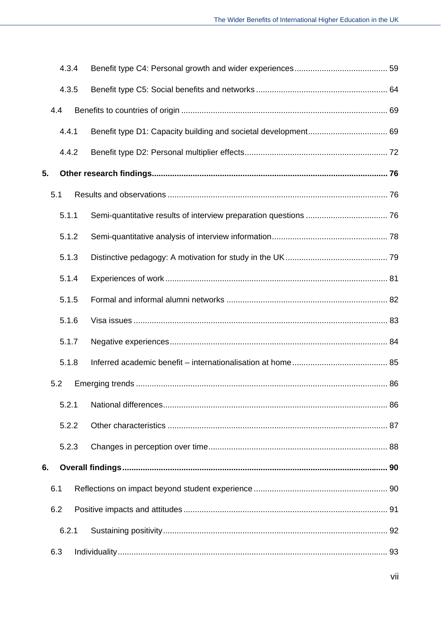|    | 4.3.4 |  |  |
|----|-------|--|--|
|    | 4.3.5 |  |  |
|    | 4.4   |  |  |
|    | 4.4.1 |  |  |
|    | 4.4.2 |  |  |
| 5. |       |  |  |
|    | 5.1   |  |  |
|    | 5.1.1 |  |  |
|    | 5.1.2 |  |  |
|    | 5.1.3 |  |  |
|    | 5.1.4 |  |  |
|    | 5.1.5 |  |  |
|    | 5.1.6 |  |  |
|    | 5.1.7 |  |  |
|    | 5.1.8 |  |  |
|    | 5.2   |  |  |
|    | 5.2.1 |  |  |
|    | 5.2.2 |  |  |
|    | 5.2.3 |  |  |
| 6. |       |  |  |
|    | 6.1   |  |  |
|    | 6.2   |  |  |
|    | 6.2.1 |  |  |
|    | 6.3   |  |  |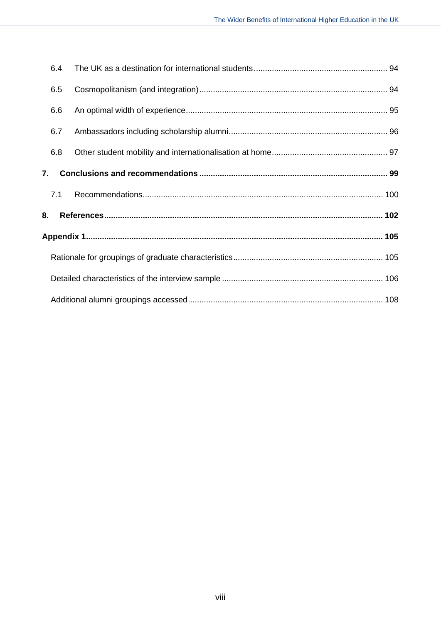|    | 6.4 |  |
|----|-----|--|
|    | 6.5 |  |
|    | 6.6 |  |
|    | 6.7 |  |
|    | 6.8 |  |
|    | 7.  |  |
|    | 7.1 |  |
| 8. |     |  |
|    |     |  |
|    |     |  |
|    |     |  |
|    |     |  |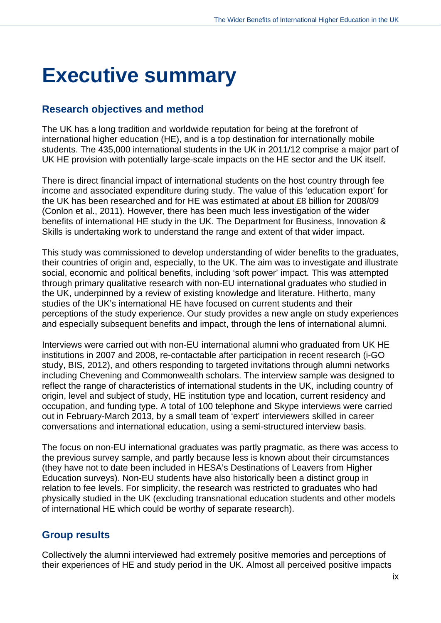## <span id="page-6-0"></span>**Executive summary**

## <span id="page-6-1"></span>**Research objectives and method**

The UK has a long tradition and worldwide reputation for being at the forefront of international higher education (HE), and is a top destination for internationally mobile students. The 435,000 international students in the UK in 2011/12 comprise a major part of UK HE provision with potentially large-scale impacts on the HE sector and the UK itself.

There is direct financial impact of international students on the host country through fee income and associated expenditure during study. The value of this 'education export' for the UK has been researched and for HE was estimated at about £8 billion for 2008/09 (Conlon et al., 2011). However, there has been much less investigation of the wider benefits of international HE study in the UK. The Department for Business, Innovation & Skills is undertaking work to understand the range and extent of that wider impact.

This study was commissioned to develop understanding of wider benefits to the graduates, their countries of origin and, especially, to the UK. The aim was to investigate and illustrate social, economic and political benefits, including 'soft power' impact. This was attempted through primary qualitative research with non-EU international graduates who studied in the UK, underpinned by a review of existing knowledge and literature. Hitherto, many studies of the UK's international HE have focused on current students and their perceptions of the study experience. Our study provides a new angle on study experiences and especially subsequent benefits and impact, through the lens of international alumni.

Interviews were carried out with non-EU international alumni who graduated from UK HE institutions in 2007 and 2008, re-contactable after participation in recent research (i-GO study, BIS, 2012), and others responding to targeted invitations through alumni networks including Chevening and Commonwealth scholars. The interview sample was designed to reflect the range of characteristics of international students in the UK, including country of origin, level and subject of study, HE institution type and location, current residency and occupation, and funding type. A total of 100 telephone and Skype interviews were carried out in February-March 2013, by a small team of 'expert' interviewers skilled in career conversations and international education, using a semi-structured interview basis.

The focus on non-EU international graduates was partly pragmatic, as there was access to the previous survey sample, and partly because less is known about their circumstances (they have not to date been included in HESA's Destinations of Leavers from Higher Education surveys). Non-EU students have also historically been a distinct group in relation to fee levels. For simplicity, the research was restricted to graduates who had physically studied in the UK (excluding transnational education students and other models of international HE which could be worthy of separate research).

## <span id="page-6-2"></span>**Group results**

<span id="page-6-3"></span>Collectively the alumni interviewed had extremely positive memories and perceptions of their experiences of HE and study period in the UK. Almost all perceived positive impacts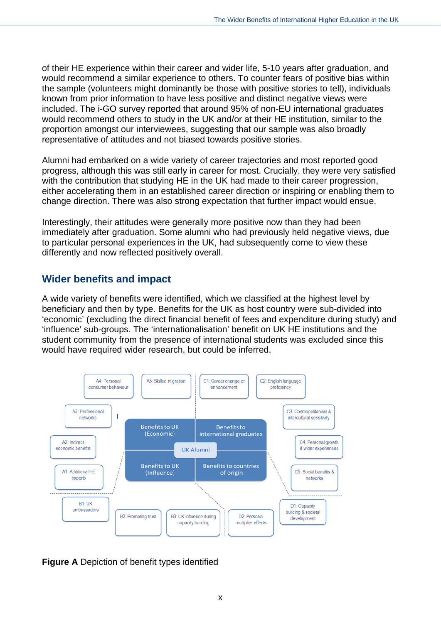of their HE experience within their career and wider life, 5-10 years after graduation, and would recommend a similar experience to others. To counter fears of positive bias within the sample (volunteers might dominantly be those with positive stories to tell), individuals known from prior information to have less positive and distinct negative views were included. The i-GO survey reported that around 95% of non-EU international graduates would recommend others to study in the UK and/or at their HE institution, similar to the proportion amongst our interviewees, suggesting that our sample was also broadly representative of attitudes and not biased towards positive stories.

Alumni had embarked on a wide variety of career trajectories and most reported good progress, although this was still early in career for most. Crucially, they were very satisfied with the contribution that studying HE in the UK had made to their career progression, either accelerating them in an established career direction or inspiring or enabling them to change direction. There was also strong expectation that further impact would ensue.

Interestingly, their attitudes were generally more positive now than they had been immediately after graduation. Some alumni who had previously held negative views, due to particular personal experiences in the UK, had subsequently come to view these differently and now reflected positively overall.

## <span id="page-7-0"></span>**Wider benefits and impact**

A wide variety of benefits were identified, which we classified at the highest level by beneficiary and then by type. Benefits for the UK as host country were sub-divided into 'economic' (excluding the direct financial benefit of fees and expenditure during study) and 'influence' sub-groups. The 'internationalisation' benefit on UK HE institutions and the student community from the presence of international students was excluded since this would have required wider research, but could be inferred.



**Figure A** Depiction of benefit types identified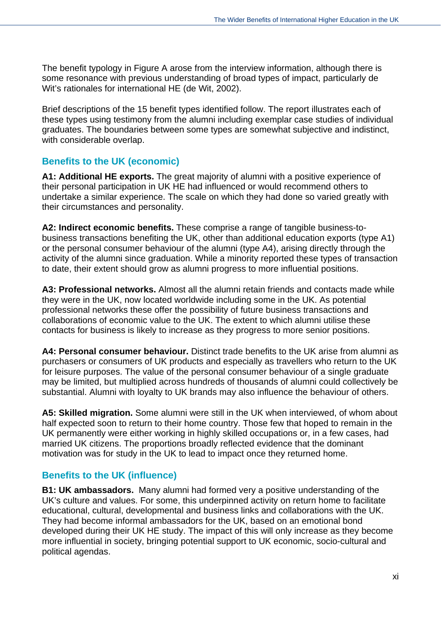The benefit typology in Figure A arose from the interview information, although there is some resonance with previous understanding of broad types of impact, particularly de Wit's rationales for international HE (de Wit, 2002).

Brief descriptions of the 15 benefit types identified follow. The report illustrates each of these types using testimony from the alumni including exemplar case studies of individual graduates. The boundaries between some types are somewhat subjective and indistinct, with considerable overlap.

#### <span id="page-8-0"></span>**Benefits to the UK (economic)**

**A1: Additional HE exports.** The great majority of alumni with a positive experience of their personal participation in UK HE had influenced or would recommend others to undertake a similar experience. The scale on which they had done so varied greatly with their circumstances and personality.

**A2: Indirect economic benefits.** These comprise a range of tangible business-tobusiness transactions benefiting the UK, other than additional education exports (type A1) or the personal consumer behaviour of the alumni (type A4), arising directly through the activity of the alumni since graduation. While a minority reported these types of transaction to date, their extent should grow as alumni progress to more influential positions.

**A3: Professional networks.** Almost all the alumni retain friends and contacts made while they were in the UK, now located worldwide including some in the UK. As potential professional networks these offer the possibility of future business transactions and collaborations of economic value to the UK. The extent to which alumni utilise these contacts for business is likely to increase as they progress to more senior positions.

**A4: Personal consumer behaviour.** Distinct trade benefits to the UK arise from alumni as purchasers or consumers of UK products and especially as travellers who return to the UK for leisure purposes. The value of the personal consumer behaviour of a single graduate may be limited, but multiplied across hundreds of thousands of alumni could collectively be substantial. Alumni with loyalty to UK brands may also influence the behaviour of others.

**A5: Skilled migration.** Some alumni were still in the UK when interviewed, of whom about half expected soon to return to their home country. Those few that hoped to remain in the UK permanently were either working in highly skilled occupations or, in a few cases, had married UK citizens. The proportions broadly reflected evidence that the dominant motivation was for study in the UK to lead to impact once they returned home.

### <span id="page-8-1"></span>**Benefits to the UK (influence)**

**B1: UK ambassadors.** Many alumni had formed very a positive understanding of the UK's culture and values. For some, this underpinned activity on return home to facilitate educational, cultural, developmental and business links and collaborations with the UK. They had become informal ambassadors for the UK, based on an emotional bond developed during their UK HE study. The impact of this will only increase as they become more influential in society, bringing potential support to UK economic, socio-cultural and political agendas.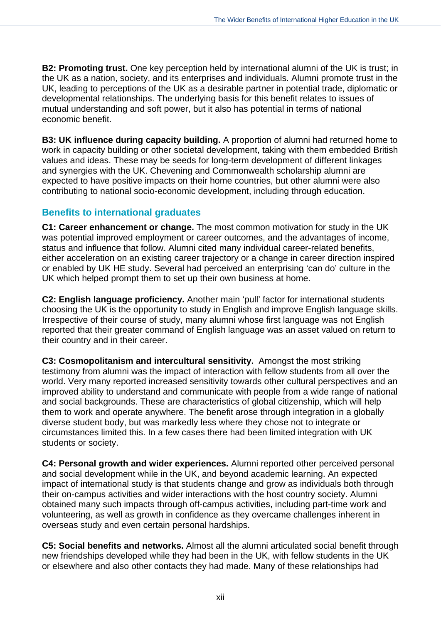**B2: Promoting trust.** One key perception held by international alumni of the UK is trust; in the UK as a nation, society, and its enterprises and individuals. Alumni promote trust in the UK, leading to perceptions of the UK as a desirable partner in potential trade, diplomatic or developmental relationships. The underlying basis for this benefit relates to issues of mutual understanding and soft power, but it also has potential in terms of national economic benefit.

**B3: UK influence during capacity building.** A proportion of alumni had returned home to work in capacity building or other societal development, taking with them embedded British values and ideas. These may be seeds for long-term development of different linkages and synergies with the UK. Chevening and Commonwealth scholarship alumni are expected to have positive impacts on their home countries, but other alumni were also contributing to national socio-economic development, including through education.

#### <span id="page-9-0"></span>**Benefits to international graduates**

**C1: Career enhancement or change.** The most common motivation for study in the UK was potential improved employment or career outcomes, and the advantages of income, status and influence that follow. Alumni cited many individual career-related benefits, either acceleration on an existing career trajectory or a change in career direction inspired or enabled by UK HE study. Several had perceived an enterprising 'can do' culture in the UK which helped prompt them to set up their own business at home.

**C2: English language proficiency.** Another main 'pull' factor for international students choosing the UK is the opportunity to study in English and improve English language skills. Irrespective of their course of study, many alumni whose first language was not English reported that their greater command of English language was an asset valued on return to their country and in their career.

**C3: Cosmopolitanism and intercultural sensitivity.** Amongst the most striking testimony from alumni was the impact of interaction with fellow students from all over the world. Very many reported increased sensitivity towards other cultural perspectives and an improved ability to understand and communicate with people from a wide range of national and social backgrounds. These are characteristics of global citizenship, which will help them to work and operate anywhere. The benefit arose through integration in a globally diverse student body, but was markedly less where they chose not to integrate or circumstances limited this. In a few cases there had been limited integration with UK students or society.

**C4: Personal growth and wider experiences.** Alumni reported other perceived personal and social development while in the UK, and beyond academic learning. An expected impact of international study is that students change and grow as individuals both through their on-campus activities and wider interactions with the host country society. Alumni obtained many such impacts through off-campus activities, including part-time work and volunteering, as well as growth in confidence as they overcame challenges inherent in overseas study and even certain personal hardships.

**C5: Social benefits and networks.** Almost all the alumni articulated social benefit through new friendships developed while they had been in the UK, with fellow students in the UK or elsewhere and also other contacts they had made. Many of these relationships had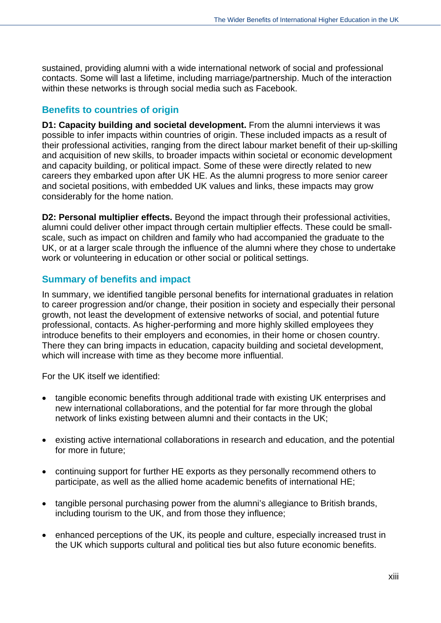sustained, providing alumni with a wide international network of social and professional contacts. Some will last a lifetime, including marriage/partnership. Much of the interaction within these networks is through social media such as Facebook.

#### <span id="page-10-0"></span>**Benefits to countries of origin**

**D1: Capacity building and societal development.** From the alumni interviews it was possible to infer impacts within countries of origin. These included impacts as a result of their professional activities, ranging from the direct labour market benefit of their up-skilling and acquisition of new skills, to broader impacts within societal or economic development and capacity building, or political impact. Some of these were directly related to new careers they embarked upon after UK HE. As the alumni progress to more senior career and societal positions, with embedded UK values and links, these impacts may grow considerably for the home nation.

**D2: Personal multiplier effects.** Beyond the impact through their professional activities, alumni could deliver other impact through certain multiplier effects. These could be smallscale, such as impact on children and family who had accompanied the graduate to the UK, or at a larger scale through the influence of the alumni where they chose to undertake work or volunteering in education or other social or political settings.

#### <span id="page-10-1"></span>**Summary of benefits and impact**

In summary, we identified tangible personal benefits for international graduates in relation to career progression and/or change, their position in society and especially their personal growth, not least the development of extensive networks of social, and potential future professional, contacts. As higher-performing and more highly skilled employees they introduce benefits to their employers and economies, in their home or chosen country. There they can bring impacts in education, capacity building and societal development, which will increase with time as they become more influential.

For the UK itself we identified:

- tangible economic benefits through additional trade with existing UK enterprises and new international collaborations, and the potential for far more through the global network of links existing between alumni and their contacts in the UK;
- existing active international collaborations in research and education, and the potential for more in future;
- continuing support for further HE exports as they personally recommend others to participate, as well as the allied home academic benefits of international HE;
- tangible personal purchasing power from the alumni's allegiance to British brands, including tourism to the UK, and from those they influence;
- enhanced perceptions of the UK, its people and culture, especially increased trust in the UK which supports cultural and political ties but also future economic benefits.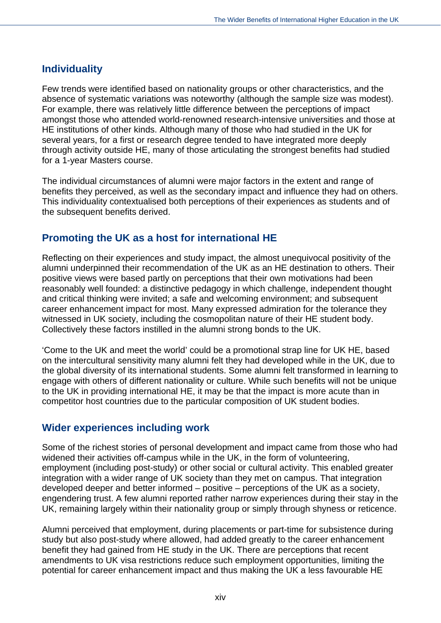### <span id="page-11-0"></span>**Individuality**

Few trends were identified based on nationality groups or other characteristics, and the absence of systematic variations was noteworthy (although the sample size was modest). For example, there was relatively little difference between the perceptions of impact amongst those who attended world-renowned research-intensive universities and those at HE institutions of other kinds. Although many of those who had studied in the UK for several years, for a first or research degree tended to have integrated more deeply through activity outside HE, many of those articulating the strongest benefits had studied for a 1-year Masters course.

The individual circumstances of alumni were major factors in the extent and range of benefits they perceived, as well as the secondary impact and influence they had on others. This individuality contextualised both perceptions of their experiences as students and of the subsequent benefits derived.

## <span id="page-11-1"></span>**Promoting the UK as a host for international HE**

Reflecting on their experiences and study impact, the almost unequivocal positivity of the alumni underpinned their recommendation of the UK as an HE destination to others. Their positive views were based partly on perceptions that their own motivations had been reasonably well founded: a distinctive pedagogy in which challenge, independent thought and critical thinking were invited; a safe and welcoming environment; and subsequent career enhancement impact for most. Many expressed admiration for the tolerance they witnessed in UK society, including the cosmopolitan nature of their HE student body. Collectively these factors instilled in the alumni strong bonds to the UK.

'Come to the UK and meet the world' could be a promotional strap line for UK HE, based on the intercultural sensitivity many alumni felt they had developed while in the UK, due to the global diversity of its international students. Some alumni felt transformed in learning to engage with others of different nationality or culture. While such benefits will not be unique to the UK in providing international HE, it may be that the impact is more acute than in competitor host countries due to the particular composition of UK student bodies.

### <span id="page-11-2"></span>**Wider experiences including work**

Some of the richest stories of personal development and impact came from those who had widened their activities off-campus while in the UK, in the form of volunteering, employment (including post-study) or other social or cultural activity. This enabled greater integration with a wider range of UK society than they met on campus. That integration developed deeper and better informed – positive – perceptions of the UK as a society, engendering trust. A few alumni reported rather narrow experiences during their stay in the UK, remaining largely within their nationality group or simply through shyness or reticence.

Alumni perceived that employment, during placements or part-time for subsistence during study but also post-study where allowed, had added greatly to the career enhancement benefit they had gained from HE study in the UK. There are perceptions that recent amendments to UK visa restrictions reduce such employment opportunities, limiting the potential for career enhancement impact and thus making the UK a less favourable HE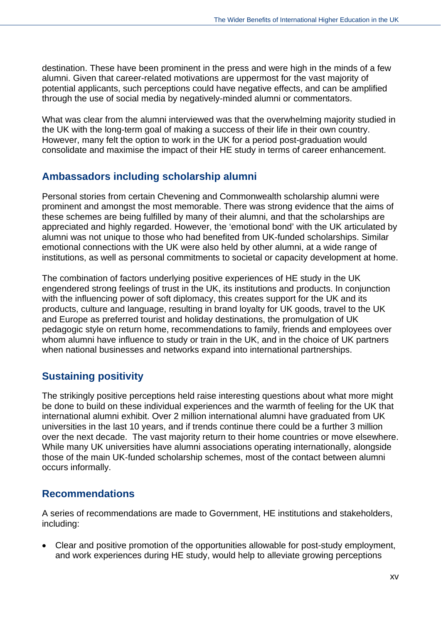destination. These have been prominent in the press and were high in the minds of a few alumni. Given that career-related motivations are uppermost for the vast majority of potential applicants, such perceptions could have negative effects, and can be amplified through the use of social media by negatively-minded alumni or commentators.

What was clear from the alumni interviewed was that the overwhelming majority studied in the UK with the long-term goal of making a success of their life in their own country. However, many felt the option to work in the UK for a period post-graduation would consolidate and maximise the impact of their HE study in terms of career enhancement.

## <span id="page-12-0"></span>**Ambassadors including scholarship alumni**

Personal stories from certain Chevening and Commonwealth scholarship alumni were prominent and amongst the most memorable. There was strong evidence that the aims of these schemes are being fulfilled by many of their alumni, and that the scholarships are appreciated and highly regarded. However, the 'emotional bond' with the UK articulated by alumni was not unique to those who had benefited from UK-funded scholarships. Similar emotional connections with the UK were also held by other alumni, at a wide range of institutions, as well as personal commitments to societal or capacity development at home.

The combination of factors underlying positive experiences of HE study in the UK engendered strong feelings of trust in the UK, its institutions and products. In conjunction with the influencing power of soft diplomacy, this creates support for the UK and its products, culture and language, resulting in brand loyalty for UK goods, travel to the UK and Europe as preferred tourist and holiday destinations, the promulgation of UK pedagogic style on return home, recommendations to family, friends and employees over whom alumni have influence to study or train in the UK, and in the choice of UK partners when national businesses and networks expand into international partnerships.

## <span id="page-12-1"></span>**Sustaining positivity**

The strikingly positive perceptions held raise interesting questions about what more might be done to build on these individual experiences and the warmth of feeling for the UK that international alumni exhibit. Over 2 million international alumni have graduated from UK universities in the last 10 years, and if trends continue there could be a further 3 million over the next decade. The vast majority return to their home countries or move elsewhere. While many UK universities have alumni associations operating internationally, alongside those of the main UK-funded scholarship schemes, most of the contact between alumni occurs informally.

## <span id="page-12-2"></span>**Recommendations**

A series of recommendations are made to Government, HE institutions and stakeholders, including:

 Clear and positive promotion of the opportunities allowable for post-study employment, and work experiences during HE study, would help to alleviate growing perceptions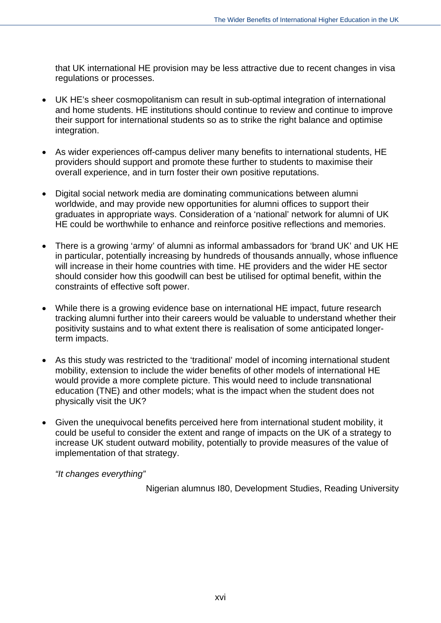that UK international HE provision may be less attractive due to recent changes in visa regulations or processes.

- UK HE's sheer cosmopolitanism can result in sub-optimal integration of international and home students. HE institutions should continue to review and continue to improve their support for international students so as to strike the right balance and optimise integration.
- As wider experiences off-campus deliver many benefits to international students, HE providers should support and promote these further to students to maximise their overall experience, and in turn foster their own positive reputations.
- Digital social network media are dominating communications between alumni worldwide, and may provide new opportunities for alumni offices to support their graduates in appropriate ways. Consideration of a 'national' network for alumni of UK HE could be worthwhile to enhance and reinforce positive reflections and memories.
- There is a growing 'army' of alumni as informal ambassadors for 'brand UK' and UK HE in particular, potentially increasing by hundreds of thousands annually, whose influence will increase in their home countries with time. HE providers and the wider HE sector should consider how this goodwill can best be utilised for optimal benefit, within the constraints of effective soft power.
- While there is a growing evidence base on international HE impact, future research tracking alumni further into their careers would be valuable to understand whether their positivity sustains and to what extent there is realisation of some anticipated longerterm impacts.
- As this study was restricted to the 'traditional' model of incoming international student mobility, extension to include the wider benefits of other models of international HE would provide a more complete picture. This would need to include transnational education (TNE) and other models; what is the impact when the student does not physically visit the UK?
- Given the unequivocal benefits perceived here from international student mobility, it could be useful to consider the extent and range of impacts on the UK of a strategy to increase UK student outward mobility, potentially to provide measures of the value of implementation of that strategy.

*"It changes everything"* 

Nigerian alumnus I80, Development Studies, Reading University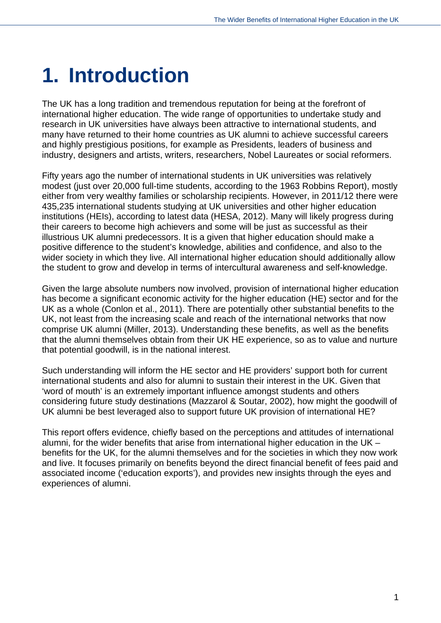# <span id="page-14-0"></span>**1. Introduction**

The UK has a long tradition and tremendous reputation for being at the forefront of international higher education. The wide range of opportunities to undertake study and research in UK universities have always been attractive to international students, and many have returned to their home countries as UK alumni to achieve successful careers and highly prestigious positions, for example as Presidents, leaders of business and industry, designers and artists, writers, researchers, Nobel Laureates or social reformers.

Fifty years ago the number of international students in UK universities was relatively modest (just over 20,000 full-time students, according to the 1963 Robbins Report), mostly either from very wealthy families or scholarship recipients. However, in 2011/12 there were 435,235 international students studying at UK universities and other higher education institutions (HEIs), according to latest data (HESA, 2012). Many will likely progress during their careers to become high achievers and some will be just as successful as their illustrious UK alumni predecessors. It is a given that higher education should make a positive difference to the student's knowledge, abilities and confidence, and also to the wider society in which they live. All international higher education should additionally allow the student to grow and develop in terms of intercultural awareness and self-knowledge.

Given the large absolute numbers now involved, provision of international higher education has become a significant economic activity for the higher education (HE) sector and for the UK as a whole (Conlon et al., 2011). There are potentially other substantial benefits to the UK, not least from the increasing scale and reach of the international networks that now comprise UK alumni (Miller, 2013). Understanding these benefits, as well as the benefits that the alumni themselves obtain from their UK HE experience, so as to value and nurture that potential goodwill, is in the national interest.

Such understanding will inform the HE sector and HE providers' support both for current international students and also for alumni to sustain their interest in the UK. Given that 'word of mouth' is an extremely important influence amongst students and others considering future study destinations (Mazzarol & Soutar, 2002), how might the goodwill of UK alumni be best leveraged also to support future UK provision of international HE?

This report offers evidence, chiefly based on the perceptions and attitudes of international alumni, for the wider benefits that arise from international higher education in the UK – benefits for the UK, for the alumni themselves and for the societies in which they now work and live. It focuses primarily on benefits beyond the direct financial benefit of fees paid and associated income ('education exports'), and provides new insights through the eyes and experiences of alumni.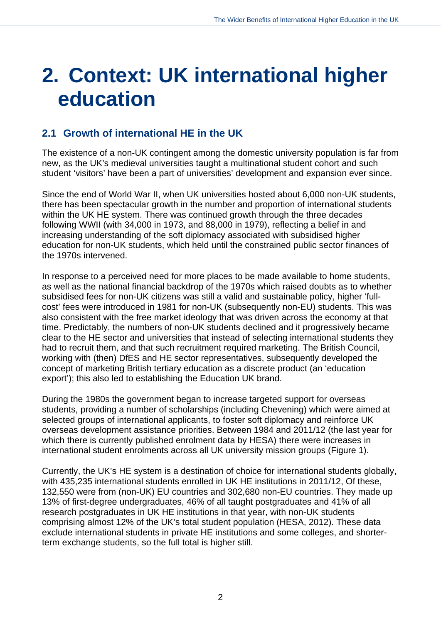# <span id="page-15-0"></span>**2. Context: UK international higher education**

## <span id="page-15-1"></span>**2.1 Growth of international HE in the UK**

The existence of a non-UK contingent among the domestic university population is far from new, as the UK's medieval universities taught a multinational student cohort and such student 'visitors' have been a part of universities' development and expansion ever since.

Since the end of World War II, when UK universities hosted about 6,000 non-UK students, there has been spectacular growth in the number and proportion of international students within the UK HE system. There was continued growth through the three decades following WWII (with 34,000 in 1973, and 88,000 in 1979), reflecting a belief in and increasing understanding of the soft diplomacy associated with subsidised higher education for non-UK students, which held until the constrained public sector finances of the 1970s intervened.

In response to a perceived need for more places to be made available to home students, as well as the national financial backdrop of the 1970s which raised doubts as to whether subsidised fees for non-UK citizens was still a valid and sustainable policy, higher 'fullcost' fees were introduced in 1981 for non-UK (subsequently non-EU) students. This was also consistent with the free market ideology that was driven across the economy at that time. Predictably, the numbers of non-UK students declined and it progressively became clear to the HE sector and universities that instead of selecting international students they had to recruit them, and that such recruitment required marketing. The British Council, working with (then) DfES and HE sector representatives, subsequently developed the concept of marketing British tertiary education as a discrete product (an 'education export'); this also led to establishing the Education UK brand.

During the 1980s the government began to increase targeted support for overseas students, providing a number of scholarships (including Chevening) which were aimed at selected groups of international applicants, to foster soft diplomacy and reinforce UK overseas development assistance priorities. Between 1984 and 2011/12 (the last year for which there is currently published enrolment data by HESA) there were increases in international student enrolments across all UK university mission groups (Figure 1).

Currently, the UK's HE system is a destination of choice for international students globally, with 435,235 international students enrolled in UK HE institutions in 2011/12, Of these, 132,550 were from (non-UK) EU countries and 302,680 non-EU countries. They made up 13% of first-degree undergraduates, 46% of all taught postgraduates and 41% of all research postgraduates in UK HE institutions in that year, with non-UK students comprising almost 12% of the UK's total student population (HESA, 2012). These data exclude international students in private HE institutions and some colleges, and shorterterm exchange students, so the full total is higher still.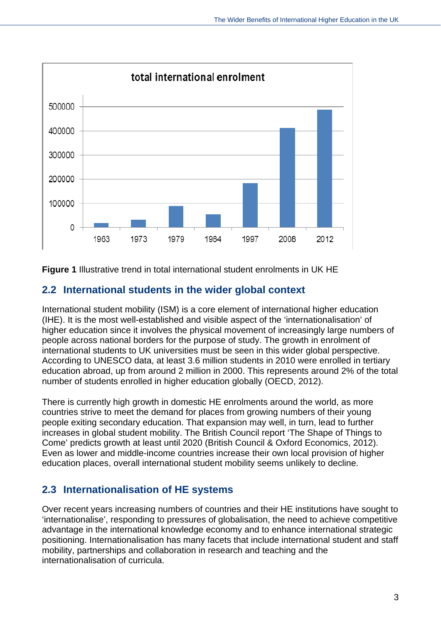

**Figure 1** Illustrative trend in total international student enrolments in UK HE

## <span id="page-16-0"></span>**2.2 International students in the wider global context**

International student mobility (ISM) is a core element of international higher education (IHE). It is the most well-established and visible aspect of the 'internationalisation' of higher education since it involves the physical movement of increasingly large numbers of people across national borders for the purpose of study. The growth in enrolment of international students to UK universities must be seen in this wider global perspective. According to UNESCO data, at least 3.6 million students in 2010 were enrolled in tertiary education abroad, up from around 2 million in 2000. This represents around 2% of the total number of students enrolled in higher education globally (OECD, 2012).

There is currently high growth in domestic HE enrolments around the world, as more countries strive to meet the demand for places from growing numbers of their young people exiting secondary education. That expansion may well, in turn, lead to further increases in global student mobility. The British Council report 'The Shape of Things to Come' predicts growth at least until 2020 (British Council & Oxford Economics, 2012). Even as lower and middle-income countries increase their own local provision of higher education places, overall international student mobility seems unlikely to decline.

## <span id="page-16-1"></span>**2.3 Internationalisation of HE systems**

Over recent years increasing numbers of countries and their HE institutions have sought to 'internationalise', responding to pressures of globalisation, the need to achieve competitive advantage in the international knowledge economy and to enhance international strategic positioning. Internationalisation has many facets that include international student and staff mobility, partnerships and collaboration in research and teaching and the internationalisation of curricula.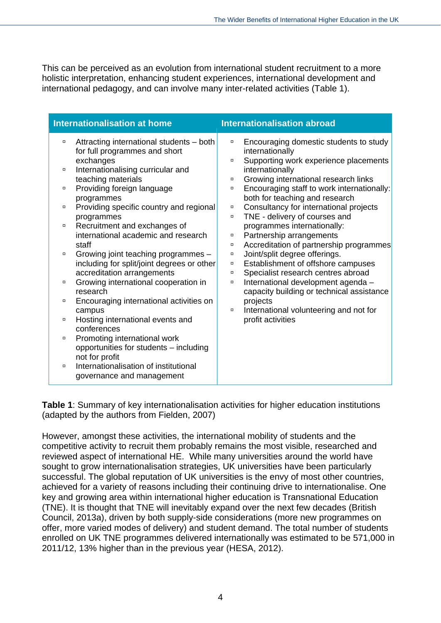This can be perceived as an evolution from international student recruitment to a more holistic interpretation, enhancing student experiences, international development and international pedagogy, and can involve many inter-related activities (Table 1).

| <b>Internationalisation at home</b> |                                                                                   |                  | <b>Internationalisation abroad</b>                                  |  |  |  |
|-------------------------------------|-----------------------------------------------------------------------------------|------------------|---------------------------------------------------------------------|--|--|--|
| $\Box$                              | Attracting international students - both                                          | $\Box$           | Encouraging domestic students to study                              |  |  |  |
|                                     | for full programmes and short<br>exchanges                                        | $\Box$           | internationally                                                     |  |  |  |
| $\Box$                              | Internationalising curricular and                                                 |                  | Supporting work experience placements<br>internationally            |  |  |  |
|                                     | teaching materials                                                                | $\Box$           | Growing international research links                                |  |  |  |
| α                                   | Providing foreign language                                                        | $\Box$           | Encouraging staff to work internationally:                          |  |  |  |
|                                     | programmes                                                                        |                  | both for teaching and research                                      |  |  |  |
| $\Box$                              | Providing specific country and regional                                           | $\Box$           | Consultancy for international projects                              |  |  |  |
|                                     | programmes                                                                        | $\Box$           | TNE - delivery of courses and                                       |  |  |  |
| $\Box$                              | Recruitment and exchanges of                                                      |                  | programmes internationally:                                         |  |  |  |
|                                     | international academic and research                                               | α                | Partnership arrangements                                            |  |  |  |
| $\Box$                              | staff                                                                             | $\Box$           | Accreditation of partnership programmes                             |  |  |  |
|                                     | Growing joint teaching programmes -<br>including for split/joint degrees or other | $\Box$<br>$\Box$ | Joint/split degree offerings.<br>Establishment of offshore campuses |  |  |  |
|                                     | accreditation arrangements                                                        | α                | Specialist research centres abroad                                  |  |  |  |
| $\Box$                              | Growing international cooperation in                                              | $\Box$           | International development agenda -                                  |  |  |  |
|                                     | research                                                                          |                  | capacity building or technical assistance                           |  |  |  |
| $\Box$                              | Encouraging international activities on                                           |                  | projects                                                            |  |  |  |
|                                     | campus                                                                            | $\Box$           | International volunteering and not for                              |  |  |  |
| $\Box$                              | Hosting international events and                                                  |                  | profit activities                                                   |  |  |  |
|                                     | conferences                                                                       |                  |                                                                     |  |  |  |
| $\Box$                              | Promoting international work                                                      |                  |                                                                     |  |  |  |
|                                     | opportunities for students - including                                            |                  |                                                                     |  |  |  |
|                                     | not for profit                                                                    |                  |                                                                     |  |  |  |
| $\Box$                              | Internationalisation of institutional                                             |                  |                                                                     |  |  |  |
|                                     | governance and management                                                         |                  |                                                                     |  |  |  |

**Table 1**: Summary of key internationalisation activities for higher education institutions (adapted by the authors from Fielden, 2007)

However, amongst these activities, the international mobility of students and the competitive activity to recruit them probably remains the most visible, researched and reviewed aspect of international HE. While many universities around the world have sought to grow internationalisation strategies, UK universities have been particularly successful. The global reputation of UK universities is the envy of most other countries, achieved for a variety of reasons including their continuing drive to internationalise. One key and growing area within international higher education is Transnational Education (TNE). It is thought that TNE will inevitably expand over the next few decades (British Council, 2013a), driven by both supply-side considerations (more new programmes on offer, more varied modes of delivery) and student demand. The total number of students enrolled on UK TNE programmes delivered internationally was estimated to be 571,000 in 2011/12, 13% higher than in the previous year (HESA, 2012).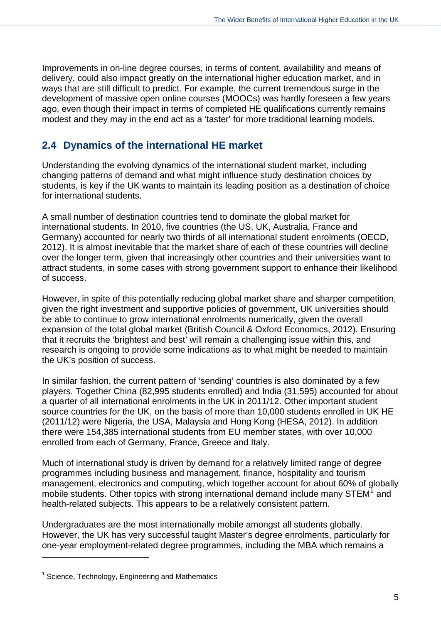Improvements in on-line degree courses, in terms of content, availability and means of delivery, could also impact greatly on the international higher education market, and in ways that are still difficult to predict. For example, the current tremendous surge in the development of massive open online courses (MOOCs) was hardly foreseen a few years ago, even though their impact in terms of completed HE qualifications currently remains modest and they may in the end act as a 'taster' for more traditional learning models.

## <span id="page-18-0"></span>**2.4 Dynamics of the international HE market**

Understanding the evolving dynamics of the international student market, including changing patterns of demand and what might influence study destination choices by students, is key if the UK wants to maintain its leading position as a destination of choice for international students.

A small number of destination countries tend to dominate the global market for international students. In 2010, five countries (the US, UK, Australia, France and Germany) accounted for nearly two thirds of all international student enrolments (OECD, 2012). It is almost inevitable that the market share of each of these countries will decline over the longer term, given that increasingly other countries and their universities want to attract students, in some cases with strong government support to enhance their likelihood of success.

However, in spite of this potentially reducing global market share and sharper competition, given the right investment and supportive policies of government, UK universities should be able to continue to grow international enrolments numerically, given the overall expansion of the total global market (British Council & Oxford Economics, 2012). Ensuring that it recruits the 'brightest and best' will remain a challenging issue within this, and research is ongoing to provide some indications as to what might be needed to maintain the UK's position of success.

In similar fashion, the current pattern of 'sending' countries is also dominated by a few players. Together China (82,995 students enrolled) and India (31,595) accounted for about a quarter of all international enrolments in the UK in 2011/12. Other important student source countries for the UK, on the basis of more than 10,000 students enrolled in UK HE (2011/12) were Nigeria, the USA, Malaysia and Hong Kong (HESA, 2012). In addition there were 154,385 international students from EU member states, with over 10,000 enrolled from each of Germany, France, Greece and Italy.

Much of international study is driven by demand for a relatively limited range of degree programmes including business and management, finance, hospitality and tourism management, electronics and computing, which together account for about 60% of globally mobile students. Other topics with strong international demand include many STEM $<sup>1</sup>$  $<sup>1</sup>$  $<sup>1</sup>$  and</sup> health-related subjects. This appears to be a relatively consistent pattern.

Undergraduates are the most internationally mobile amongst all students globally. However, the UK has very successful taught Master's degree enrolments, particularly for one-year employment-related degree programmes, including the MBA which remains a

 $\overline{a}$ 

<span id="page-18-1"></span><sup>&</sup>lt;sup>1</sup> Science, Technology, Engineering and Mathematics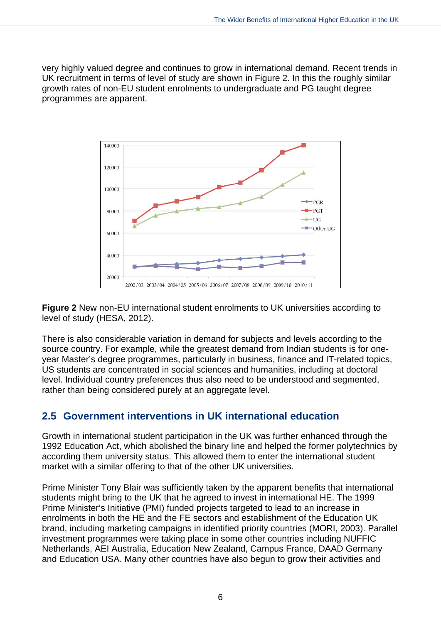very highly valued degree and continues to grow in international demand. Recent trends in UK recruitment in terms of level of study are shown in Figure 2. In this the roughly similar growth rates of non-EU student enrolments to undergraduate and PG taught degree programmes are apparent.



**Figure 2** New non-EU international student enrolments to UK universities according to level of study (HESA, 2012).

There is also considerable variation in demand for subjects and levels according to the source country. For example, while the greatest demand from Indian students is for oneyear Master's degree programmes, particularly in business, finance and IT-related topics, US students are concentrated in social sciences and humanities, including at doctoral level. Individual country preferences thus also need to be understood and segmented, rather than being considered purely at an aggregate level.

## <span id="page-19-0"></span>**2.5 Government interventions in UK international education**

Growth in international student participation in the UK was further enhanced through the 1992 Education Act, which abolished the binary line and helped the former polytechnics by according them university status. This allowed them to enter the international student market with a similar offering to that of the other UK universities.

Prime Minister Tony Blair was sufficiently taken by the apparent benefits that international students might bring to the UK that he agreed to invest in international HE. The 1999 Prime Minister's Initiative (PMI) funded projects targeted to lead to an increase in enrolments in both the HE and the FE sectors and establishment of the Education UK brand, including marketing campaigns in identified priority countries (MORI, 2003). Parallel investment programmes were taking place in some other countries including NUFFIC Netherlands, AEI Australia, Education New Zealand, Campus France, DAAD Germany and Education USA. Many other countries have also begun to grow their activities and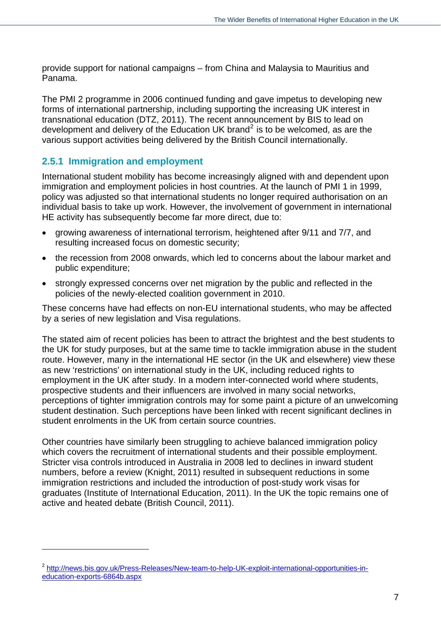provide support for national campaigns – from China and Malaysia to Mauritius and Panama.

The PMI 2 programme in 2006 continued funding and gave impetus to developing new forms of international partnership, including supporting the increasing UK interest in transnational education (DTZ, 2011). The recent announcement by BIS to lead on development and delivery of the Education UK brand<sup>[2](#page-18-1)</sup> is to be welcomed, as are the various support activities being delivered by the British Council internationally.

#### <span id="page-20-0"></span>**2.5.1 Immigration and employment**

 $\overline{a}$ 

International student mobility has become increasingly aligned with and dependent upon immigration and employment policies in host countries. At the launch of PMI 1 in 1999, policy was adjusted so that international students no longer required authorisation on an individual basis to take up work. However, the involvement of government in international HE activity has subsequently become far more direct, due to:

- growing awareness of international terrorism, heightened after 9/11 and 7/7, and resulting increased focus on domestic security;
- the recession from 2008 onwards, which led to concerns about the labour market and public expenditure;
- strongly expressed concerns over net migration by the public and reflected in the policies of the newly-elected coalition government in 2010.

These concerns have had effects on non-EU international students, who may be affected by a series of new legislation and Visa regulations.

The stated aim of recent policies has been to attract the brightest and the best students to the UK for study purposes, but at the same time to tackle immigration abuse in the student route. However, many in the international HE sector (in the UK and elsewhere) view these as new 'restrictions' on international study in the UK, including reduced rights to employment in the UK after study. In a modern inter-connected world where students, prospective students and their influencers are involved in many social networks, perceptions of tighter immigration controls may for some paint a picture of an unwelcoming student destination. Such perceptions have been linked with recent significant declines in student enrolments in the UK from certain source countries.

Other countries have similarly been struggling to achieve balanced immigration policy which covers the recruitment of international students and their possible employment. Stricter visa controls introduced in Australia in 2008 led to declines in inward student numbers, before a review (Knight, 2011) resulted in subsequent reductions in some immigration restrictions and included the introduction of post-study work visas for graduates (Institute of International Education, 2011). In the UK the topic remains one of active and heated debate (British Council, 2011).

<sup>&</sup>lt;sup>2</sup> [http://news.bis.gov.uk/Press-Releases/New-team-to-help-UK-exploit-international-opportunities-in](http://news.bis.gov.uk/Press-Releases/New-team-to-help-UK-exploit-international-opportunities-in-education-exports-6864b.aspx)[education-exports-6864b.aspx](http://news.bis.gov.uk/Press-Releases/New-team-to-help-UK-exploit-international-opportunities-in-education-exports-6864b.aspx)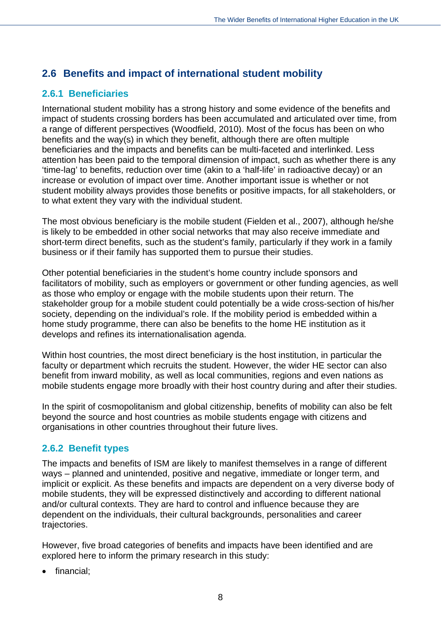## <span id="page-21-0"></span>**2.6 Benefits and impact of international student mobility**

### <span id="page-21-1"></span>**2.6.1 Beneficiaries**

International student mobility has a strong history and some evidence of the benefits and impact of students crossing borders has been accumulated and articulated over time, from a range of different perspectives (Woodfield, 2010). Most of the focus has been on who benefits and the way(s) in which they benefit, although there are often multiple beneficiaries and the impacts and benefits can be multi-faceted and interlinked. Less attention has been paid to the temporal dimension of impact, such as whether there is any 'time-lag' to benefits, reduction over time (akin to a 'half-life' in radioactive decay) or an increase or evolution of impact over time. Another important issue is whether or not student mobility always provides those benefits or positive impacts, for all stakeholders, or to what extent they vary with the individual student.

The most obvious beneficiary is the mobile student (Fielden et al., 2007), although he/she is likely to be embedded in other social networks that may also receive immediate and short-term direct benefits, such as the student's family, particularly if they work in a family business or if their family has supported them to pursue their studies.

Other potential beneficiaries in the student's home country include sponsors and facilitators of mobility, such as employers or government or other funding agencies, as well as those who employ or engage with the mobile students upon their return. The stakeholder group for a mobile student could potentially be a wide cross-section of his/her society, depending on the individual's role. If the mobility period is embedded within a home study programme, there can also be benefits to the home HE institution as it develops and refines its internationalisation agenda.

Within host countries, the most direct beneficiary is the host institution, in particular the faculty or department which recruits the student. However, the wider HE sector can also benefit from inward mobility, as well as local communities, regions and even nations as mobile students engage more broadly with their host country during and after their studies.

In the spirit of cosmopolitanism and global citizenship, benefits of mobility can also be felt beyond the source and host countries as mobile students engage with citizens and organisations in other countries throughout their future lives.

### <span id="page-21-2"></span>**2.6.2 Benefit types**

The impacts and benefits of ISM are likely to manifest themselves in a range of different ways – planned and unintended, positive and negative, immediate or longer term, and implicit or explicit. As these benefits and impacts are dependent on a very diverse body of mobile students, they will be expressed distinctively and according to different national and/or cultural contexts. They are hard to control and influence because they are dependent on the individuals, their cultural backgrounds, personalities and career trajectories.

However, five broad categories of benefits and impacts have been identified and are explored here to inform the primary research in this study:

• financial: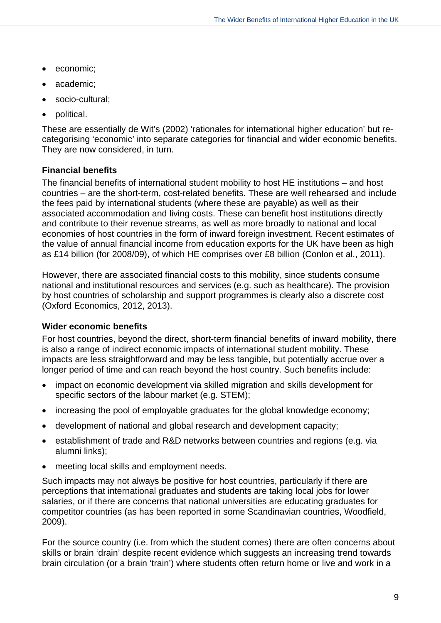- economic;
- academic;
- socio-cultural:
- political.

These are essentially de Wit's (2002) 'rationales for international higher education' but recategorising 'economic' into separate categories for financial and wider economic benefits. They are now considered, in turn.

#### **Financial benefits**

The financial benefits of international student mobility to host HE institutions – and host countries – are the short-term, cost-related benefits. These are well rehearsed and include the fees paid by international students (where these are payable) as well as their associated accommodation and living costs. These can benefit host institutions directly and contribute to their revenue streams, as well as more broadly to national and local economies of host countries in the form of inward foreign investment. Recent estimates of the value of annual financial income from education exports for the UK have been as high as £14 billion (for 2008/09), of which HE comprises over £8 billion (Conlon et al., 2011).

However, there are associated financial costs to this mobility, since students consume national and institutional resources and services (e.g. such as healthcare). The provision by host countries of scholarship and support programmes is clearly also a discrete cost (Oxford Economics, 2012, 2013).

#### **Wider economic benefits**

For host countries, beyond the direct, short-term financial benefits of inward mobility, there is also a range of indirect economic impacts of international student mobility. These impacts are less straightforward and may be less tangible, but potentially accrue over a longer period of time and can reach beyond the host country. Such benefits include:

- impact on economic development via skilled migration and skills development for specific sectors of the labour market (e.g. STEM);
- increasing the pool of employable graduates for the global knowledge economy:
- development of national and global research and development capacity;
- establishment of trade and R&D networks between countries and regions (e.g. via alumni links);
- meeting local skills and employment needs.

Such impacts may not always be positive for host countries, particularly if there are perceptions that international graduates and students are taking local jobs for lower salaries, or if there are concerns that national universities are educating graduates for competitor countries (as has been reported in some Scandinavian countries, Woodfield, 2009).

For the source country (i.e. from which the student comes) there are often concerns about skills or brain 'drain' despite recent evidence which suggests an increasing trend towards brain circulation (or a brain 'train') where students often return home or live and work in a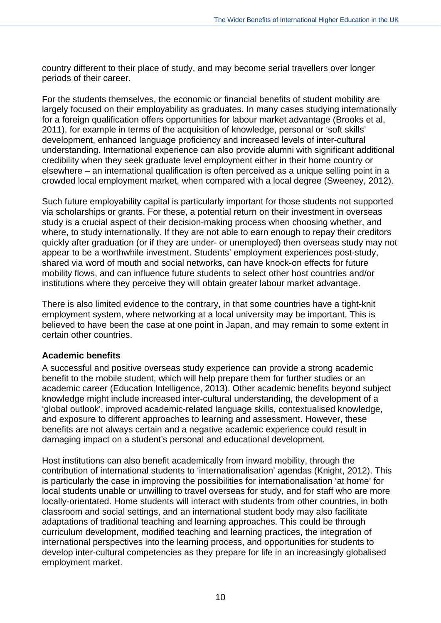country different to their place of study, and may become serial travellers over longer periods of their career.

For the students themselves, the economic or financial benefits of student mobility are largely focused on their employability as graduates. In many cases studying internationally for a foreign qualification offers opportunities for labour market advantage (Brooks et al, 2011), for example in terms of the acquisition of knowledge, personal or 'soft skills' development, enhanced language proficiency and increased levels of inter-cultural understanding. International experience can also provide alumni with significant additional credibility when they seek graduate level employment either in their home country or elsewhere – an international qualification is often perceived as a unique selling point in a crowded local employment market, when compared with a local degree (Sweeney, 2012).

Such future employability capital is particularly important for those students not supported via scholarships or grants. For these, a potential return on their investment in overseas study is a crucial aspect of their decision-making process when choosing whether, and where, to study internationally. If they are not able to earn enough to repay their creditors quickly after graduation (or if they are under- or unemployed) then overseas study may not appear to be a worthwhile investment. Students' employment experiences post-study, shared via word of mouth and social networks, can have knock-on effects for future mobility flows, and can influence future students to select other host countries and/or institutions where they perceive they will obtain greater labour market advantage.

There is also limited evidence to the contrary, in that some countries have a tight-knit employment system, where networking at a local university may be important. This is believed to have been the case at one point in Japan, and may remain to some extent in certain other countries.

#### **Academic benefits**

A successful and positive overseas study experience can provide a strong academic benefit to the mobile student, which will help prepare them for further studies or an academic career (Education Intelligence, 2013). Other academic benefits beyond subject knowledge might include increased inter-cultural understanding, the development of a 'global outlook', improved academic-related language skills, contextualised knowledge, and exposure to different approaches to learning and assessment. However, these benefits are not always certain and a negative academic experience could result in damaging impact on a student's personal and educational development.

Host institutions can also benefit academically from inward mobility, through the contribution of international students to 'internationalisation' agendas (Knight, 2012). This is particularly the case in improving the possibilities for internationalisation 'at home' for local students unable or unwilling to travel overseas for study, and for staff who are more locally-orientated. Home students will interact with students from other countries, in both classroom and social settings, and an international student body may also facilitate adaptations of traditional teaching and learning approaches. This could be through curriculum development, modified teaching and learning practices, the integration of international perspectives into the learning process, and opportunities for students to develop inter-cultural competencies as they prepare for life in an increasingly globalised employment market.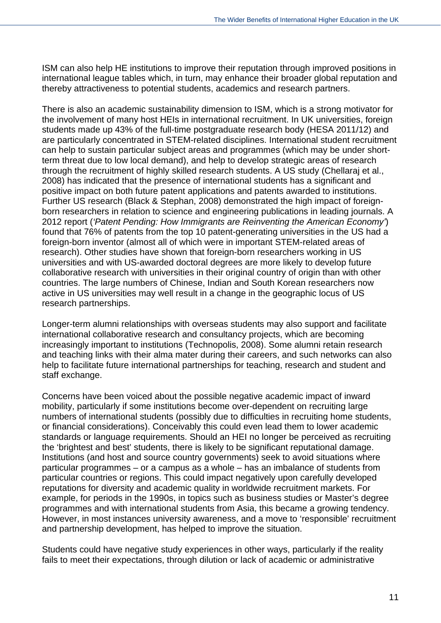ISM can also help HE institutions to improve their reputation through improved positions in international league tables which, in turn, may enhance their broader global reputation and thereby attractiveness to potential students, academics and research partners.

There is also an academic sustainability dimension to ISM, which is a strong motivator for the involvement of many host HEIs in international recruitment. In UK universities, foreign students made up 43% of the full-time postgraduate research body (HESA 2011/12) and are particularly concentrated in STEM-related disciplines. International student recruitment can help to sustain particular subject areas and programmes (which may be under shortterm threat due to low local demand), and help to develop strategic areas of research through the recruitment of highly skilled research students. A US study (Chellaraj et al., 2008) has indicated that the presence of international students has a significant and positive impact on both future patent applications and patents awarded to institutions. Further US research (Black & Stephan, 2008) demonstrated the high impact of foreignborn researchers in relation to science and engineering publications in leading journals. A 2012 report (*'Patent Pending: How Immigrants are Reinventing the American Economy'*) found that 76% of patents from the top 10 patent-generating universities in the US had a foreign-born inventor (almost all of which were in important STEM-related areas of research). Other studies have shown that foreign-born researchers working in US universities and with US-awarded doctoral degrees are more likely to develop future collaborative research with universities in their original country of origin than with other countries. The large numbers of Chinese, Indian and South Korean researchers now active in US universities may well result in a change in the geographic locus of US research partnerships.

Longer-term alumni relationships with overseas students may also support and facilitate international collaborative research and consultancy projects, which are becoming increasingly important to institutions (Technopolis, 2008). Some alumni retain research and teaching links with their alma mater during their careers, and such networks can also help to facilitate future international partnerships for teaching, research and student and staff exchange.

Concerns have been voiced about the possible negative academic impact of inward mobility, particularly if some institutions become over-dependent on recruiting large numbers of international students (possibly due to difficulties in recruiting home students, or financial considerations). Conceivably this could even lead them to lower academic standards or language requirements. Should an HEI no longer be perceived as recruiting the 'brightest and best' students, there is likely to be significant reputational damage. Institutions (and host and source country governments) seek to avoid situations where particular programmes – or a campus as a whole – has an imbalance of students from particular countries or regions. This could impact negatively upon carefully developed reputations for diversity and academic quality in worldwide recruitment markets. For example, for periods in the 1990s, in topics such as business studies or Master's degree programmes and with international students from Asia, this became a growing tendency. However, in most instances university awareness, and a move to 'responsible' recruitment and partnership development, has helped to improve the situation.

Students could have negative study experiences in other ways, particularly if the reality fails to meet their expectations, through dilution or lack of academic or administrative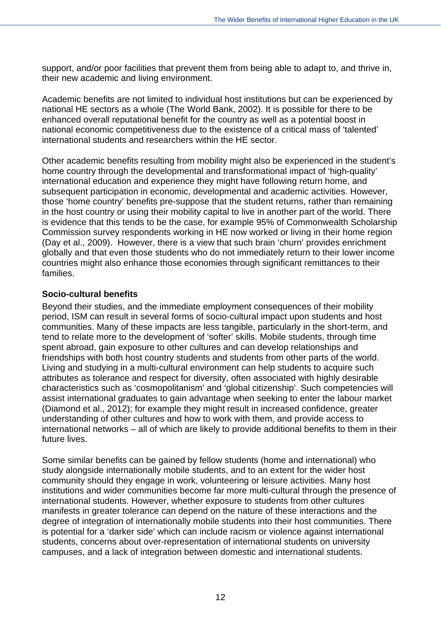support, and/or poor facilities that prevent them from being able to adapt to, and thrive in, their new academic and living environment.

Academic benefits are not limited to individual host institutions but can be experienced by national HE sectors as a whole (The World Bank, 2002). It is possible for there to be enhanced overall reputational benefit for the country as well as a potential boost in national economic competitiveness due to the existence of a critical mass of 'talented' international students and researchers within the HE sector.

Other academic benefits resulting from mobility might also be experienced in the student's home country through the developmental and transformational impact of 'high-quality' international education and experience they might have following return home, and subsequent participation in economic, developmental and academic activities. However, those 'home country' benefits pre-suppose that the student returns, rather than remaining in the host country or using their mobility capital to live in another part of the world. There is evidence that this tends to be the case, for example 95% of Commonwealth Scholarship Commission survey respondents working in HE now worked or living in their home region (Day et al., 2009). However, there is a view that such brain 'churn' provides enrichment globally and that even those students who do not immediately return to their lower income countries might also enhance those economies through significant remittances to their families.

#### **Socio-cultural benefits**

Beyond their studies, and the immediate employment consequences of their mobility period, ISM can result in several forms of socio-cultural impact upon students and host communities. Many of these impacts are less tangible, particularly in the short-term, and tend to relate more to the development of 'softer' skills. Mobile students, through time spent abroad, gain exposure to other cultures and can develop relationships and friendships with both host country students and students from other parts of the world. Living and studying in a multi-cultural environment can help students to acquire such attributes as tolerance and respect for diversity, often associated with highly desirable characteristics such as 'cosmopolitanism' and 'global citizenship'. Such competencies will assist international graduates to gain advantage when seeking to enter the labour market (Diamond et al., 2012); for example they might result in increased confidence, greater understanding of other cultures and how to work with them, and provide access to international networks – all of which are likely to provide additional benefits to them in their future lives.

Some similar benefits can be gained by fellow students (home and international) who study alongside internationally mobile students, and to an extent for the wider host community should they engage in work, volunteering or leisure activities. Many host institutions and wider communities become far more multi-cultural through the presence of international students. However, whether exposure to students from other cultures manifests in greater tolerance can depend on the nature of these interactions and the degree of integration of internationally mobile students into their host communities. There is potential for a 'darker side' which can include racism or violence against international students, concerns about over-representation of international students on university campuses, and a lack of integration between domestic and international students.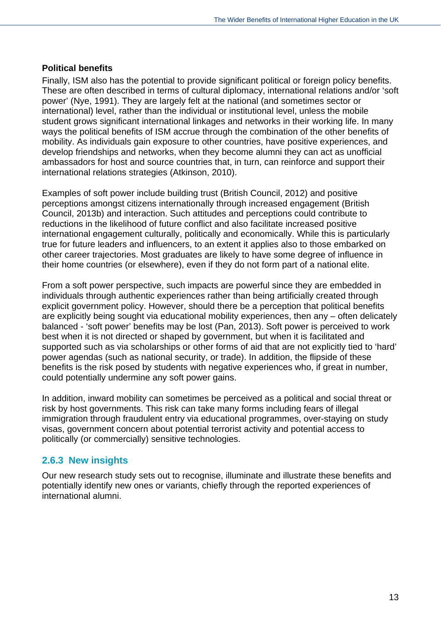#### **Political benefits**

Finally, ISM also has the potential to provide significant political or foreign policy benefits. These are often described in terms of cultural diplomacy, international relations and/or 'soft power' (Nye, 1991). They are largely felt at the national (and sometimes sector or international) level, rather than the individual or institutional level, unless the mobile student grows significant international linkages and networks in their working life. In many ways the political benefits of ISM accrue through the combination of the other benefits of mobility. As individuals gain exposure to other countries, have positive experiences, and develop friendships and networks, when they become alumni they can act as unofficial ambassadors for host and source countries that, in turn, can reinforce and support their international relations strategies (Atkinson, 2010).

Examples of soft power include building trust (British Council, 2012) and positive perceptions amongst citizens internationally through increased engagement (British Council, 2013b) and interaction. Such attitudes and perceptions could contribute to reductions in the likelihood of future conflict and also facilitate increased positive international engagement culturally, politically and economically. While this is particularly true for future leaders and influencers, to an extent it applies also to those embarked on other career trajectories. Most graduates are likely to have some degree of influence in their home countries (or elsewhere), even if they do not form part of a national elite.

From a soft power perspective, such impacts are powerful since they are embedded in individuals through authentic experiences rather than being artificially created through explicit government policy. However, should there be a perception that political benefits are explicitly being sought via educational mobility experiences, then any – often delicately balanced - 'soft power' benefits may be lost (Pan, 2013). Soft power is perceived to work best when it is not directed or shaped by government, but when it is facilitated and supported such as via scholarships or other forms of aid that are not explicitly tied to 'hard' power agendas (such as national security, or trade). In addition, the flipside of these benefits is the risk posed by students with negative experiences who, if great in number, could potentially undermine any soft power gains.

In addition, inward mobility can sometimes be perceived as a political and social threat or risk by host governments. This risk can take many forms including fears of illegal immigration through fraudulent entry via educational programmes, over-staying on study visas, government concern about potential terrorist activity and potential access to politically (or commercially) sensitive technologies.

#### <span id="page-26-0"></span>**2.6.3 New insights**

Our new research study sets out to recognise, illuminate and illustrate these benefits and potentially identify new ones or variants, chiefly through the reported experiences of international alumni.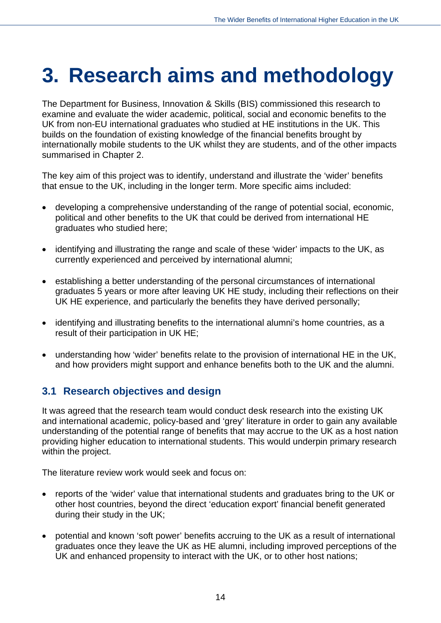## <span id="page-27-0"></span>**3. Research aims and methodology**

The Department for Business, Innovation & Skills (BIS) commissioned this research to examine and evaluate the wider academic, political, social and economic benefits to the UK from non-EU international graduates who studied at HE institutions in the UK. This builds on the foundation of existing knowledge of the financial benefits brought by internationally mobile students to the UK whilst they are students, and of the other impacts summarised in Chapter 2.

The key aim of this project was to identify, understand and illustrate the 'wider' benefits that ensue to the UK, including in the longer term. More specific aims included:

- developing a comprehensive understanding of the range of potential social, economic, political and other benefits to the UK that could be derived from international HE graduates who studied here;
- identifying and illustrating the range and scale of these 'wider' impacts to the UK, as currently experienced and perceived by international alumni;
- establishing a better understanding of the personal circumstances of international graduates 5 years or more after leaving UK HE study, including their reflections on their UK HE experience, and particularly the benefits they have derived personally;
- identifying and illustrating benefits to the international alumni's home countries, as a result of their participation in UK HE;
- understanding how 'wider' benefits relate to the provision of international HE in the UK, and how providers might support and enhance benefits both to the UK and the alumni.

## <span id="page-27-1"></span>**3.1 Research objectives and design**

It was agreed that the research team would conduct desk research into the existing UK and international academic, policy-based and 'grey' literature in order to gain any available understanding of the potential range of benefits that may accrue to the UK as a host nation providing higher education to international students. This would underpin primary research within the project.

The literature review work would seek and focus on:

- reports of the 'wider' value that international students and graduates bring to the UK or other host countries, beyond the direct 'education export' financial benefit generated during their study in the UK;
- potential and known 'soft power' benefits accruing to the UK as a result of international graduates once they leave the UK as HE alumni, including improved perceptions of the UK and enhanced propensity to interact with the UK, or to other host nations;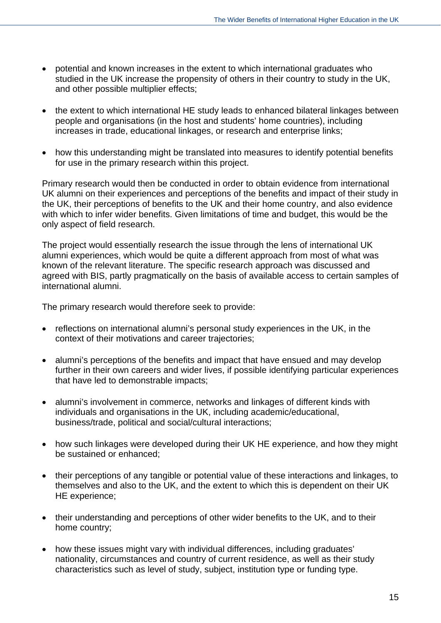- potential and known increases in the extent to which international graduates who studied in the UK increase the propensity of others in their country to study in the UK, and other possible multiplier effects;
- the extent to which international HE study leads to enhanced bilateral linkages between people and organisations (in the host and students' home countries), including increases in trade, educational linkages, or research and enterprise links;
- how this understanding might be translated into measures to identify potential benefits for use in the primary research within this project.

Primary research would then be conducted in order to obtain evidence from international UK alumni on their experiences and perceptions of the benefits and impact of their study in the UK, their perceptions of benefits to the UK and their home country, and also evidence with which to infer wider benefits. Given limitations of time and budget, this would be the only aspect of field research.

The project would essentially research the issue through the lens of international UK alumni experiences, which would be quite a different approach from most of what was known of the relevant literature. The specific research approach was discussed and agreed with BIS, partly pragmatically on the basis of available access to certain samples of international alumni.

The primary research would therefore seek to provide:

- reflections on international alumni's personal study experiences in the UK, in the context of their motivations and career trajectories;
- alumni's perceptions of the benefits and impact that have ensued and may develop further in their own careers and wider lives, if possible identifying particular experiences that have led to demonstrable impacts;
- alumni's involvement in commerce, networks and linkages of different kinds with individuals and organisations in the UK, including academic/educational, business/trade, political and social/cultural interactions;
- how such linkages were developed during their UK HE experience, and how they might be sustained or enhanced;
- their perceptions of any tangible or potential value of these interactions and linkages, to themselves and also to the UK, and the extent to which this is dependent on their UK HE experience;
- their understanding and perceptions of other wider benefits to the UK, and to their home country;
- how these issues might vary with individual differences, including graduates' nationality, circumstances and country of current residence, as well as their study characteristics such as level of study, subject, institution type or funding type.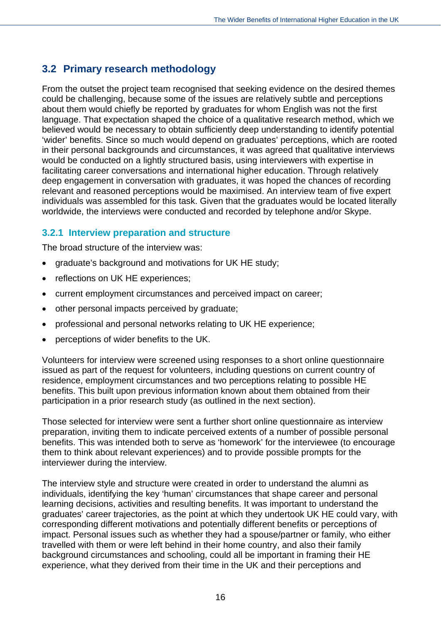## <span id="page-29-0"></span>**3.2 Primary research methodology**

From the outset the project team recognised that seeking evidence on the desired themes could be challenging, because some of the issues are relatively subtle and perceptions about them would chiefly be reported by graduates for whom English was not the first language. That expectation shaped the choice of a qualitative research method, which we believed would be necessary to obtain sufficiently deep understanding to identify potential 'wider' benefits. Since so much would depend on graduates' perceptions, which are rooted in their personal backgrounds and circumstances, it was agreed that qualitative interviews would be conducted on a lightly structured basis, using interviewers with expertise in facilitating career conversations and international higher education. Through relatively deep engagement in conversation with graduates, it was hoped the chances of recording relevant and reasoned perceptions would be maximised. An interview team of five expert individuals was assembled for this task. Given that the graduates would be located literally worldwide, the interviews were conducted and recorded by telephone and/or Skype.

#### <span id="page-29-1"></span>**3.2.1 Interview preparation and structure**

The broad structure of the interview was:

- graduate's background and motivations for UK HE study;
- reflections on UK HE experiences;
- current employment circumstances and perceived impact on career;
- other personal impacts perceived by graduate;
- professional and personal networks relating to UK HE experience;
- perceptions of wider benefits to the UK.

Volunteers for interview were screened using responses to a short online questionnaire issued as part of the request for volunteers, including questions on current country of residence, employment circumstances and two perceptions relating to possible HE benefits. This built upon previous information known about them obtained from their participation in a prior research study (as outlined in the next section).

Those selected for interview were sent a further short online questionnaire as interview preparation, inviting them to indicate perceived extents of a number of possible personal benefits. This was intended both to serve as 'homework' for the interviewee (to encourage them to think about relevant experiences) and to provide possible prompts for the interviewer during the interview.

The interview style and structure were created in order to understand the alumni as individuals, identifying the key 'human' circumstances that shape career and personal learning decisions, activities and resulting benefits. It was important to understand the graduates' career trajectories, as the point at which they undertook UK HE could vary, with corresponding different motivations and potentially different benefits or perceptions of impact. Personal issues such as whether they had a spouse/partner or family, who either travelled with them or were left behind in their home country, and also their family background circumstances and schooling, could all be important in framing their HE experience, what they derived from their time in the UK and their perceptions and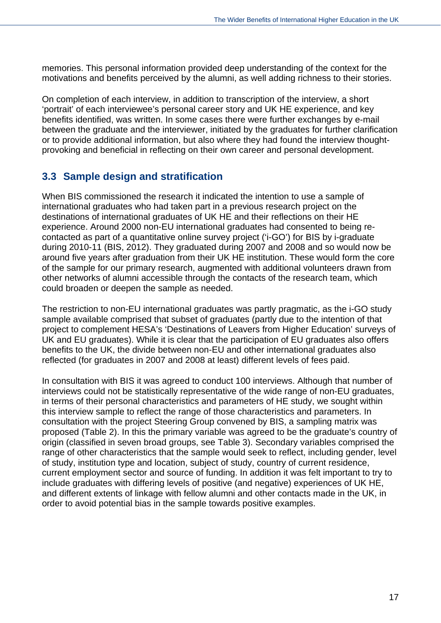memories. This personal information provided deep understanding of the context for the motivations and benefits perceived by the alumni, as well adding richness to their stories.

On completion of each interview, in addition to transcription of the interview, a short 'portrait' of each interviewee's personal career story and UK HE experience, and key benefits identified, was written. In some cases there were further exchanges by e-mail between the graduate and the interviewer, initiated by the graduates for further clarification or to provide additional information, but also where they had found the interview thoughtprovoking and beneficial in reflecting on their own career and personal development.

## <span id="page-30-0"></span>**3.3 Sample design and stratification**

When BIS commissioned the research it indicated the intention to use a sample of international graduates who had taken part in a previous research project on the destinations of international graduates of UK HE and their reflections on their HE experience. Around 2000 non-EU international graduates had consented to being recontacted as part of a quantitative online survey project ('i-GO') for BIS by i-graduate during 2010-11 (BIS, 2012). They graduated during 2007 and 2008 and so would now be around five years after graduation from their UK HE institution. These would form the core of the sample for our primary research, augmented with additional volunteers drawn from other networks of alumni accessible through the contacts of the research team, which could broaden or deepen the sample as needed.

The restriction to non-EU international graduates was partly pragmatic, as the i-GO study sample available comprised that subset of graduates (partly due to the intention of that project to complement HESA's 'Destinations of Leavers from Higher Education' surveys of UK and EU graduates). While it is clear that the participation of EU graduates also offers benefits to the UK, the divide between non-EU and other international graduates also reflected (for graduates in 2007 and 2008 at least) different levels of fees paid.

In consultation with BIS it was agreed to conduct 100 interviews. Although that number of interviews could not be statistically representative of the wide range of non-EU graduates, in terms of their personal characteristics and parameters of HE study, we sought within this interview sample to reflect the range of those characteristics and parameters. In consultation with the project Steering Group convened by BIS, a sampling matrix was proposed (Table 2). In this the primary variable was agreed to be the graduate's country of origin (classified in seven broad groups, see Table 3). Secondary variables comprised the range of other characteristics that the sample would seek to reflect, including gender, level of study, institution type and location, subject of study, country of current residence, current employment sector and source of funding. In addition it was felt important to try to include graduates with differing levels of positive (and negative) experiences of UK HE, and different extents of linkage with fellow alumni and other contacts made in the UK, in order to avoid potential bias in the sample towards positive examples.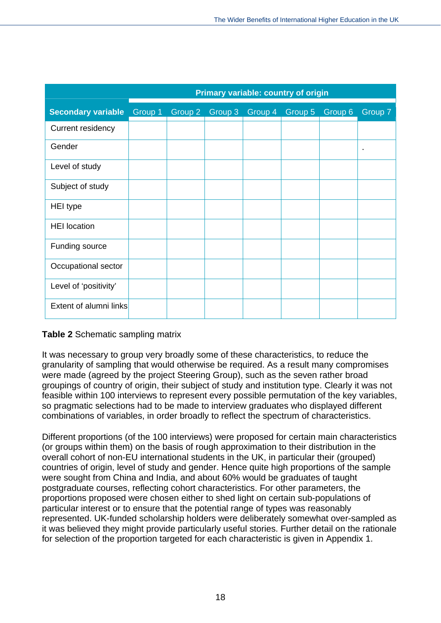|                           | <b>Primary variable: country of origin</b> |         |         |         |         |         |         |
|---------------------------|--------------------------------------------|---------|---------|---------|---------|---------|---------|
| <b>Secondary variable</b> | Group 1                                    | Group 2 | Group 3 | Group 4 | Group 5 | Group 6 | Group 7 |
| Current residency         |                                            |         |         |         |         |         |         |
| Gender                    |                                            |         |         |         |         |         |         |
| Level of study            |                                            |         |         |         |         |         |         |
| Subject of study          |                                            |         |         |         |         |         |         |
| <b>HEI type</b>           |                                            |         |         |         |         |         |         |
| <b>HEI</b> location       |                                            |         |         |         |         |         |         |
| Funding source            |                                            |         |         |         |         |         |         |
| Occupational sector       |                                            |         |         |         |         |         |         |
| Level of 'positivity'     |                                            |         |         |         |         |         |         |
| Extent of alumni links    |                                            |         |         |         |         |         |         |

#### **Table 2** Schematic sampling matrix

It was necessary to group very broadly some of these characteristics, to reduce the granularity of sampling that would otherwise be required. As a result many compromises were made (agreed by the project Steering Group), such as the seven rather broad groupings of country of origin, their subject of study and institution type. Clearly it was not feasible within 100 interviews to represent every possible permutation of the key variables, so pragmatic selections had to be made to interview graduates who displayed different combinations of variables, in order broadly to reflect the spectrum of characteristics.

Different proportions (of the 100 interviews) were proposed for certain main characteristics (or groups within them) on the basis of rough approximation to their distribution in the overall cohort of non-EU international students in the UK, in particular their (grouped) countries of origin, level of study and gender. Hence quite high proportions of the sample were sought from China and India, and about 60% would be graduates of taught postgraduate courses, reflecting cohort characteristics. For other parameters, the proportions proposed were chosen either to shed light on certain sub-populations of particular interest or to ensure that the potential range of types was reasonably represented. UK-funded scholarship holders were deliberately somewhat over-sampled as it was believed they might provide particularly useful stories. Further detail on the rationale for selection of the proportion targeted for each characteristic is given in Appendix 1.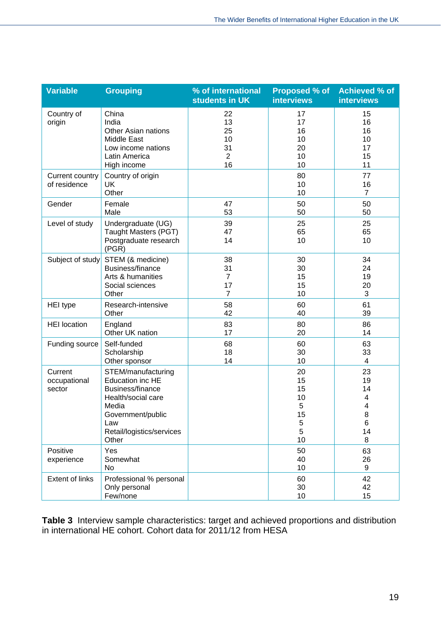| <b>Variable</b>                   | <b>Grouping</b>                                                                                                                                                    | % of international<br>students in UK               | Proposed % of<br><b>interviews</b>              | <b>Achieved % of</b><br><b>interviews</b>     |
|-----------------------------------|--------------------------------------------------------------------------------------------------------------------------------------------------------------------|----------------------------------------------------|-------------------------------------------------|-----------------------------------------------|
| Country of<br>origin              | China<br>India<br><b>Other Asian nations</b><br>Middle East<br>Low income nations<br>Latin America<br>High income                                                  | 22<br>13<br>25<br>10<br>31<br>$\overline{c}$<br>16 | 17<br>17<br>16<br>10<br>20<br>10<br>10          | 15<br>16<br>16<br>10<br>17<br>15<br>11        |
| Current country<br>of residence   | Country of origin<br><b>UK</b><br>Other                                                                                                                            |                                                    | 80<br>10<br>10                                  | 77<br>16<br>$\overline{7}$                    |
| Gender                            | Female<br>Male                                                                                                                                                     | 47<br>53                                           | 50<br>50                                        | 50<br>50                                      |
| Level of study                    | Undergraduate (UG)<br>Taught Masters (PGT)<br>Postgraduate research<br>(PGR)                                                                                       | 39<br>47<br>14                                     | 25<br>65<br>10                                  | 25<br>65<br>10                                |
| Subject of study                  | STEM (& medicine)<br>Business/finance<br>Arts & humanities<br>Social sciences<br>Other                                                                             | 38<br>31<br>$\overline{7}$<br>17<br>$\overline{7}$ | 30<br>30<br>15<br>15<br>10                      | 34<br>24<br>19<br>20<br>3                     |
| <b>HEI</b> type                   | Research-intensive<br>Other                                                                                                                                        | 58<br>42                                           | 60<br>40                                        | 61<br>39                                      |
| <b>HEI</b> location               | England<br>Other UK nation                                                                                                                                         | 83<br>17                                           | 80<br>20                                        | 86<br>14                                      |
| Funding source                    | Self-funded<br>Scholarship<br>Other sponsor                                                                                                                        | 68<br>18<br>14                                     | 60<br>30<br>10                                  | 63<br>33<br>$\overline{4}$                    |
| Current<br>occupational<br>sector | STEM/manufacturing<br><b>Education inc HE</b><br>Business/finance<br>Health/social care<br>Media<br>Government/public<br>Law<br>Retail/logistics/services<br>Other |                                                    | 20<br>15<br>15<br>10<br>5<br>15<br>5<br>5<br>10 | 23<br>19<br>14<br>4<br>4<br>8<br>6<br>14<br>8 |
| Positive<br>experience            | Yes<br>Somewhat<br>No                                                                                                                                              |                                                    | 50<br>40<br>10                                  | 63<br>26<br>9                                 |
| <b>Extent of links</b>            | Professional % personal<br>Only personal<br>Few/none                                                                                                               |                                                    | 60<br>30<br>10                                  | 42<br>42<br>15                                |

**Table 3** Interview sample characteristics: target and achieved proportions and distribution in international HE cohort. Cohort data for 2011/12 from HESA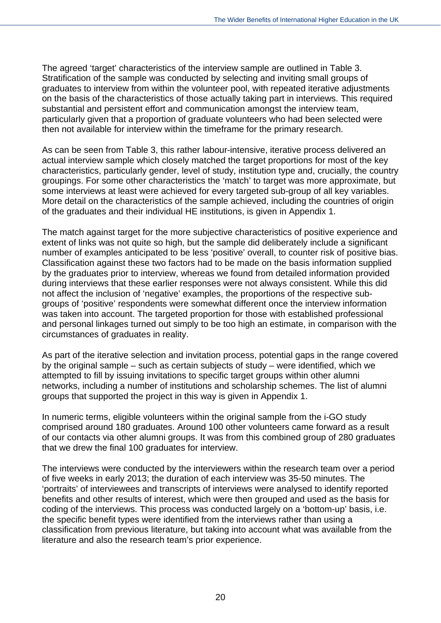The agreed 'target' characteristics of the interview sample are outlined in Table 3. Stratification of the sample was conducted by selecting and inviting small groups of graduates to interview from within the volunteer pool, with repeated iterative adjustments on the basis of the characteristics of those actually taking part in interviews. This required substantial and persistent effort and communication amongst the interview team, particularly given that a proportion of graduate volunteers who had been selected were then not available for interview within the timeframe for the primary research.

As can be seen from Table 3, this rather labour-intensive, iterative process delivered an actual interview sample which closely matched the target proportions for most of the key characteristics, particularly gender, level of study, institution type and, crucially, the country groupings. For some other characteristics the 'match' to target was more approximate, but some interviews at least were achieved for every targeted sub-group of all key variables. More detail on the characteristics of the sample achieved, including the countries of origin of the graduates and their individual HE institutions, is given in Appendix 1.

The match against target for the more subjective characteristics of positive experience and extent of links was not quite so high, but the sample did deliberately include a significant number of examples anticipated to be less 'positive' overall, to counter risk of positive bias. Classification against these two factors had to be made on the basis information supplied by the graduates prior to interview, whereas we found from detailed information provided during interviews that these earlier responses were not always consistent. While this did not affect the inclusion of 'negative' examples, the proportions of the respective subgroups of 'positive' respondents were somewhat different once the interview information was taken into account. The targeted proportion for those with established professional and personal linkages turned out simply to be too high an estimate, in comparison with the circumstances of graduates in reality.

As part of the iterative selection and invitation process, potential gaps in the range covered by the original sample – such as certain subjects of study – were identified, which we attempted to fill by issuing invitations to specific target groups within other alumni networks, including a number of institutions and scholarship schemes. The list of alumni groups that supported the project in this way is given in Appendix 1.

In numeric terms, eligible volunteers within the original sample from the i-GO study comprised around 180 graduates. Around 100 other volunteers came forward as a result of our contacts via other alumni groups. It was from this combined group of 280 graduates that we drew the final 100 graduates for interview.

The interviews were conducted by the interviewers within the research team over a period of five weeks in early 2013; the duration of each interview was 35-50 minutes. The 'portraits' of interviewees and transcripts of interviews were analysed to identify reported benefits and other results of interest, which were then grouped and used as the basis for coding of the interviews. This process was conducted largely on a 'bottom-up' basis, i.e. the specific benefit types were identified from the interviews rather than using a classification from previous literature, but taking into account what was available from the literature and also the research team's prior experience.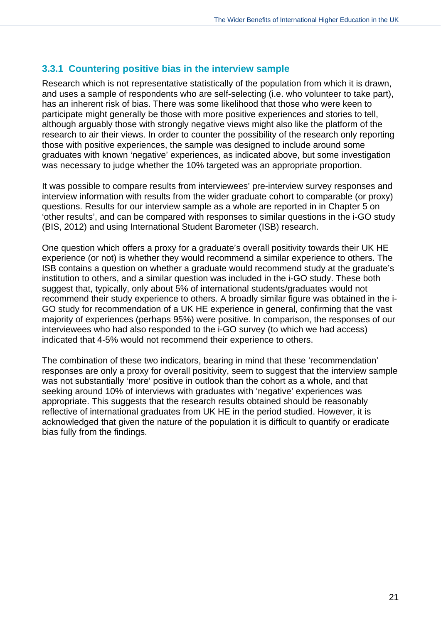#### <span id="page-34-0"></span>**3.3.1 Countering positive bias in the interview sample**

Research which is not representative statistically of the population from which it is drawn, and uses a sample of respondents who are self-selecting (i.e. who volunteer to take part), has an inherent risk of bias. There was some likelihood that those who were keen to participate might generally be those with more positive experiences and stories to tell, although arguably those with strongly negative views might also like the platform of the research to air their views. In order to counter the possibility of the research only reporting those with positive experiences, the sample was designed to include around some graduates with known 'negative' experiences, as indicated above, but some investigation was necessary to judge whether the 10% targeted was an appropriate proportion.

It was possible to compare results from interviewees' pre-interview survey responses and interview information with results from the wider graduate cohort to comparable (or proxy) questions. Results for our interview sample as a whole are reported in in Chapter 5 on 'other results', and can be compared with responses to similar questions in the i-GO study (BIS, 2012) and using International Student Barometer (ISB) research.

One question which offers a proxy for a graduate's overall positivity towards their UK HE experience (or not) is whether they would recommend a similar experience to others. The ISB contains a question on whether a graduate would recommend study at the graduate's institution to others, and a similar question was included in the i-GO study. These both suggest that, typically, only about 5% of international students/graduates would not recommend their study experience to others. A broadly similar figure was obtained in the i-GO study for recommendation of a UK HE experience in general, confirming that the vast majority of experiences (perhaps 95%) were positive. In comparison, the responses of our interviewees who had also responded to the i-GO survey (to which we had access) indicated that 4-5% would not recommend their experience to others.

The combination of these two indicators, bearing in mind that these 'recommendation' responses are only a proxy for overall positivity, seem to suggest that the interview sample was not substantially 'more' positive in outlook than the cohort as a whole, and that seeking around 10% of interviews with graduates with 'negative' experiences was appropriate. This suggests that the research results obtained should be reasonably reflective of international graduates from UK HE in the period studied. However, it is acknowledged that given the nature of the population it is difficult to quantify or eradicate bias fully from the findings.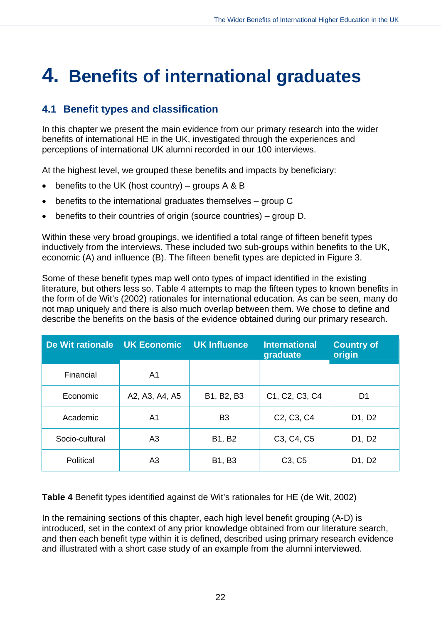## <span id="page-35-0"></span>**4. Benefits of international graduates**

## <span id="page-35-1"></span>**4.1 Benefit types and classification**

In this chapter we present the main evidence from our primary research into the wider benefits of international HE in the UK, investigated through the experiences and perceptions of international UK alumni recorded in our 100 interviews.

At the highest level, we grouped these benefits and impacts by beneficiary:

- $\bullet$  benefits to the UK (host country) groups A & B
- benefits to the international graduates themselves group C
- benefits to their countries of origin (source countries) group D.

Within these very broad groupings, we identified a total range of fifteen benefit types inductively from the interviews. These included two sub-groups within benefits to the UK, economic (A) and influence (B). The fifteen benefit types are depicted in Figure 3.

Some of these benefit types map well onto types of impact identified in the existing literature, but others less so. Table 4 attempts to map the fifteen types to known benefits in the form of de Wit's (2002) rationales for international education. As can be seen, many do not map uniquely and there is also much overlap between them. We chose to define and describe the benefits on the basis of the evidence obtained during our primary research.

| De Wit rationale | <b>UK Economic</b>           | <b>UK Influence</b> | <b>International</b><br>graduate                 | <b>Country of</b><br>origin |
|------------------|------------------------------|---------------------|--------------------------------------------------|-----------------------------|
| Financial        | A1                           |                     |                                                  |                             |
| Economic         | B1, B2, B3<br>A2, A3, A4, A5 |                     | C1, C2, C3, C4                                   | D1                          |
| Academic         | A1                           | B <sub>3</sub>      | C <sub>2</sub> , C <sub>3</sub> , C <sub>4</sub> | D1, D2                      |
| Socio-cultural   | A3                           | B1, B2              | C <sub>3</sub> , C <sub>4</sub> , C <sub>5</sub> | D1, D2                      |
| Political        | A <sub>3</sub>               | B1, B3              | C <sub>3</sub> , C <sub>5</sub>                  | D1, D2                      |

**Table 4** Benefit types identified against de Wit's rationales for HE (de Wit, 2002)

In the remaining sections of this chapter, each high level benefit grouping (A-D) is introduced, set in the context of any prior knowledge obtained from our literature search, and then each benefit type within it is defined, described using primary research evidence and illustrated with a short case study of an example from the alumni interviewed.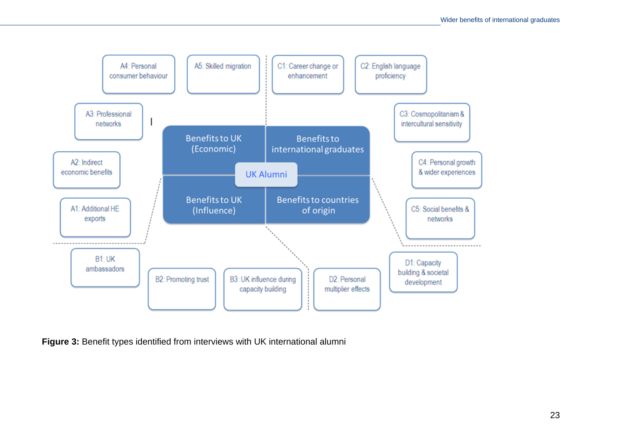

**Figure 3:** Benefit types identified from interviews with UK international alumni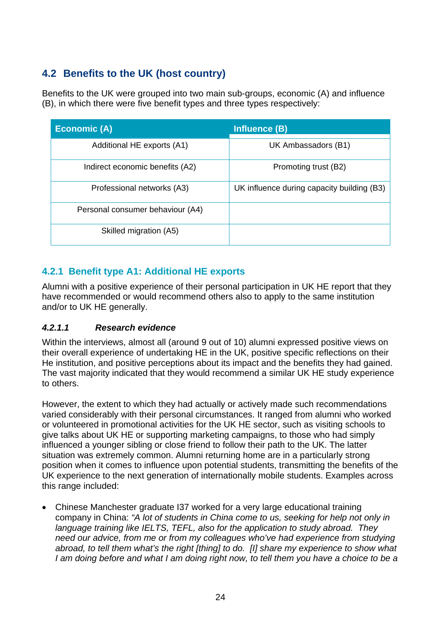# **4.2 Benefits to the UK (host country)**

Benefits to the UK were grouped into two main sub-groups, economic (A) and influence (B), in which there were five benefit types and three types respectively:

| <b>Economic (A)</b>              | Influence (B)                              |
|----------------------------------|--------------------------------------------|
| Additional HE exports (A1)       | UK Ambassadors (B1)                        |
| Indirect economic benefits (A2)  | Promoting trust (B2)                       |
| Professional networks (A3)       | UK influence during capacity building (B3) |
| Personal consumer behaviour (A4) |                                            |
| Skilled migration (A5)           |                                            |

# **4.2.1 Benefit type A1: Additional HE exports**

Alumni with a positive experience of their personal participation in UK HE report that they have recommended or would recommend others also to apply to the same institution and/or to UK HE generally.

# *4.2.1.1 Research evidence*

Within the interviews, almost all (around 9 out of 10) alumni expressed positive views on their overall experience of undertaking HE in the UK, positive specific reflections on their He institution, and positive perceptions about its impact and the benefits they had gained. The vast majority indicated that they would recommend a similar UK HE study experience to others.

However, the extent to which they had actually or actively made such recommendations varied considerably with their personal circumstances. It ranged from alumni who worked or volunteered in promotional activities for the UK HE sector, such as visiting schools to give talks about UK HE or supporting marketing campaigns, to those who had simply influenced a younger sibling or close friend to follow their path to the UK. The latter situation was extremely common. Alumni returning home are in a particularly strong position when it comes to influence upon potential students, transmitting the benefits of the UK experience to the next generation of internationally mobile students. Examples across this range included:

 Chinese Manchester graduate I37 worked for a very large educational training company in China: *"A lot of students in China come to us, seeking for help not only in language training like IELTS, TEFL, also for the application to study abroad. They need our advice, from me or from my colleagues who've had experience from studying abroad, to tell them what's the right [thing] to do. [I] share my experience to show what I am doing before and what I am doing right now, to tell them you have a choice to be a*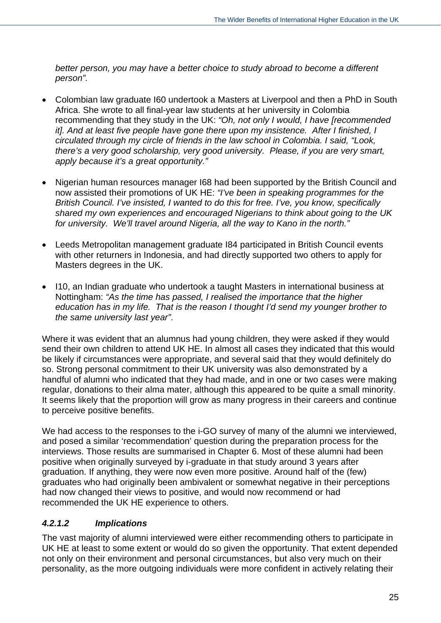*better person, you may have a better choice to study abroad to become a different person".*

- Colombian law graduate I60 undertook a Masters at Liverpool and then a PhD in South Africa. She wrote to all final-year law students at her university in Colombia recommending that they study in the UK: *"Oh, not only I would, I have [recommended it]. And at least five people have gone there upon my insistence. After I finished, I circulated through my circle of friends in the law school in Colombia. I said, "Look, there's a very good scholarship, very good university. Please, if you are very smart, apply because it's a great opportunity."*
- Nigerian human resources manager I68 had been supported by the British Council and now assisted their promotions of UK HE: *"I've been in speaking programmes for the British Council. I've insisted, I wanted to do this for free. I've, you know, specifically shared my own experiences and encouraged Nigerians to think about going to the UK for university. We'll travel around Nigeria, all the way to Kano in the north."*
- Leeds Metropolitan management graduate I84 participated in British Council events with other returners in Indonesia, and had directly supported two others to apply for Masters degrees in the UK.
- I10, an Indian graduate who undertook a taught Masters in international business at Nottingham: *"As the time has passed, I realised the importance that the higher education has in my life. That is the reason I thought I'd send my younger brother to the same university last year"*.

Where it was evident that an alumnus had young children, they were asked if they would send their own children to attend UK HE. In almost all cases they indicated that this would be likely if circumstances were appropriate, and several said that they would definitely do so. Strong personal commitment to their UK university was also demonstrated by a handful of alumni who indicated that they had made, and in one or two cases were making regular, donations to their alma mater, although this appeared to be quite a small minority. It seems likely that the proportion will grow as many progress in their careers and continue to perceive positive benefits.

We had access to the responses to the i-GO survey of many of the alumni we interviewed, and posed a similar 'recommendation' question during the preparation process for the interviews. Those results are summarised in Chapter 6. Most of these alumni had been positive when originally surveyed by i-graduate in that study around 3 years after graduation. If anything, they were now even more positive. Around half of the (few) graduates who had originally been ambivalent or somewhat negative in their perceptions had now changed their views to positive, and would now recommend or had recommended the UK HE experience to others.

# *4.2.1.2 Implications*

The vast majority of alumni interviewed were either recommending others to participate in UK HE at least to some extent or would do so given the opportunity. That extent depended not only on their environment and personal circumstances, but also very much on their personality, as the more outgoing individuals were more confident in actively relating their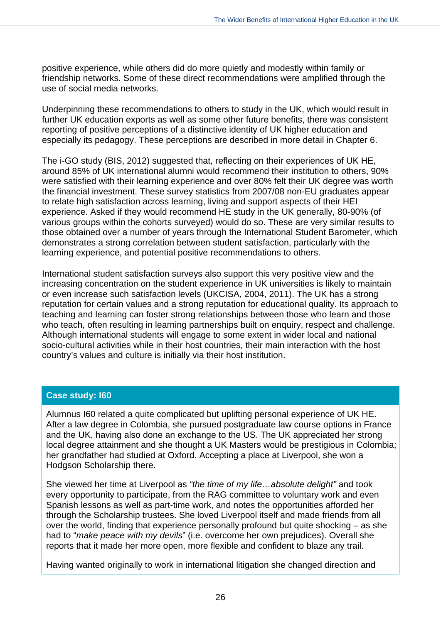positive experience, while others did do more quietly and modestly within family or friendship networks. Some of these direct recommendations were amplified through the use of social media networks.

Underpinning these recommendations to others to study in the UK, which would result in further UK education exports as well as some other future benefits, there was consistent reporting of positive perceptions of a distinctive identity of UK higher education and especially its pedagogy. These perceptions are described in more detail in Chapter 6.

The i-GO study (BIS, 2012) suggested that, reflecting on their experiences of UK HE, around 85% of UK international alumni would recommend their institution to others, 90% were satisfied with their learning experience and over 80% felt their UK degree was worth the financial investment. These survey statistics from 2007/08 non-EU graduates appear to relate high satisfaction across learning, living and support aspects of their HEI experience. Asked if they would recommend HE study in the UK generally, 80-90% (of various groups within the cohorts surveyed) would do so. These are very similar results to those obtained over a number of years through the International Student Barometer, which demonstrates a strong correlation between student satisfaction, particularly with the learning experience, and potential positive recommendations to others.

International student satisfaction surveys also support this very positive view and the increasing concentration on the student experience in UK universities is likely to maintain or even increase such satisfaction levels (UKCISA, 2004, 2011). The UK has a strong reputation for certain values and a strong reputation for educational quality. Its approach to teaching and learning can foster strong relationships between those who learn and those who teach, often resulting in learning partnerships built on enquiry, respect and challenge. Although international students will engage to some extent in wider local and national socio-cultural activities while in their host countries, their main interaction with the host country's values and culture is initially via their host institution.

#### **Case study: I60**

Alumnus I60 related a quite complicated but uplifting personal experience of UK HE. After a law degree in Colombia, she pursued postgraduate law course options in France and the UK, having also done an exchange to the US. The UK appreciated her strong local degree attainment and she thought a UK Masters would be prestigious in Colombia; her grandfather had studied at Oxford. Accepting a place at Liverpool, she won a Hodgson Scholarship there.

She viewed her time at Liverpool as *"the time of my life…absolute delight"* and took every opportunity to participate, from the RAG committee to voluntary work and even Spanish lessons as well as part-time work, and notes the opportunities afforded her through the Scholarship trustees. She loved Liverpool itself and made friends from all over the world, finding that experience personally profound but quite shocking – as she had to "*make peace with my devils*" (i.e. overcome her own prejudices). Overall she reports that it made her more open, more flexible and confident to blaze any trail.

Having wanted originally to work in international litigation she changed direction and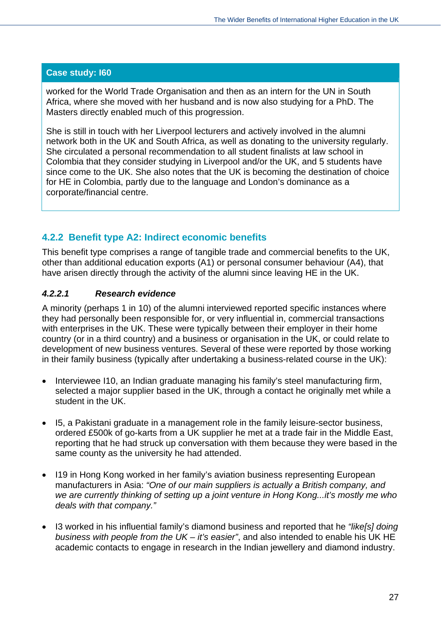worked for the World Trade Organisation and then as an intern for the UN in South Africa, where she moved with her husband and is now also studying for a PhD. The Masters directly enabled much of this progression.

She is still in touch with her Liverpool lecturers and actively involved in the alumni network both in the UK and South Africa, as well as donating to the university regularly. She circulated a personal recommendation to all student finalists at law school in Colombia that they consider studying in Liverpool and/or the UK, and 5 students have since come to the UK. She also notes that the UK is becoming the destination of choice for HE in Colombia, partly due to the language and London's dominance as a corporate/financial centre.

# **4.2.2 Benefit type A2: Indirect economic benefits**

This benefit type comprises a range of tangible trade and commercial benefits to the UK, other than additional education exports (A1) or personal consumer behaviour (A4), that have arisen directly through the activity of the alumni since leaving HE in the UK.

# *4.2.2.1 Research evidence*

A minority (perhaps 1 in 10) of the alumni interviewed reported specific instances where they had personally been responsible for, or very influential in, commercial transactions with enterprises in the UK. These were typically between their employer in their home country (or in a third country) and a business or organisation in the UK, or could relate to development of new business ventures. Several of these were reported by those working in their family business (typically after undertaking a business-related course in the UK):

- Interviewee I10, an Indian graduate managing his family's steel manufacturing firm, selected a major supplier based in the UK, through a contact he originally met while a student in the UK.
- I5, a Pakistani graduate in a management role in the family leisure-sector business, ordered £500k of go-karts from a UK supplier he met at a trade fair in the Middle East, reporting that he had struck up conversation with them because they were based in the same county as the university he had attended.
- I19 in Hong Kong worked in her family's aviation business representing European manufacturers in Asia: *"One of our main suppliers is actually a British company, and we are currently thinking of setting up a joint venture in Hong Kong...it's mostly me who deals with that company."*
- I3 worked in his influential family's diamond business and reported that he *"like[s] doing business with people from the UK – it's easier"*, and also intended to enable his UK HE academic contacts to engage in research in the Indian jewellery and diamond industry.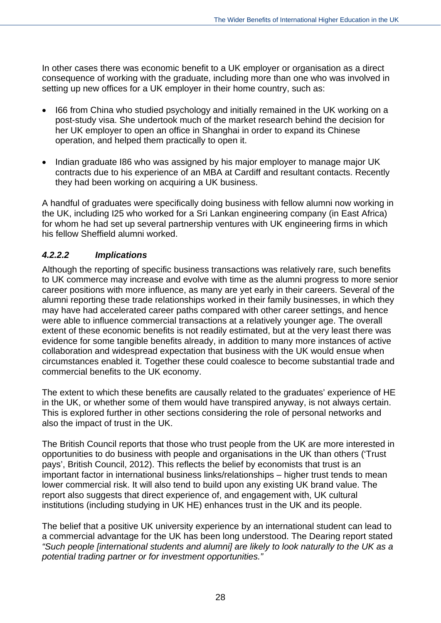In other cases there was economic benefit to a UK employer or organisation as a direct consequence of working with the graduate, including more than one who was involved in setting up new offices for a UK employer in their home country, such as:

- I66 from China who studied psychology and initially remained in the UK working on a post-study visa. She undertook much of the market research behind the decision for her UK employer to open an office in Shanghai in order to expand its Chinese operation, and helped them practically to open it.
- Indian graduate I86 who was assigned by his major employer to manage major UK contracts due to his experience of an MBA at Cardiff and resultant contacts. Recently they had been working on acquiring a UK business.

A handful of graduates were specifically doing business with fellow alumni now working in the UK, including I25 who worked for a Sri Lankan engineering company (in East Africa) for whom he had set up several partnership ventures with UK engineering firms in which his fellow Sheffield alumni worked.

#### *4.2.2.2 Implications*

Although the reporting of specific business transactions was relatively rare, such benefits to UK commerce may increase and evolve with time as the alumni progress to more senior career positions with more influence, as many are yet early in their careers. Several of the alumni reporting these trade relationships worked in their family businesses, in which they may have had accelerated career paths compared with other career settings, and hence were able to influence commercial transactions at a relatively younger age. The overall extent of these economic benefits is not readily estimated, but at the very least there was evidence for some tangible benefits already, in addition to many more instances of active collaboration and widespread expectation that business with the UK would ensue when circumstances enabled it. Together these could coalesce to become substantial trade and commercial benefits to the UK economy.

The extent to which these benefits are causally related to the graduates' experience of HE in the UK, or whether some of them would have transpired anyway, is not always certain. This is explored further in other sections considering the role of personal networks and also the impact of trust in the UK.

The British Council reports that those who trust people from the UK are more interested in opportunities to do business with people and organisations in the UK than others ('Trust pays', British Council, 2012). This reflects the belief by economists that trust is an important factor in international business links/relationships – higher trust tends to mean lower commercial risk. It will also tend to build upon any existing UK brand value. The report also suggests that direct experience of, and engagement with, UK cultural institutions (including studying in UK HE) enhances trust in the UK and its people.

The belief that a positive UK university experience by an international student can lead to a commercial advantage for the UK has been long understood. The Dearing report stated *"Such people [international students and alumni] are likely to look naturally to the UK as a potential trading partner or for investment opportunities."*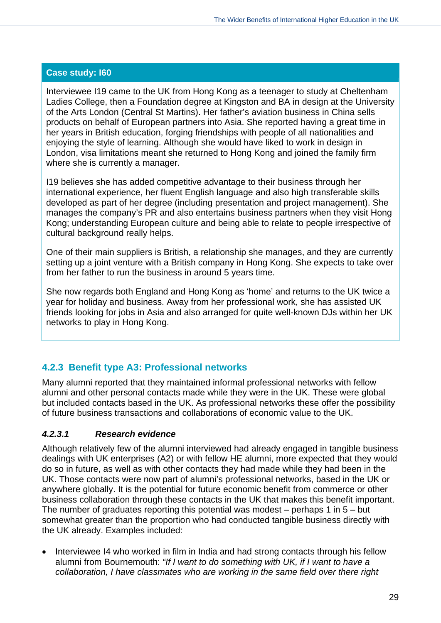Interviewee I19 came to the UK from Hong Kong as a teenager to study at Cheltenham Ladies College, then a Foundation degree at Kingston and BA in design at the University of the Arts London (Central St Martins). Her father's aviation business in China sells products on behalf of European partners into Asia. She reported having a great time in her years in British education, forging friendships with people of all nationalities and enjoying the style of learning. Although she would have liked to work in design in London, visa limitations meant she returned to Hong Kong and joined the family firm where she is currently a manager.

I19 believes she has added competitive advantage to their business through her international experience, her fluent English language and also high transferable skills developed as part of her degree (including presentation and project management). She manages the company's PR and also entertains business partners when they visit Hong Kong; understanding European culture and being able to relate to people irrespective of cultural background really helps.

One of their main suppliers is British, a relationship she manages, and they are currently setting up a joint venture with a British company in Hong Kong. She expects to take over from her father to run the business in around 5 years time.

She now regards both England and Hong Kong as 'home' and returns to the UK twice a year for holiday and business. Away from her professional work, she has assisted UK friends looking for jobs in Asia and also arranged for quite well-known DJs within her UK networks to play in Hong Kong.

# **4.2.3 Benefit type A3: Professional networks**

Many alumni reported that they maintained informal professional networks with fellow alumni and other personal contacts made while they were in the UK. These were global but included contacts based in the UK. As professional networks these offer the possibility of future business transactions and collaborations of economic value to the UK.

#### *4.2.3.1 Research evidence*

Although relatively few of the alumni interviewed had already engaged in tangible business dealings with UK enterprises (A2) or with fellow HE alumni, more expected that they would do so in future, as well as with other contacts they had made while they had been in the UK. Those contacts were now part of alumni's professional networks, based in the UK or anywhere globally. It is the potential for future economic benefit from commerce or other business collaboration through these contacts in the UK that makes this benefit important. The number of graduates reporting this potential was modest  $-$  perhaps 1 in  $5 -$  but somewhat greater than the proportion who had conducted tangible business directly with the UK already. Examples included:

 Interviewee I4 who worked in film in India and had strong contacts through his fellow alumni from Bournemouth: *"If I want to do something with UK, if I want to have a collaboration, I have classmates who are working in the same field over there right*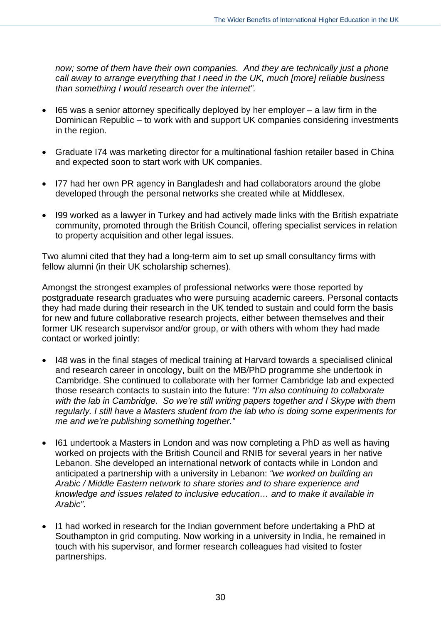*now; some of them have their own companies. And they are technically just a phone call away to arrange everything that I need in the UK, much [more] reliable business than something I would research over the internet".* 

- I65 was a senior attorney specifically deployed by her employer a law firm in the Dominican Republic – to work with and support UK companies considering investments in the region.
- Graduate I74 was marketing director for a multinational fashion retailer based in China and expected soon to start work with UK companies.
- I77 had her own PR agency in Bangladesh and had collaborators around the globe developed through the personal networks she created while at Middlesex.
- I99 worked as a lawyer in Turkey and had actively made links with the British expatriate community, promoted through the British Council, offering specialist services in relation to property acquisition and other legal issues.

Two alumni cited that they had a long-term aim to set up small consultancy firms with fellow alumni (in their UK scholarship schemes).

Amongst the strongest examples of professional networks were those reported by postgraduate research graduates who were pursuing academic careers. Personal contacts they had made during their research in the UK tended to sustain and could form the basis for new and future collaborative research projects, either between themselves and their former UK research supervisor and/or group, or with others with whom they had made contact or worked jointly:

- I48 was in the final stages of medical training at Harvard towards a specialised clinical and research career in oncology, built on the MB/PhD programme she undertook in Cambridge. She continued to collaborate with her former Cambridge lab and expected those research contacts to sustain into the future: *"I'm also continuing to collaborate with the lab in Cambridge. So we're still writing papers together and I Skype with them regularly. I still have a Masters student from the lab who is doing some experiments for me and we're publishing something together."*
- I61 undertook a Masters in London and was now completing a PhD as well as having worked on projects with the British Council and RNIB for several years in her native Lebanon. She developed an international network of contacts while in London and anticipated a partnership with a university in Lebanon: *"we worked on building an Arabic / Middle Eastern network to share stories and to share experience and knowledge and issues related to inclusive education… and to make it available in Arabic"*.
- I1 had worked in research for the Indian government before undertaking a PhD at Southampton in grid computing. Now working in a university in India, he remained in touch with his supervisor, and former research colleagues had visited to foster partnerships.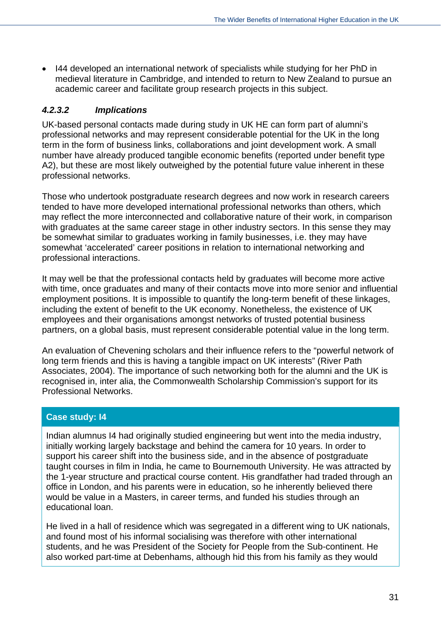I44 developed an international network of specialists while studying for her PhD in medieval literature in Cambridge, and intended to return to New Zealand to pursue an academic career and facilitate group research projects in this subject.

#### *4.2.3.2 Implications*

UK-based personal contacts made during study in UK HE can form part of alumni's professional networks and may represent considerable potential for the UK in the long term in the form of business links, collaborations and joint development work. A small number have already produced tangible economic benefits (reported under benefit type A2), but these are most likely outweighed by the potential future value inherent in these professional networks.

Those who undertook postgraduate research degrees and now work in research careers tended to have more developed international professional networks than others, which may reflect the more interconnected and collaborative nature of their work, in comparison with graduates at the same career stage in other industry sectors. In this sense they may be somewhat similar to graduates working in family businesses, i.e. they may have somewhat 'accelerated' career positions in relation to international networking and professional interactions.

It may well be that the professional contacts held by graduates will become more active with time, once graduates and many of their contacts move into more senior and influential employment positions. It is impossible to quantify the long-term benefit of these linkages, including the extent of benefit to the UK economy. Nonetheless, the existence of UK employees and their organisations amongst networks of trusted potential business partners, on a global basis, must represent considerable potential value in the long term.

An evaluation of Chevening scholars and their influence refers to the "powerful network of long term friends and this is having a tangible impact on UK interests" (River Path Associates, 2004). The importance of such networking both for the alumni and the UK is recognised in, inter alia, the Commonwealth Scholarship Commission's support for its Professional Networks.

#### **Case study: I4**

Indian alumnus I4 had originally studied engineering but went into the media industry, initially working largely backstage and behind the camera for 10 years. In order to support his career shift into the business side, and in the absence of postgraduate taught courses in film in India, he came to Bournemouth University. He was attracted by the 1-year structure and practical course content. His grandfather had traded through an office in London, and his parents were in education, so he inherently believed there would be value in a Masters, in career terms, and funded his studies through an educational loan.

He lived in a hall of residence which was segregated in a different wing to UK nationals, and found most of his informal socialising was therefore with other international students, and he was President of the Society for People from the Sub-continent. He also worked part-time at Debenhams, although hid this from his family as they would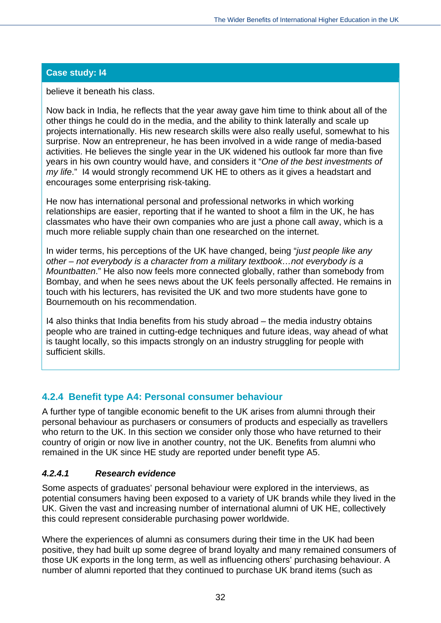believe it beneath his class.

Now back in India, he reflects that the year away gave him time to think about all of the other things he could do in the media, and the ability to think laterally and scale up projects internationally. His new research skills were also really useful, somewhat to his surprise. Now an entrepreneur, he has been involved in a wide range of media-based activities. He believes the single year in the UK widened his outlook far more than five years in his own country would have, and considers it "*One of the best investments of my life*." I4 would strongly recommend UK HE to others as it gives a headstart and encourages some enterprising risk-taking.

He now has international personal and professional networks in which working relationships are easier, reporting that if he wanted to shoot a film in the UK, he has classmates who have their own companies who are just a phone call away, which is a much more reliable supply chain than one researched on the internet.

In wider terms, his perceptions of the UK have changed, being "*just people like any other – not everybody is a character from a military textbook…not everybody is a Mountbatten*." He also now feels more connected globally, rather than somebody from Bombay, and when he sees news about the UK feels personally affected. He remains in touch with his lecturers, has revisited the UK and two more students have gone to Bournemouth on his recommendation.

I4 also thinks that India benefits from his study abroad – the media industry obtains people who are trained in cutting-edge techniques and future ideas, way ahead of what is taught locally, so this impacts strongly on an industry struggling for people with sufficient skills.

# **4.2.4 Benefit type A4: Personal consumer behaviour**

A further type of tangible economic benefit to the UK arises from alumni through their personal behaviour as purchasers or consumers of products and especially as travellers who return to the UK. In this section we consider only those who have returned to their country of origin or now live in another country, not the UK. Benefits from alumni who remained in the UK since HE study are reported under benefit type A5.

# *4.2.4.1 Research evidence*

Some aspects of graduates' personal behaviour were explored in the interviews, as potential consumers having been exposed to a variety of UK brands while they lived in the UK. Given the vast and increasing number of international alumni of UK HE, collectively this could represent considerable purchasing power worldwide.

Where the experiences of alumni as consumers during their time in the UK had been positive, they had built up some degree of brand loyalty and many remained consumers of those UK exports in the long term, as well as influencing others' purchasing behaviour. A number of alumni reported that they continued to purchase UK brand items (such as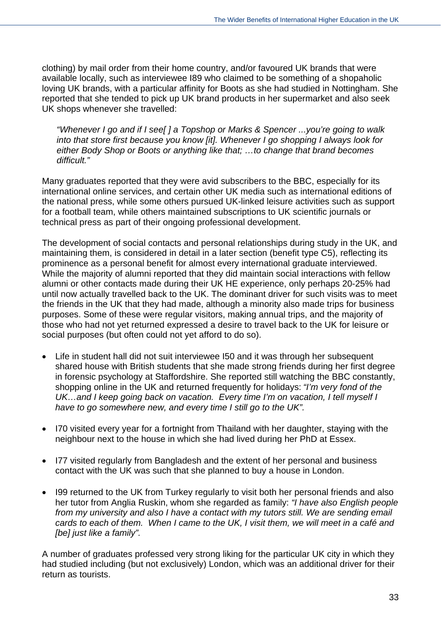clothing) by mail order from their home country, and/or favoured UK brands that were available locally, such as interviewee I89 who claimed to be something of a shopaholic loving UK brands, with a particular affinity for Boots as she had studied in Nottingham. She reported that she tended to pick up UK brand products in her supermarket and also seek UK shops whenever she travelled:

*"Whenever I go and if I see[ ] a Topshop or Marks & Spencer ...you're going to walk into that store first because you know [it]. Whenever I go shopping I always look for either Body Shop or Boots or anything like that; …to change that brand becomes difficult."* 

Many graduates reported that they were avid subscribers to the BBC, especially for its international online services, and certain other UK media such as international editions of the national press, while some others pursued UK-linked leisure activities such as support for a football team, while others maintained subscriptions to UK scientific journals or technical press as part of their ongoing professional development.

The development of social contacts and personal relationships during study in the UK, and maintaining them, is considered in detail in a later section (benefit type C5), reflecting its prominence as a personal benefit for almost every international graduate interviewed. While the majority of alumni reported that they did maintain social interactions with fellow alumni or other contacts made during their UK HE experience, only perhaps 20-25% had until now actually travelled back to the UK. The dominant driver for such visits was to meet the friends in the UK that they had made, although a minority also made trips for business purposes. Some of these were regular visitors, making annual trips, and the majority of those who had not yet returned expressed a desire to travel back to the UK for leisure or social purposes (but often could not yet afford to do so).

- Life in student hall did not suit interviewee I50 and it was through her subsequent shared house with British students that she made strong friends during her first degree in forensic psychology at Staffordshire. She reported still watching the BBC constantly, shopping online in the UK and returned frequently for holidays: *"I'm very fond of the UK…and I keep going back on vacation. Every time I'm on vacation, I tell myself I have to go somewhere new, and every time I still go to the UK".*
- I70 visited every year for a fortnight from Thailand with her daughter, staying with the neighbour next to the house in which she had lived during her PhD at Essex.
- I77 visited regularly from Bangladesh and the extent of her personal and business contact with the UK was such that she planned to buy a house in London.
- I99 returned to the UK from Turkey regularly to visit both her personal friends and also her tutor from Anglia Ruskin, whom she regarded as family: *"I have also English people from my university and also I have a contact with my tutors still. We are sending email cards to each of them. When I came to the UK, I visit them, we will meet in a café and [be] just like a family".*

A number of graduates professed very strong liking for the particular UK city in which they had studied including (but not exclusively) London, which was an additional driver for their return as tourists.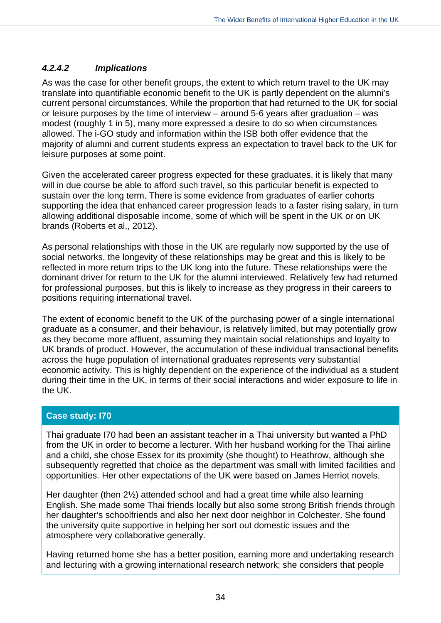# *4.2.4.2 Implications*

As was the case for other benefit groups, the extent to which return travel to the UK may translate into quantifiable economic benefit to the UK is partly dependent on the alumni's current personal circumstances. While the proportion that had returned to the UK for social or leisure purposes by the time of interview – around 5-6 years after graduation – was modest (roughly 1 in 5), many more expressed a desire to do so when circumstances allowed. The i-GO study and information within the ISB both offer evidence that the majority of alumni and current students express an expectation to travel back to the UK for leisure purposes at some point.

Given the accelerated career progress expected for these graduates, it is likely that many will in due course be able to afford such travel, so this particular benefit is expected to sustain over the long term. There is some evidence from graduates of earlier cohorts supporting the idea that enhanced career progression leads to a faster rising salary, in turn allowing additional disposable income, some of which will be spent in the UK or on UK brands (Roberts et al., 2012).

As personal relationships with those in the UK are regularly now supported by the use of social networks, the longevity of these relationships may be great and this is likely to be reflected in more return trips to the UK long into the future. These relationships were the dominant driver for return to the UK for the alumni interviewed. Relatively few had returned for professional purposes, but this is likely to increase as they progress in their careers to positions requiring international travel.

The extent of economic benefit to the UK of the purchasing power of a single international graduate as a consumer, and their behaviour, is relatively limited, but may potentially grow as they become more affluent, assuming they maintain social relationships and loyalty to UK brands of product. However, the accumulation of these individual transactional benefits across the huge population of international graduates represents very substantial economic activity. This is highly dependent on the experience of the individual as a student during their time in the UK, in terms of their social interactions and wider exposure to life in the UK.

# **Case study: I70**

Thai graduate I70 had been an assistant teacher in a Thai university but wanted a PhD from the UK in order to become a lecturer. With her husband working for the Thai airline and a child, she chose Essex for its proximity (she thought) to Heathrow, although she subsequently regretted that choice as the department was small with limited facilities and opportunities. Her other expectations of the UK were based on James Herriot novels.

Her daughter (then 2½) attended school and had a great time while also learning English. She made some Thai friends locally but also some strong British friends through her daughter's schoolfriends and also her next door neighbor in Colchester. She found the university quite supportive in helping her sort out domestic issues and the atmosphere very collaborative generally.

Having returned home she has a better position, earning more and undertaking research and lecturing with a growing international research network; she considers that people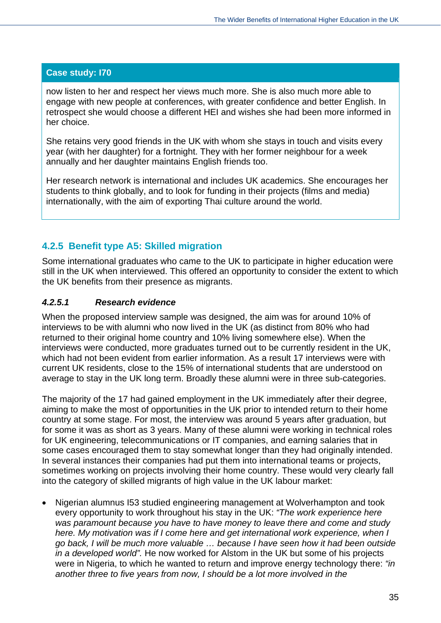now listen to her and respect her views much more. She is also much more able to engage with new people at conferences, with greater confidence and better English. In retrospect she would choose a different HEI and wishes she had been more informed in her choice.

She retains very good friends in the UK with whom she stays in touch and visits every year (with her daughter) for a fortnight. They with her former neighbour for a week annually and her daughter maintains English friends too.

Her research network is international and includes UK academics. She encourages her students to think globally, and to look for funding in their projects (films and media) internationally, with the aim of exporting Thai culture around the world.

# **4.2.5 Benefit type A5: Skilled migration**

Some international graduates who came to the UK to participate in higher education were still in the UK when interviewed. This offered an opportunity to consider the extent to which the UK benefits from their presence as migrants.

# *4.2.5.1 Research evidence*

When the proposed interview sample was designed, the aim was for around 10% of interviews to be with alumni who now lived in the UK (as distinct from 80% who had returned to their original home country and 10% living somewhere else). When the interviews were conducted, more graduates turned out to be currently resident in the UK, which had not been evident from earlier information. As a result 17 interviews were with current UK residents, close to the 15% of international students that are understood on average to stay in the UK long term. Broadly these alumni were in three sub-categories.

The majority of the 17 had gained employment in the UK immediately after their degree, aiming to make the most of opportunities in the UK prior to intended return to their home country at some stage. For most, the interview was around 5 years after graduation, but for some it was as short as 3 years. Many of these alumni were working in technical roles for UK engineering, telecommunications or IT companies, and earning salaries that in some cases encouraged them to stay somewhat longer than they had originally intended. In several instances their companies had put them into international teams or projects, sometimes working on projects involving their home country. These would very clearly fall into the category of skilled migrants of high value in the UK labour market:

 Nigerian alumnus I53 studied engineering management at Wolverhampton and took every opportunity to work throughout his stay in the UK: *"The work experience here was paramount because you have to have money to leave there and come and study here. My motivation was if I come here and get international work experience, when I go back, I will be much more valuable … because I have seen how it had been outside in a developed world".* He now worked for Alstom in the UK but some of his projects were in Nigeria, to which he wanted to return and improve energy technology there: *"in another three to five years from now, I should be a lot more involved in the*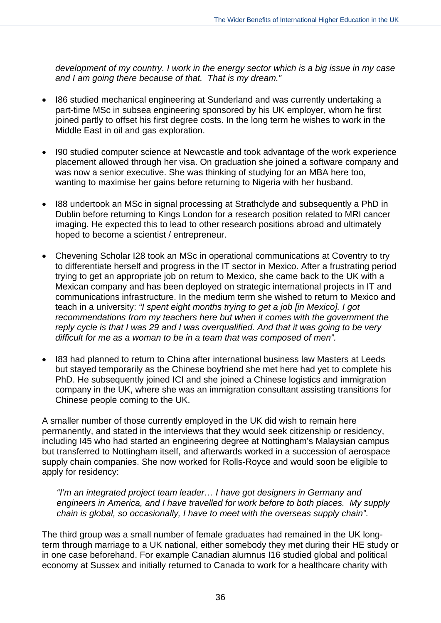*development of my country. I work in the energy sector which is a big issue in my case and I am going there because of that. That is my dream."* 

- I86 studied mechanical engineering at Sunderland and was currently undertaking a part-time MSc in subsea engineering sponsored by his UK employer, whom he first joined partly to offset his first degree costs. In the long term he wishes to work in the Middle East in oil and gas exploration.
- I90 studied computer science at Newcastle and took advantage of the work experience placement allowed through her visa. On graduation she joined a software company and was now a senior executive. She was thinking of studying for an MBA here too, wanting to maximise her gains before returning to Nigeria with her husband.
- I88 undertook an MSc in signal processing at Strathclyde and subsequently a PhD in Dublin before returning to Kings London for a research position related to MRI cancer imaging. He expected this to lead to other research positions abroad and ultimately hoped to become a scientist / entrepreneur.
- Chevening Scholar I28 took an MSc in operational communications at Coventry to try to differentiate herself and progress in the IT sector in Mexico. After a frustrating period trying to get an appropriate job on return to Mexico, she came back to the UK with a Mexican company and has been deployed on strategic international projects in IT and communications infrastructure. In the medium term she wished to return to Mexico and teach in a university: *"I spent eight months trying to get a job [in Mexico]. I got*  recommendations from my teachers here but when it comes with the government the *reply cycle is that I was 29 and I was overqualified. And that it was going to be very difficult for me as a woman to be in a team that was composed of men".*
- I83 had planned to return to China after international business law Masters at Leeds but stayed temporarily as the Chinese boyfriend she met here had yet to complete his PhD. He subsequently joined ICI and she joined a Chinese logistics and immigration company in the UK, where she was an immigration consultant assisting transitions for Chinese people coming to the UK.

A smaller number of those currently employed in the UK did wish to remain here permanently, and stated in the interviews that they would seek citizenship or residency, including I45 who had started an engineering degree at Nottingham's Malaysian campus but transferred to Nottingham itself, and afterwards worked in a succession of aerospace supply chain companies. She now worked for Rolls-Royce and would soon be eligible to apply for residency:

*"I'm an integrated project team leader… I have got designers in Germany and engineers in America, and I have travelled for work before to both places. My supply chain is global, so occasionally, I have to meet with the overseas supply chain"*.

The third group was a small number of female graduates had remained in the UK longterm through marriage to a UK national, either somebody they met during their HE study or in one case beforehand. For example Canadian alumnus I16 studied global and political economy at Sussex and initially returned to Canada to work for a healthcare charity with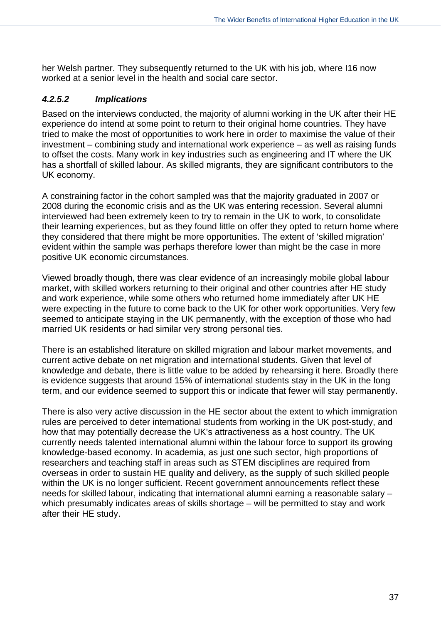her Welsh partner. They subsequently returned to the UK with his job, where I16 now worked at a senior level in the health and social care sector.

#### *4.2.5.2 Implications*

Based on the interviews conducted, the majority of alumni working in the UK after their HE experience do intend at some point to return to their original home countries. They have tried to make the most of opportunities to work here in order to maximise the value of their investment – combining study and international work experience – as well as raising funds to offset the costs. Many work in key industries such as engineering and IT where the UK has a shortfall of skilled labour. As skilled migrants, they are significant contributors to the UK economy.

A constraining factor in the cohort sampled was that the majority graduated in 2007 or 2008 during the economic crisis and as the UK was entering recession. Several alumni interviewed had been extremely keen to try to remain in the UK to work, to consolidate their learning experiences, but as they found little on offer they opted to return home where they considered that there might be more opportunities. The extent of 'skilled migration' evident within the sample was perhaps therefore lower than might be the case in more positive UK economic circumstances.

Viewed broadly though, there was clear evidence of an increasingly mobile global labour market, with skilled workers returning to their original and other countries after HE study and work experience, while some others who returned home immediately after UK HE were expecting in the future to come back to the UK for other work opportunities. Very few seemed to anticipate staying in the UK permanently, with the exception of those who had married UK residents or had similar very strong personal ties.

There is an established literature on skilled migration and labour market movements, and current active debate on net migration and international students. Given that level of knowledge and debate, there is little value to be added by rehearsing it here. Broadly there is evidence suggests that around 15% of international students stay in the UK in the long term, and our evidence seemed to support this or indicate that fewer will stay permanently.

There is also very active discussion in the HE sector about the extent to which immigration rules are perceived to deter international students from working in the UK post-study, and how that may potentially decrease the UK's attractiveness as a host country. The UK currently needs talented international alumni within the labour force to support its growing knowledge-based economy. In academia, as just one such sector, high proportions of researchers and teaching staff in areas such as STEM disciplines are required from overseas in order to sustain HE quality and delivery, as the supply of such skilled people within the UK is no longer sufficient. Recent government announcements reflect these needs for skilled labour, indicating that international alumni earning a reasonable salary – which presumably indicates areas of skills shortage – will be permitted to stay and work after their HE study.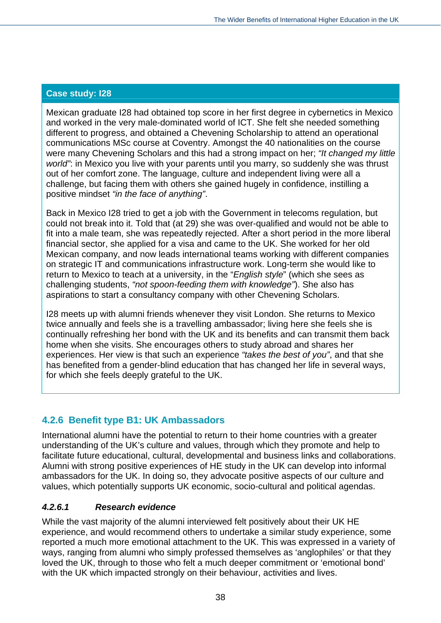Mexican graduate I28 had obtained top score in her first degree in cybernetics in Mexico and worked in the very male-dominated world of ICT. She felt she needed something different to progress, and obtained a Chevening Scholarship to attend an operational communications MSc course at Coventry. Amongst the 40 nationalities on the course were many Chevening Scholars and this had a strong impact on her; *"It changed my little world"*: in Mexico you live with your parents until you marry, so suddenly she was thrust out of her comfort zone. The language, culture and independent living were all a challenge, but facing them with others she gained hugely in confidence, instilling a positive mindset *"in the face of anything"*.

Back in Mexico I28 tried to get a job with the Government in telecoms regulation, but could not break into it. Told that (at 29) she was over-qualified and would not be able to fit into a male team, she was repeatedly rejected. After a short period in the more liberal financial sector, she applied for a visa and came to the UK. She worked for her old Mexican company, and now leads international teams working with different companies on strategic IT and communications infrastructure work. Long-term she would like to return to Mexico to teach at a university, in the "*English style*" (which she sees as challenging students, *"not spoon-feeding them with knowledge"*). She also has aspirations to start a consultancy company with other Chevening Scholars.

I28 meets up with alumni friends whenever they visit London. She returns to Mexico twice annually and feels she is a travelling ambassador; living here she feels she is continually refreshing her bond with the UK and its benefits and can transmit them back home when she visits. She encourages others to study abroad and shares her experiences. Her view is that such an experience *"takes the best of you"*, and that she has benefited from a gender-blind education that has changed her life in several ways, for which she feels deeply grateful to the UK.

# **4.2.6 Benefit type B1: UK Ambassadors**

International alumni have the potential to return to their home countries with a greater understanding of the UK's culture and values, through which they promote and help to facilitate future educational, cultural, developmental and business links and collaborations. Alumni with strong positive experiences of HE study in the UK can develop into informal ambassadors for the UK. In doing so, they advocate positive aspects of our culture and values, which potentially supports UK economic, socio-cultural and political agendas.

# *4.2.6.1 Research evidence*

While the vast majority of the alumni interviewed felt positively about their UK HE experience, and would recommend others to undertake a similar study experience, some reported a much more emotional attachment to the UK. This was expressed in a variety of ways, ranging from alumni who simply professed themselves as 'anglophiles' or that they loved the UK, through to those who felt a much deeper commitment or 'emotional bond' with the UK which impacted strongly on their behaviour, activities and lives.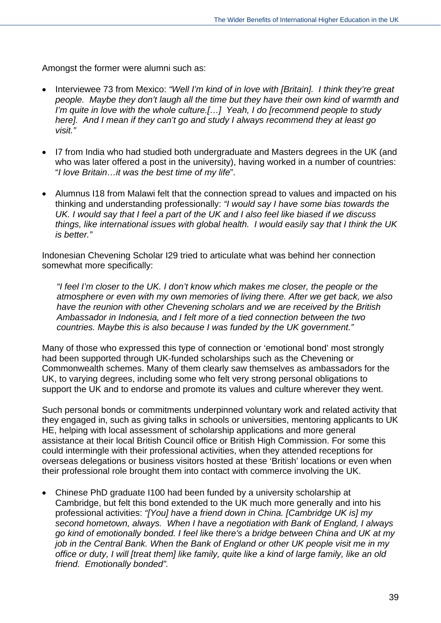Amongst the former were alumni such as:

- Interviewee 73 from Mexico: *"Well I'm kind of in love with [Britain]. I think they're great people. Maybe they don't laugh all the time but they have their own kind of warmth and I'm quite in love with the whole culture.[…] Yeah, I do [recommend people to study here]. And I mean if they can't go and study I always recommend they at least go visit."*
- I7 from India who had studied both undergraduate and Masters degrees in the UK (and who was later offered a post in the university), having worked in a number of countries: "*I love Britain…it was the best time of my life*".
- Alumnus I18 from Malawi felt that the connection spread to values and impacted on his thinking and understanding professionally: *"I would say I have some bias towards the UK. I would say that I feel a part of the UK and I also feel like biased if we discuss things, like international issues with global health. I would easily say that I think the UK is better."*

Indonesian Chevening Scholar I29 tried to articulate what was behind her connection somewhat more specifically:

*"I feel I'm closer to the UK. I don't know which makes me closer, the people or the atmosphere or even with my own memories of living there. After we get back, we also have the reunion with other Chevening scholars and we are received by the British Ambassador in Indonesia, and I felt more of a tied connection between the two countries. Maybe this is also because I was funded by the UK government."*

Many of those who expressed this type of connection or 'emotional bond' most strongly had been supported through UK-funded scholarships such as the Chevening or Commonwealth schemes. Many of them clearly saw themselves as ambassadors for the UK, to varying degrees, including some who felt very strong personal obligations to support the UK and to endorse and promote its values and culture wherever they went.

Such personal bonds or commitments underpinned voluntary work and related activity that they engaged in, such as giving talks in schools or universities, mentoring applicants to UK HE, helping with local assessment of scholarship applications and more general assistance at their local British Council office or British High Commission. For some this could intermingle with their professional activities, when they attended receptions for overseas delegations or business visitors hosted at these 'British' locations or even when their professional role brought them into contact with commerce involving the UK.

 Chinese PhD graduate I100 had been funded by a university scholarship at Cambridge, but felt this bond extended to the UK much more generally and into his professional activities: *"[You] have a friend down in China. [Cambridge UK is] my second hometown, always. When I have a negotiation with Bank of England, I always go kind of emotionally bonded. I feel like there's a bridge between China and UK at my job in the Central Bank. When the Bank of England or other UK people visit me in my office or duty, I will [treat them] like family, quite like a kind of large family, like an old friend. Emotionally bonded".*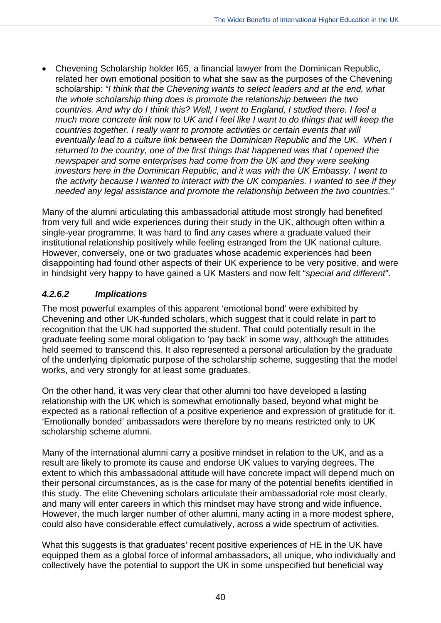Chevening Scholarship holder I65, a financial lawyer from the Dominican Republic, related her own emotional position to what she saw as the purposes of the Chevening scholarship: *"I think that the Chevening wants to select leaders and at the end, what the whole scholarship thing does is promote the relationship between the two countries. And why do I think this? Well, I went to England, I studied there. I feel a much more concrete link now to UK and I feel like I want to do things that will keep the countries together. I really want to promote activities or certain events that will eventually lead to a culture link between the Dominican Republic and the UK. When I returned to the country, one of the first things that happened was that I opened the newspaper and some enterprises had come from the UK and they were seeking investors here in the Dominican Republic, and it was with the UK Embassy. I went to the activity because I wanted to interact with the UK companies. I wanted to see if they needed any legal assistance and promote the relationship between the two countries."* 

Many of the alumni articulating this ambassadorial attitude most strongly had benefited from very full and wide experiences during their study in the UK, although often within a single-year programme. It was hard to find any cases where a graduate valued their institutional relationship positively while feeling estranged from the UK national culture. However, conversely, one or two graduates whose academic experiences had been disappointing had found other aspects of their UK experience to be very positive, and were in hindsight very happy to have gained a UK Masters and now felt "*special and different*".

# *4.2.6.2 Implications*

The most powerful examples of this apparent 'emotional bond' were exhibited by Chevening and other UK-funded scholars, which suggest that it could relate in part to recognition that the UK had supported the student. That could potentially result in the graduate feeling some moral obligation to 'pay back' in some way, although the attitudes held seemed to transcend this. It also represented a personal articulation by the graduate of the underlying diplomatic purpose of the scholarship scheme, suggesting that the model works, and very strongly for at least some graduates.

On the other hand, it was very clear that other alumni too have developed a lasting relationship with the UK which is somewhat emotionally based, beyond what might be expected as a rational reflection of a positive experience and expression of gratitude for it. 'Emotionally bonded' ambassadors were therefore by no means restricted only to UK scholarship scheme alumni.

Many of the international alumni carry a positive mindset in relation to the UK, and as a result are likely to promote its cause and endorse UK values to varying degrees. The extent to which this ambassadorial attitude will have concrete impact will depend much on their personal circumstances, as is the case for many of the potential benefits identified in this study. The elite Chevening scholars articulate their ambassadorial role most clearly, and many will enter careers in which this mindset may have strong and wide influence. However, the much larger number of other alumni, many acting in a more modest sphere, could also have considerable effect cumulatively, across a wide spectrum of activities.

What this suggests is that graduates' recent positive experiences of HE in the UK have equipped them as a global force of informal ambassadors, all unique, who individually and collectively have the potential to support the UK in some unspecified but beneficial way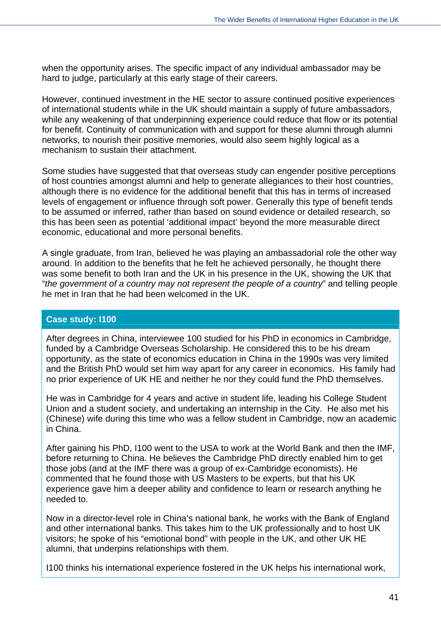when the opportunity arises. The specific impact of any individual ambassador may be hard to judge, particularly at this early stage of their careers.

However, continued investment in the HE sector to assure continued positive experiences of international students while in the UK should maintain a supply of future ambassadors, while any weakening of that underpinning experience could reduce that flow or its potential for benefit. Continuity of communication with and support for these alumni through alumni networks, to nourish their positive memories, would also seem highly logical as a mechanism to sustain their attachment.

Some studies have suggested that that overseas study can engender positive perceptions of host countries amongst alumni and help to generate allegiances to their host countries, although there is no evidence for the additional benefit that this has in terms of increased levels of engagement or influence through soft power. Generally this type of benefit tends to be assumed or inferred, rather than based on sound evidence or detailed research, so this has been seen as potential 'additional impact' beyond the more measurable direct economic, educational and more personal benefits.

A single graduate, from Iran, believed he was playing an ambassadorial role the other way around. In addition to the benefits that he felt he achieved personally, he thought there was some benefit to both Iran and the UK in his presence in the UK, showing the UK that "*the government of a country may not represent the people of a country*" and telling people he met in Iran that he had been welcomed in the UK.

#### **Case study: I100**

After degrees in China, interviewee 100 studied for his PhD in economics in Cambridge, funded by a Cambridge Overseas Scholarship. He considered this to be his dream opportunity, as the state of economics education in China in the 1990s was very limited and the British PhD would set him way apart for any career in economics. His family had no prior experience of UK HE and neither he nor they could fund the PhD themselves.

He was in Cambridge for 4 years and active in student life, leading his College Student Union and a student society, and undertaking an internship in the City. He also met his (Chinese) wife during this time who was a fellow student in Cambridge, now an academic in China.

After gaining his PhD, I100 went to the USA to work at the World Bank and then the IMF, before returning to China. He believes the Cambridge PhD directly enabled him to get those jobs (and at the IMF there was a group of ex-Cambridge economists). He commented that he found those with US Masters to be experts, but that his UK experience gave him a deeper ability and confidence to learn or research anything he needed to.

Now in a director-level role in China's national bank, he works with the Bank of England and other international banks. This takes him to the UK professionally and to host UK visitors; he spoke of his "emotional bond" with people in the UK, and other UK HE alumni, that underpins relationships with them.

I100 thinks his international experience fostered in the UK helps his international work,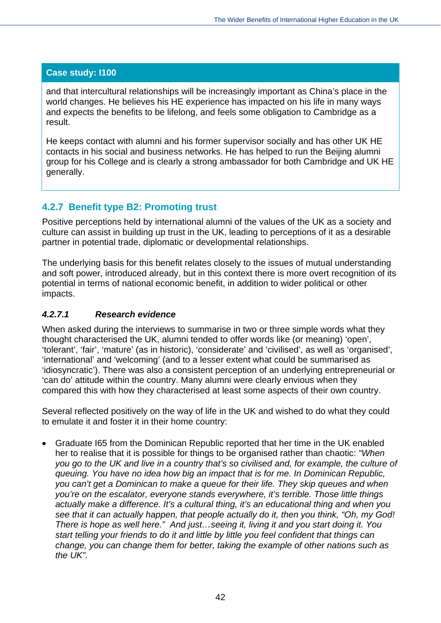and that intercultural relationships will be increasingly important as China's place in the world changes. He believes his HE experience has impacted on his life in many ways and expects the benefits to be lifelong, and feels some obligation to Cambridge as a result.

He keeps contact with alumni and his former supervisor socially and has other UK HE contacts in his social and business networks. He has helped to run the Beijing alumni group for his College and is clearly a strong ambassador for both Cambridge and UK HE generally.

#### **4.2.7 Benefit type B2: Promoting trust**

Positive perceptions held by international alumni of the values of the UK as a society and culture can assist in building up trust in the UK, leading to perceptions of it as a desirable partner in potential trade, diplomatic or developmental relationships.

The underlying basis for this benefit relates closely to the issues of mutual understanding and soft power, introduced already, but in this context there is more overt recognition of its potential in terms of national economic benefit, in addition to wider political or other impacts.

#### *4.2.7.1 Research evidence*

When asked during the interviews to summarise in two or three simple words what they thought characterised the UK, alumni tended to offer words like (or meaning) 'open', 'tolerant', 'fair', 'mature' (as in historic), 'considerate' and 'civilised', as well as 'organised', 'international' and 'welcoming' (and to a lesser extent what could be summarised as 'idiosyncratic'). There was also a consistent perception of an underlying entrepreneurial or 'can do' attitude within the country. Many alumni were clearly envious when they compared this with how they characterised at least some aspects of their own country.

Several reflected positively on the way of life in the UK and wished to do what they could to emulate it and foster it in their home country:

 Graduate I65 from the Dominican Republic reported that her time in the UK enabled her to realise that it is possible for things to be organised rather than chaotic: *"When you go to the UK and live in a country that's so civilised and, for example, the culture of queuing. You have no idea how big an impact that is for me. In Dominican Republic, you can't get a Dominican to make a queue for their life. They skip queues and when you're on the escalator, everyone stands everywhere, it's terrible. Those little things actually make a difference. It's a cultural thing, it's an educational thing and when you see that it can actually happen, that people actually do it, then you think, "Oh, my God! There is hope as well here." And just…seeing it, living it and you start doing it. You start telling your friends to do it and little by little you feel confident that things can change, you can change them for better, taking the example of other nations such as the UK".*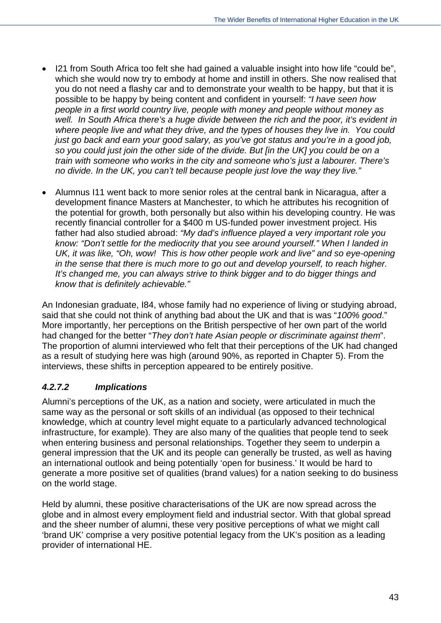- I21 from South Africa too felt she had gained a valuable insight into how life "could be", which she would now try to embody at home and instill in others. She now realised that you do not need a flashy car and to demonstrate your wealth to be happy, but that it is possible to be happy by being content and confident in yourself: *"I have seen how people in a first world country live, people with money and people without money as well. In South Africa there's a huge divide between the rich and the poor, it's evident in where people live and what they drive, and the types of houses they live in. You could just go back and earn your good salary, as you've got status and you're in a good job, so you could just join the other side of the divide. But [in the UK] you could be on a train with someone who works in the city and someone who's just a labourer. There's no divide. In the UK, you can't tell because people just love the way they live."*
- Alumnus I11 went back to more senior roles at the central bank in Nicaragua, after a development finance Masters at Manchester, to which he attributes his recognition of the potential for growth, both personally but also within his developing country. He was recently financial controller for a \$400 m US-funded power investment project. His father had also studied abroad: *"My dad's influence played a very important role you know: "Don't settle for the mediocrity that you see around yourself." When I landed in UK, it was like, "Oh, wow! This is how other people work and live" and so eye-opening in the sense that there is much more to go out and develop yourself, to reach higher. It's changed me, you can always strive to think bigger and to do bigger things and know that is definitely achievable."*

An Indonesian graduate, I84, whose family had no experience of living or studying abroad, said that she could not think of anything bad about the UK and that is was "*100% good*." More importantly, her perceptions on the British perspective of her own part of the world had changed for the better "*They don't hate Asian people or discriminate against them*". The proportion of alumni interviewed who felt that their perceptions of the UK had changed as a result of studying here was high (around 90%, as reported in Chapter 5). From the interviews, these shifts in perception appeared to be entirely positive.

# *4.2.7.2 Implications*

Alumni's perceptions of the UK, as a nation and society, were articulated in much the same way as the personal or soft skills of an individual (as opposed to their technical knowledge, which at country level might equate to a particularly advanced technological infrastructure, for example). They are also many of the qualities that people tend to seek when entering business and personal relationships. Together they seem to underpin a general impression that the UK and its people can generally be trusted, as well as having an international outlook and being potentially 'open for business.' It would be hard to generate a more positive set of qualities (brand values) for a nation seeking to do business on the world stage.

Held by alumni, these positive characterisations of the UK are now spread across the globe and in almost every employment field and industrial sector. With that global spread and the sheer number of alumni, these very positive perceptions of what we might call 'brand UK' comprise a very positive potential legacy from the UK's position as a leading provider of international HE.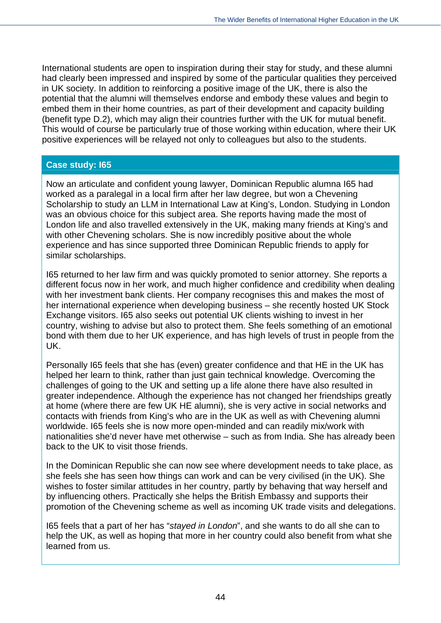International students are open to inspiration during their stay for study, and these alumni had clearly been impressed and inspired by some of the particular qualities they perceived in UK society. In addition to reinforcing a positive image of the UK, there is also the potential that the alumni will themselves endorse and embody these values and begin to embed them in their home countries, as part of their development and capacity building (benefit type D.2), which may align their countries further with the UK for mutual benefit. This would of course be particularly true of those working within education, where their UK positive experiences will be relayed not only to colleagues but also to the students.

#### **Case study: I65**

Now an articulate and confident young lawyer, Dominican Republic alumna I65 had worked as a paralegal in a local firm after her law degree, but won a Chevening Scholarship to study an LLM in International Law at King's, London. Studying in London was an obvious choice for this subject area. She reports having made the most of London life and also travelled extensively in the UK, making many friends at King's and with other Chevening scholars. She is now incredibly positive about the whole experience and has since supported three Dominican Republic friends to apply for similar scholarships.

I65 returned to her law firm and was quickly promoted to senior attorney. She reports a different focus now in her work, and much higher confidence and credibility when dealing with her investment bank clients. Her company recognises this and makes the most of her international experience when developing business – she recently hosted UK Stock Exchange visitors. I65 also seeks out potential UK clients wishing to invest in her country, wishing to advise but also to protect them. She feels something of an emotional bond with them due to her UK experience, and has high levels of trust in people from the UK.

Personally I65 feels that she has (even) greater confidence and that HE in the UK has helped her learn to think, rather than just gain technical knowledge. Overcoming the challenges of going to the UK and setting up a life alone there have also resulted in greater independence. Although the experience has not changed her friendships greatly at home (where there are few UK HE alumni), she is very active in social networks and contacts with friends from King's who are in the UK as well as with Chevening alumni worldwide. I65 feels she is now more open-minded and can readily mix/work with nationalities she'd never have met otherwise – such as from India. She has already been back to the UK to visit those friends.

In the Dominican Republic she can now see where development needs to take place, as she feels she has seen how things can work and can be very civilised (in the UK). She wishes to foster similar attitudes in her country, partly by behaving that way herself and by influencing others. Practically she helps the British Embassy and supports their promotion of the Chevening scheme as well as incoming UK trade visits and delegations.

I65 feels that a part of her has "*stayed in London*", and she wants to do all she can to help the UK, as well as hoping that more in her country could also benefit from what she learned from us.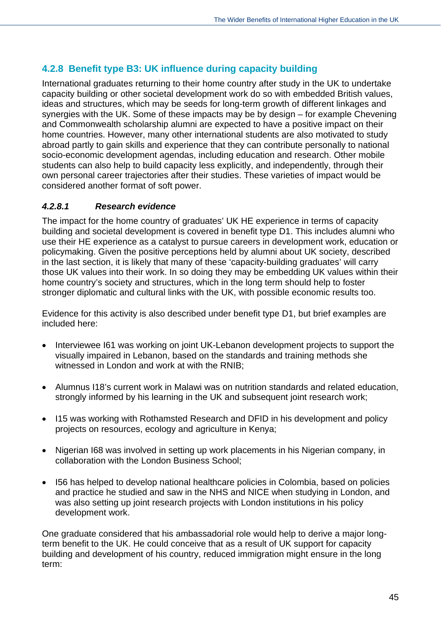# **4.2.8 Benefit type B3: UK influence during capacity building**

International graduates returning to their home country after study in the UK to undertake capacity building or other societal development work do so with embedded British values, ideas and structures, which may be seeds for long-term growth of different linkages and synergies with the UK. Some of these impacts may be by design – for example Chevening and Commonwealth scholarship alumni are expected to have a positive impact on their home countries. However, many other international students are also motivated to study abroad partly to gain skills and experience that they can contribute personally to national socio-economic development agendas, including education and research. Other mobile students can also help to build capacity less explicitly, and independently, through their own personal career trajectories after their studies. These varieties of impact would be considered another format of soft power.

# *4.2.8.1 Research evidence*

The impact for the home country of graduates' UK HE experience in terms of capacity building and societal development is covered in benefit type D1. This includes alumni who use their HE experience as a catalyst to pursue careers in development work, education or policymaking. Given the positive perceptions held by alumni about UK society, described in the last section, it is likely that many of these 'capacity-building graduates' will carry those UK values into their work. In so doing they may be embedding UK values within their home country's society and structures, which in the long term should help to foster stronger diplomatic and cultural links with the UK, with possible economic results too.

Evidence for this activity is also described under benefit type D1, but brief examples are included here:

- Interviewee I61 was working on joint UK-Lebanon development projects to support the visually impaired in Lebanon, based on the standards and training methods she witnessed in London and work at with the RNIB;
- Alumnus I18's current work in Malawi was on nutrition standards and related education, strongly informed by his learning in the UK and subsequent joint research work;
- 115 was working with Rothamsted Research and DFID in his development and policy projects on resources, ecology and agriculture in Kenya;
- Nigerian I68 was involved in setting up work placements in his Nigerian company, in collaboration with the London Business School;
- I56 has helped to develop national healthcare policies in Colombia, based on policies and practice he studied and saw in the NHS and NICE when studying in London, and was also setting up joint research projects with London institutions in his policy development work.

One graduate considered that his ambassadorial role would help to derive a major longterm benefit to the UK. He could conceive that as a result of UK support for capacity building and development of his country, reduced immigration might ensure in the long term: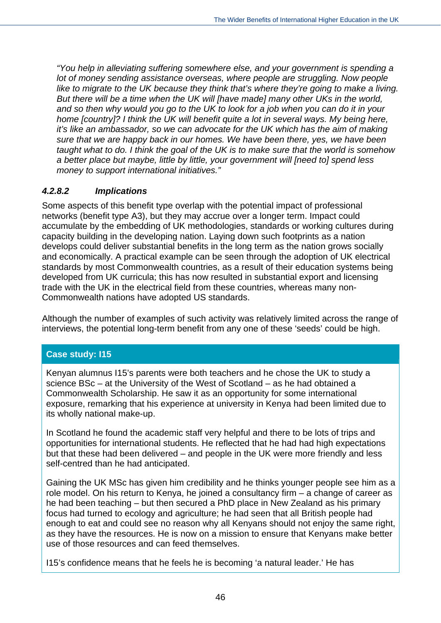*"You help in alleviating suffering somewhere else, and your government is spending a lot of money sending assistance overseas, where people are struggling. Now people like to migrate to the UK because they think that's where they're going to make a living. But there will be a time when the UK will [have made] many other UKs in the world, and so then why would you go to the UK to look for a job when you can do it in your home [country]? I think the UK will benefit quite a lot in several ways. My being here, it's like an ambassador, so we can advocate for the UK which has the aim of making sure that we are happy back in our homes. We have been there, yes, we have been taught what to do. I think the goal of the UK is to make sure that the world is somehow a better place but maybe, little by little, your government will [need to] spend less money to support international initiatives."* 

#### *4.2.8.2 Implications*

Some aspects of this benefit type overlap with the potential impact of professional networks (benefit type A3), but they may accrue over a longer term. Impact could accumulate by the embedding of UK methodologies, standards or working cultures during capacity building in the developing nation. Laying down such footprints as a nation develops could deliver substantial benefits in the long term as the nation grows socially and economically. A practical example can be seen through the adoption of UK electrical standards by most Commonwealth countries, as a result of their education systems being developed from UK curricula; this has now resulted in substantial export and licensing trade with the UK in the electrical field from these countries, whereas many non-Commonwealth nations have adopted US standards.

Although the number of examples of such activity was relatively limited across the range of interviews, the potential long-term benefit from any one of these 'seeds' could be high.

# **Case study: I15**

Kenyan alumnus I15's parents were both teachers and he chose the UK to study a science BSc – at the University of the West of Scotland – as he had obtained a Commonwealth Scholarship. He saw it as an opportunity for some international exposure, remarking that his experience at university in Kenya had been limited due to its wholly national make-up.

In Scotland he found the academic staff very helpful and there to be lots of trips and opportunities for international students. He reflected that he had had high expectations but that these had been delivered – and people in the UK were more friendly and less self-centred than he had anticipated.

Gaining the UK MSc has given him credibility and he thinks younger people see him as a role model. On his return to Kenya, he joined a consultancy firm – a change of career as he had been teaching – but then secured a PhD place in New Zealand as his primary focus had turned to ecology and agriculture; he had seen that all British people had enough to eat and could see no reason why all Kenyans should not enjoy the same right, as they have the resources. He is now on a mission to ensure that Kenyans make better use of those resources and can feed themselves.

I15's confidence means that he feels he is becoming 'a natural leader.' He has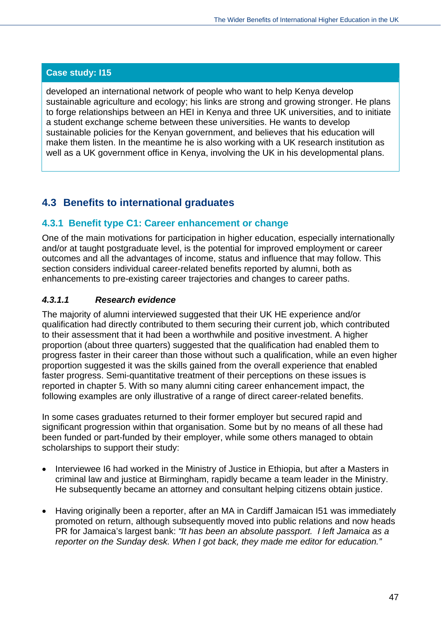developed an international network of people who want to help Kenya develop sustainable agriculture and ecology; his links are strong and growing stronger. He plans to forge relationships between an HEI in Kenya and three UK universities, and to initiate a student exchange scheme between these universities. He wants to develop sustainable policies for the Kenyan government, and believes that his education will make them listen. In the meantime he is also working with a UK research institution as well as a UK government office in Kenya, involving the UK in his developmental plans.

# **4.3 Benefits to international graduates**

# **4.3.1 Benefit type C1: Career enhancement or change**

One of the main motivations for participation in higher education, especially internationally and/or at taught postgraduate level, is the potential for improved employment or career outcomes and all the advantages of income, status and influence that may follow. This section considers individual career-related benefits reported by alumni, both as enhancements to pre-existing career trajectories and changes to career paths.

# *4.3.1.1 Research evidence*

The majority of alumni interviewed suggested that their UK HE experience and/or qualification had directly contributed to them securing their current job, which contributed to their assessment that it had been a worthwhile and positive investment. A higher proportion (about three quarters) suggested that the qualification had enabled them to progress faster in their career than those without such a qualification, while an even higher proportion suggested it was the skills gained from the overall experience that enabled faster progress. Semi-quantitative treatment of their perceptions on these issues is reported in chapter 5. With so many alumni citing career enhancement impact, the following examples are only illustrative of a range of direct career-related benefits.

In some cases graduates returned to their former employer but secured rapid and significant progression within that organisation. Some but by no means of all these had been funded or part-funded by their employer, while some others managed to obtain scholarships to support their study:

- Interviewee I6 had worked in the Ministry of Justice in Ethiopia, but after a Masters in criminal law and justice at Birmingham, rapidly became a team leader in the Ministry. He subsequently became an attorney and consultant helping citizens obtain justice.
- Having originally been a reporter, after an MA in Cardiff Jamaican I51 was immediately promoted on return, although subsequently moved into public relations and now heads PR for Jamaica's largest bank: *"It has been an absolute passport. I left Jamaica as a reporter on the Sunday desk. When I got back, they made me editor for education."*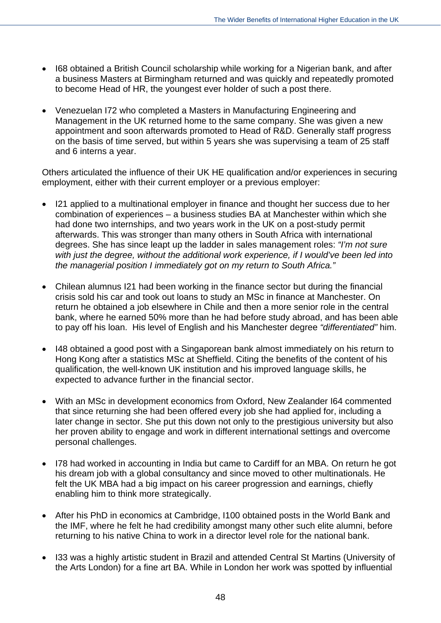- I68 obtained a British Council scholarship while working for a Nigerian bank, and after a business Masters at Birmingham returned and was quickly and repeatedly promoted to become Head of HR, the youngest ever holder of such a post there.
- Venezuelan I72 who completed a Masters in Manufacturing Engineering and Management in the UK returned home to the same company. She was given a new appointment and soon afterwards promoted to Head of R&D. Generally staff progress on the basis of time served, but within 5 years she was supervising a team of 25 staff and 6 interns a year.

Others articulated the influence of their UK HE qualification and/or experiences in securing employment, either with their current employer or a previous employer:

- I21 applied to a multinational employer in finance and thought her success due to her combination of experiences – a business studies BA at Manchester within which she had done two internships, and two years work in the UK on a post-study permit afterwards. This was stronger than many others in South Africa with international degrees. She has since leapt up the ladder in sales management roles: *"I'm not sure with just the degree, without the additional work experience, if I would've been led into the managerial position I immediately got on my return to South Africa."*
- Chilean alumnus I21 had been working in the finance sector but during the financial crisis sold his car and took out loans to study an MSc in finance at Manchester. On return he obtained a job elsewhere in Chile and then a more senior role in the central bank, where he earned 50% more than he had before study abroad, and has been able to pay off his loan. His level of English and his Manchester degree *"differentiated"* him.
- I48 obtained a good post with a Singaporean bank almost immediately on his return to Hong Kong after a statistics MSc at Sheffield. Citing the benefits of the content of his qualification, the well-known UK institution and his improved language skills, he expected to advance further in the financial sector.
- With an MSc in development economics from Oxford, New Zealander I64 commented that since returning she had been offered every job she had applied for, including a later change in sector. She put this down not only to the prestigious university but also her proven ability to engage and work in different international settings and overcome personal challenges.
- I78 had worked in accounting in India but came to Cardiff for an MBA. On return he got his dream job with a global consultancy and since moved to other multinationals. He felt the UK MBA had a big impact on his career progression and earnings, chiefly enabling him to think more strategically.
- After his PhD in economics at Cambridge, I100 obtained posts in the World Bank and the IMF, where he felt he had credibility amongst many other such elite alumni, before returning to his native China to work in a director level role for the national bank.
- I33 was a highly artistic student in Brazil and attended Central St Martins (University of the Arts London) for a fine art BA. While in London her work was spotted by influential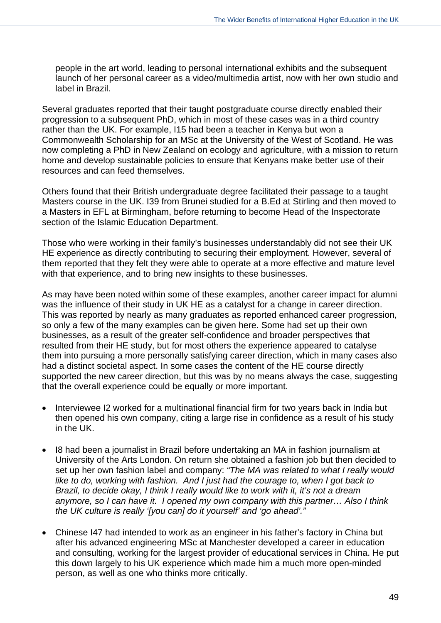people in the art world, leading to personal international exhibits and the subsequent launch of her personal career as a video/multimedia artist, now with her own studio and label in Brazil.

Several graduates reported that their taught postgraduate course directly enabled their progression to a subsequent PhD, which in most of these cases was in a third country rather than the UK. For example, I15 had been a teacher in Kenya but won a Commonwealth Scholarship for an MSc at the University of the West of Scotland. He was now completing a PhD in New Zealand on ecology and agriculture, with a mission to return home and develop sustainable policies to ensure that Kenyans make better use of their resources and can feed themselves.

Others found that their British undergraduate degree facilitated their passage to a taught Masters course in the UK. I39 from Brunei studied for a B.Ed at Stirling and then moved to a Masters in EFL at Birmingham, before returning to become Head of the Inspectorate section of the Islamic Education Department.

Those who were working in their family's businesses understandably did not see their UK HE experience as directly contributing to securing their employment. However, several of them reported that they felt they were able to operate at a more effective and mature level with that experience, and to bring new insights to these businesses.

As may have been noted within some of these examples, another career impact for alumni was the influence of their study in UK HE as a catalyst for a change in career direction. This was reported by nearly as many graduates as reported enhanced career progression, so only a few of the many examples can be given here. Some had set up their own businesses, as a result of the greater self-confidence and broader perspectives that resulted from their HE study, but for most others the experience appeared to catalyse them into pursuing a more personally satisfying career direction, which in many cases also had a distinct societal aspect. In some cases the content of the HE course directly supported the new career direction, but this was by no means always the case, suggesting that the overall experience could be equally or more important.

- Interviewee I2 worked for a multinational financial firm for two years back in India but then opened his own company, citing a large rise in confidence as a result of his study in the UK.
- I8 had been a journalist in Brazil before undertaking an MA in fashion journalism at University of the Arts London. On return she obtained a fashion job but then decided to set up her own fashion label and company: *"The MA was related to what I really would like to do, working with fashion. And I just had the courage to, when I got back to Brazil, to decide okay, I think I really would like to work with it, it's not a dream anymore, so I can have it. I opened my own company with this partner… Also I think the UK culture is really '[you can] do it yourself' and 'go ahead'."*
- Chinese I47 had intended to work as an engineer in his father's factory in China but after his advanced engineering MSc at Manchester developed a career in education and consulting, working for the largest provider of educational services in China. He put this down largely to his UK experience which made him a much more open-minded person, as well as one who thinks more critically.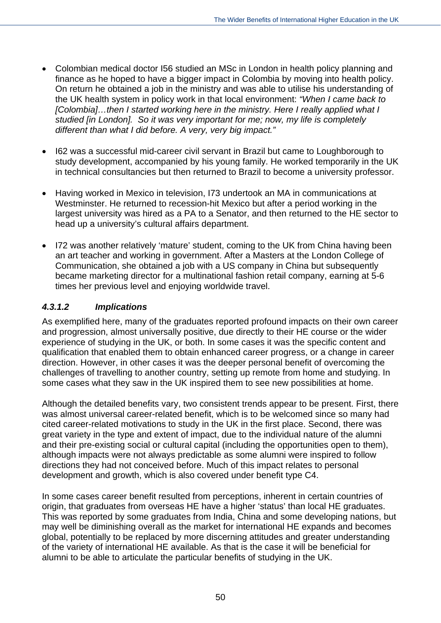- Colombian medical doctor I56 studied an MSc in London in health policy planning and finance as he hoped to have a bigger impact in Colombia by moving into health policy. On return he obtained a job in the ministry and was able to utilise his understanding of the UK health system in policy work in that local environment: *"When I came back to [Colombia]…then I started working here in the ministry. Here I really applied what I studied [in London]. So it was very important for me; now, my life is completely different than what I did before. A very, very big impact."*
- I62 was a successful mid-career civil servant in Brazil but came to Loughborough to study development, accompanied by his young family. He worked temporarily in the UK in technical consultancies but then returned to Brazil to become a university professor.
- Having worked in Mexico in television, I73 undertook an MA in communications at Westminster. He returned to recession-hit Mexico but after a period working in the largest university was hired as a PA to a Senator, and then returned to the HE sector to head up a university's cultural affairs department.
- I72 was another relatively 'mature' student, coming to the UK from China having been an art teacher and working in government. After a Masters at the London College of Communication, she obtained a job with a US company in China but subsequently became marketing director for a multinational fashion retail company, earning at 5-6 times her previous level and enjoying worldwide travel.

#### *4.3.1.2 Implications*

As exemplified here, many of the graduates reported profound impacts on their own career and progression, almost universally positive, due directly to their HE course or the wider experience of studying in the UK, or both. In some cases it was the specific content and qualification that enabled them to obtain enhanced career progress, or a change in career direction. However, in other cases it was the deeper personal benefit of overcoming the challenges of travelling to another country, setting up remote from home and studying. In some cases what they saw in the UK inspired them to see new possibilities at home.

Although the detailed benefits vary, two consistent trends appear to be present. First, there was almost universal career-related benefit, which is to be welcomed since so many had cited career-related motivations to study in the UK in the first place. Second, there was great variety in the type and extent of impact, due to the individual nature of the alumni and their pre-existing social or cultural capital (including the opportunities open to them), although impacts were not always predictable as some alumni were inspired to follow directions they had not conceived before. Much of this impact relates to personal development and growth, which is also covered under benefit type C4.

In some cases career benefit resulted from perceptions, inherent in certain countries of origin, that graduates from overseas HE have a higher 'status' than local HE graduates. This was reported by some graduates from India, China and some developing nations, but may well be diminishing overall as the market for international HE expands and becomes global, potentially to be replaced by more discerning attitudes and greater understanding of the variety of international HE available. As that is the case it will be beneficial for alumni to be able to articulate the particular benefits of studying in the UK.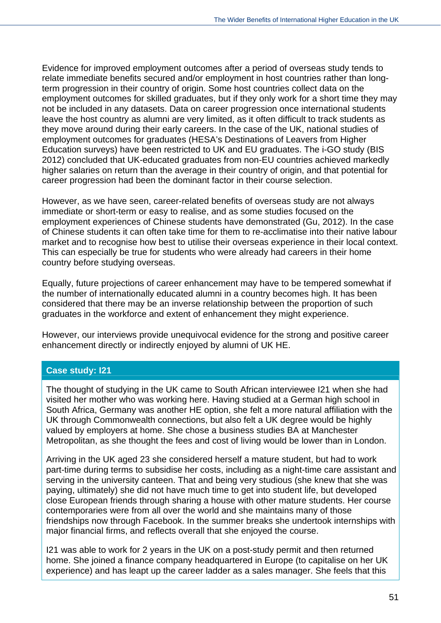Evidence for improved employment outcomes after a period of overseas study tends to relate immediate benefits secured and/or employment in host countries rather than longterm progression in their country of origin. Some host countries collect data on the employment outcomes for skilled graduates, but if they only work for a short time they may not be included in any datasets. Data on career progression once international students leave the host country as alumni are very limited, as it often difficult to track students as they move around during their early careers. In the case of the UK, national studies of employment outcomes for graduates (HESA's Destinations of Leavers from Higher Education surveys) have been restricted to UK and EU graduates. The i-GO study (BIS 2012) concluded that UK-educated graduates from non-EU countries achieved markedly higher salaries on return than the average in their country of origin, and that potential for career progression had been the dominant factor in their course selection.

However, as we have seen, career-related benefits of overseas study are not always immediate or short-term or easy to realise, and as some studies focused on the employment experiences of Chinese students have demonstrated (Gu, 2012). In the case of Chinese students it can often take time for them to re-acclimatise into their native labour market and to recognise how best to utilise their overseas experience in their local context. This can especially be true for students who were already had careers in their home country before studying overseas.

Equally, future projections of career enhancement may have to be tempered somewhat if the number of internationally educated alumni in a country becomes high. It has been considered that there may be an inverse relationship between the proportion of such graduates in the workforce and extent of enhancement they might experience.

However, our interviews provide unequivocal evidence for the strong and positive career enhancement directly or indirectly enjoyed by alumni of UK HE.

#### **Case study: I21**

The thought of studying in the UK came to South African interviewee I21 when she had visited her mother who was working here. Having studied at a German high school in South Africa, Germany was another HE option, she felt a more natural affiliation with the UK through Commonwealth connections, but also felt a UK degree would be highly valued by employers at home. She chose a business studies BA at Manchester Metropolitan, as she thought the fees and cost of living would be lower than in London.

Arriving in the UK aged 23 she considered herself a mature student, but had to work part-time during terms to subsidise her costs, including as a night-time care assistant and serving in the university canteen. That and being very studious (she knew that she was paying, ultimately) she did not have much time to get into student life, but developed close European friends through sharing a house with other mature students. Her course contemporaries were from all over the world and she maintains many of those friendships now through Facebook. In the summer breaks she undertook internships with major financial firms, and reflects overall that she enjoyed the course.

I21 was able to work for 2 years in the UK on a post-study permit and then returned home. She joined a finance company headquartered in Europe (to capitalise on her UK experience) and has leapt up the career ladder as a sales manager. She feels that this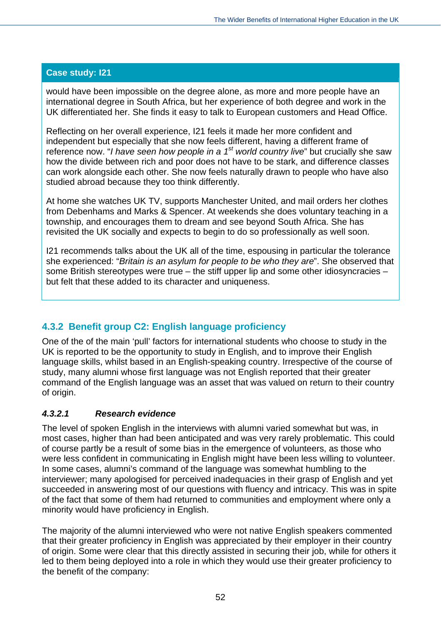would have been impossible on the degree alone, as more and more people have an international degree in South Africa, but her experience of both degree and work in the UK differentiated her. She finds it easy to talk to European customers and Head Office.

Reflecting on her overall experience, I21 feels it made her more confident and independent but especially that she now feels different, having a different frame of reference now. "*I have seen how people in a 1st world country live*" but crucially she saw how the divide between rich and poor does not have to be stark, and difference classes can work alongside each other. She now feels naturally drawn to people who have also studied abroad because they too think differently.

At home she watches UK TV, supports Manchester United, and mail orders her clothes from Debenhams and Marks & Spencer. At weekends she does voluntary teaching in a township, and encourages them to dream and see beyond South Africa. She has revisited the UK socially and expects to begin to do so professionally as well soon.

I21 recommends talks about the UK all of the time, espousing in particular the tolerance she experienced: "*Britain is an asylum for people to be who they are*". She observed that some British stereotypes were true – the stiff upper lip and some other idiosyncracies – but felt that these added to its character and uniqueness.

# **4.3.2 Benefit group C2: English language proficiency**

One of the of the main 'pull' factors for international students who choose to study in the UK is reported to be the opportunity to study in English, and to improve their English language skills, whilst based in an English-speaking country. Irrespective of the course of study, many alumni whose first language was not English reported that their greater command of the English language was an asset that was valued on return to their country of origin.

# *4.3.2.1 Research evidence*

The level of spoken English in the interviews with alumni varied somewhat but was, in most cases, higher than had been anticipated and was very rarely problematic. This could of course partly be a result of some bias in the emergence of volunteers, as those who were less confident in communicating in English might have been less willing to volunteer. In some cases, alumni's command of the language was somewhat humbling to the interviewer; many apologised for perceived inadequacies in their grasp of English and yet succeeded in answering most of our questions with fluency and intricacy. This was in spite of the fact that some of them had returned to communities and employment where only a minority would have proficiency in English.

The majority of the alumni interviewed who were not native English speakers commented that their greater proficiency in English was appreciated by their employer in their country of origin. Some were clear that this directly assisted in securing their job, while for others it led to them being deployed into a role in which they would use their greater proficiency to the benefit of the company: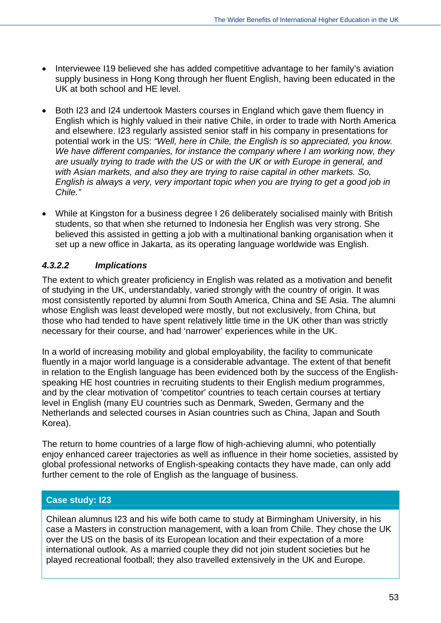- Interviewee I19 believed she has added competitive advantage to her family's aviation supply business in Hong Kong through her fluent English, having been educated in the UK at both school and HE level.
- Both I23 and I24 undertook Masters courses in England which gave them fluency in English which is highly valued in their native Chile, in order to trade with North America and elsewhere. I23 regularly assisted senior staff in his company in presentations for potential work in the US: *"Well, here in Chile, the English is so appreciated, you know. We have different companies, for instance the company where I am working now, they are usually trying to trade with the US or with the UK or with Europe in general, and with Asian markets, and also they are trying to raise capital in other markets. So, English is always a very, very important topic when you are trying to get a good job in Chile."*
- While at Kingston for a business degree I 26 deliberately socialised mainly with British students, so that when she returned to Indonesia her English was very strong. She believed this assisted in getting a job with a multinational banking organisation when it set up a new office in Jakarta, as its operating language worldwide was English.

# *4.3.2.2 Implications*

The extent to which greater proficiency in English was related as a motivation and benefit of studying in the UK, understandably, varied strongly with the country of origin. It was most consistently reported by alumni from South America, China and SE Asia. The alumni whose English was least developed were mostly, but not exclusively, from China, but those who had tended to have spent relatively little time in the UK other than was strictly necessary for their course, and had 'narrower' experiences while in the UK.

In a world of increasing mobility and global employability, the facility to communicate fluently in a major world language is a considerable advantage. The extent of that benefit in relation to the English language has been evidenced both by the success of the Englishspeaking HE host countries in recruiting students to their English medium programmes, and by the clear motivation of 'competitor' countries to teach certain courses at tertiary level in English (many EU countries such as Denmark, Sweden, Germany and the Netherlands and selected courses in Asian countries such as China, Japan and South Korea).

The return to home countries of a large flow of high-achieving alumni, who potentially enjoy enhanced career trajectories as well as influence in their home societies, assisted by global professional networks of English-speaking contacts they have made, can only add further cement to the role of English as the language of business.

# **Case study: I23**

Chilean alumnus I23 and his wife both came to study at Birmingham University, in his case a Masters in construction management, with a loan from Chile. They chose the UK over the US on the basis of its European location and their expectation of a more international outlook. As a married couple they did not join student societies but he played recreational football; they also travelled extensively in the UK and Europe.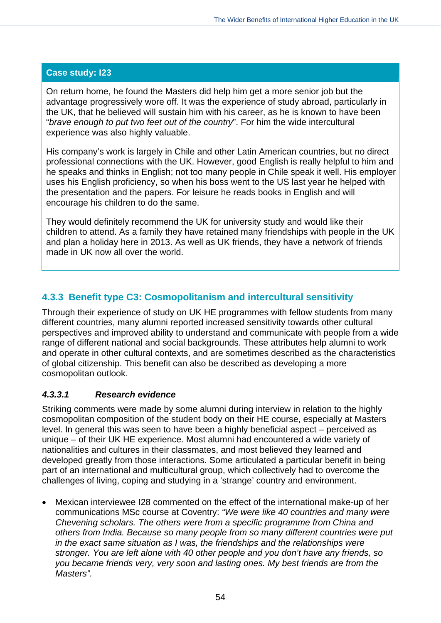On return home, he found the Masters did help him get a more senior job but the advantage progressively wore off. It was the experience of study abroad, particularly in the UK, that he believed will sustain him with his career, as he is known to have been "*brave enough to put two feet out of the country*". For him the wide intercultural experience was also highly valuable.

His company's work is largely in Chile and other Latin American countries, but no direct professional connections with the UK. However, good English is really helpful to him and he speaks and thinks in English; not too many people in Chile speak it well. His employer uses his English proficiency, so when his boss went to the US last year he helped with the presentation and the papers. For leisure he reads books in English and will encourage his children to do the same.

They would definitely recommend the UK for university study and would like their children to attend. As a family they have retained many friendships with people in the UK and plan a holiday here in 2013. As well as UK friends, they have a network of friends made in UK now all over the world.

# **4.3.3 Benefit type C3: Cosmopolitanism and intercultural sensitivity**

Through their experience of study on UK HE programmes with fellow students from many different countries, many alumni reported increased sensitivity towards other cultural perspectives and improved ability to understand and communicate with people from a wide range of different national and social backgrounds. These attributes help alumni to work and operate in other cultural contexts, and are sometimes described as the characteristics of global citizenship. This benefit can also be described as developing a more cosmopolitan outlook.

#### *4.3.3.1 Research evidence*

Striking comments were made by some alumni during interview in relation to the highly cosmopolitan composition of the student body on their HE course, especially at Masters level. In general this was seen to have been a highly beneficial aspect – perceived as unique – of their UK HE experience. Most alumni had encountered a wide variety of nationalities and cultures in their classmates, and most believed they learned and developed greatly from those interactions. Some articulated a particular benefit in being part of an international and multicultural group, which collectively had to overcome the challenges of living, coping and studying in a 'strange' country and environment.

 Mexican interviewee I28 commented on the effect of the international make-up of her communications MSc course at Coventry: *"We were like 40 countries and many were Chevening scholars. The others were from a specific programme from China and others from India. Because so many people from so many different countries were put in the exact same situation as I was, the friendships and the relationships were stronger. You are left alone with 40 other people and you don't have any friends, so you became friends very, very soon and lasting ones. My best friends are from the Masters".*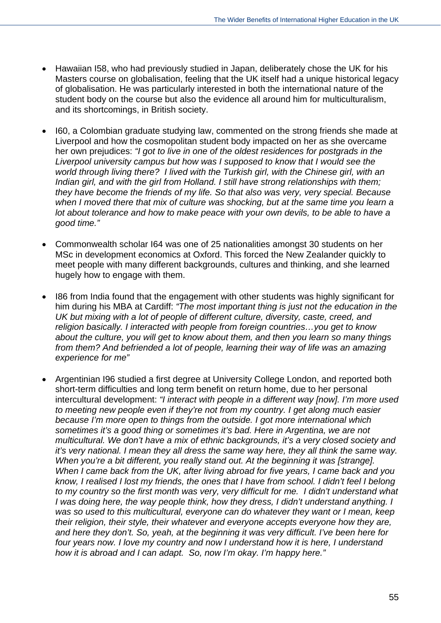- Hawaiian I58, who had previously studied in Japan, deliberately chose the UK for his Masters course on globalisation, feeling that the UK itself had a unique historical legacy of globalisation. He was particularly interested in both the international nature of the student body on the course but also the evidence all around him for multiculturalism, and its shortcomings, in British society.
- I60, a Colombian graduate studying law, commented on the strong friends she made at Liverpool and how the cosmopolitan student body impacted on her as she overcame her own prejudices: *"I got to live in one of the oldest residences for postgrads in the Liverpool university campus but how was I supposed to know that I would see the world through living there? I lived with the Turkish girl, with the Chinese girl, with an Indian girl, and with the girl from Holland. I still have strong relationships with them; they have become the friends of my life. So that also was very, very special. Because when I moved there that mix of culture was shocking, but at the same time you learn a*  lot about tolerance and how to make peace with your own devils, to be able to have a *good time."*
- Commonwealth scholar I64 was one of 25 nationalities amongst 30 students on her MSc in development economics at Oxford. This forced the New Zealander quickly to meet people with many different backgrounds, cultures and thinking, and she learned hugely how to engage with them.
- I86 from India found that the engagement with other students was highly significant for him during his MBA at Cardiff: *"The most important thing is just not the education in the UK but mixing with a lot of people of different culture, diversity, caste, creed, and religion basically. I interacted with people from foreign countries…you get to know about the culture, you will get to know about them, and then you learn so many things from them? And befriended a lot of people, learning their way of life was an amazing experience for me"*
- Argentinian I96 studied a first degree at University College London, and reported both short-term difficulties and long term benefit on return home, due to her personal intercultural development: *"I interact with people in a different way [now]. I'm more used to meeting new people even if they're not from my country. I get along much easier because I'm more open to things from the outside. I got more international which sometimes it's a good thing or sometimes it's bad. Here in Argentina, we are not multicultural. We don't have a mix of ethnic backgrounds, it's a very closed society and it's very national. I mean they all dress the same way here, they all think the same way. When you're a bit different, you really stand out. At the beginning it was [strange]. When I came back from the UK, after living abroad for five years, I came back and you know, I realised I lost my friends, the ones that I have from school. I didn't feel I belong to my country so the first month was very, very difficult for me. I didn't understand what I* was doing here, the way people think, how they dress, I didn't understand anything. I *was so used to this multicultural, everyone can do whatever they want or I mean, keep their religion, their style, their whatever and everyone accepts everyone how they are, and here they don't. So, yeah, at the beginning it was very difficult. I've been here for four years now. I love my country and now I understand how it is here, I understand how it is abroad and I can adapt. So, now I'm okay. I'm happy here."*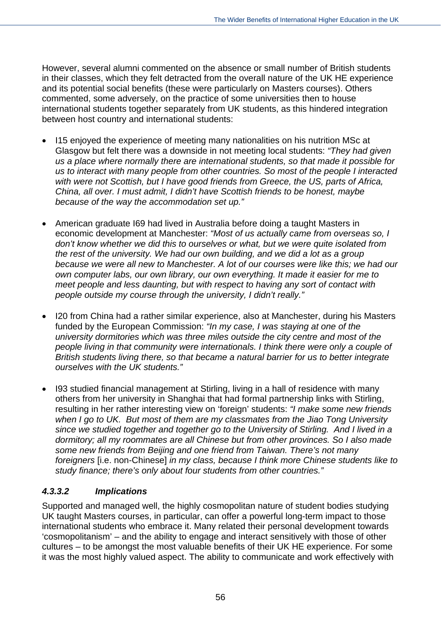However, several alumni commented on the absence or small number of British students in their classes, which they felt detracted from the overall nature of the UK HE experience and its potential social benefits (these were particularly on Masters courses). Others commented, some adversely, on the practice of some universities then to house international students together separately from UK students, as this hindered integration between host country and international students:

- I15 enjoyed the experience of meeting many nationalities on his nutrition MSc at Glasgow but felt there was a downside in not meeting local students: *"They had given us a place where normally there are international students, so that made it possible for us to interact with many people from other countries. So most of the people I interacted with were not Scottish, but I have good friends from Greece, the US, parts of Africa, China, all over. I must admit, I didn't have Scottish friends to be honest, maybe because of the way the accommodation set up."*
- American graduate I69 had lived in Australia before doing a taught Masters in economic development at Manchester: *"Most of us actually came from overseas so, I don't know whether we did this to ourselves or what, but we were quite isolated from the rest of the university. We had our own building, and we did a lot as a group because we were all new to Manchester. A lot of our courses were like this; we had our own computer labs, our own library, our own everything. It made it easier for me to meet people and less daunting, but with respect to having any sort of contact with people outside my course through the university, I didn't really."*
- I20 from China had a rather similar experience, also at Manchester, during his Masters funded by the European Commission: *"In my case, I was staying at one of the university dormitories which was three miles outside the city centre and most of the people living in that community were internationals. I think there were only a couple of British students living there, so that became a natural barrier for us to better integrate ourselves with the UK students."*
- I93 studied financial management at Stirling, living in a hall of residence with many others from her university in Shanghai that had formal partnership links with Stirling, resulting in her rather interesting view on 'foreign' students: *"I make some new friends when I go to UK. But most of them are my classmates from the Jiao Tong University since we studied together and together go to the University of Stirling. And I lived in a dormitory; all my roommates are all Chinese but from other provinces. So I also made some new friends from Beijing and one friend from Taiwan. There's not many foreigners* [i.e. non-Chinese] *in my class, because I think more Chinese students like to study finance; there's only about four students from other countries."*

# *4.3.3.2 Implications*

Supported and managed well, the highly cosmopolitan nature of student bodies studying UK taught Masters courses, in particular, can offer a powerful long-term impact to those international students who embrace it. Many related their personal development towards 'cosmopolitanism' – and the ability to engage and interact sensitively with those of other cultures – to be amongst the most valuable benefits of their UK HE experience. For some it was the most highly valued aspect. The ability to communicate and work effectively with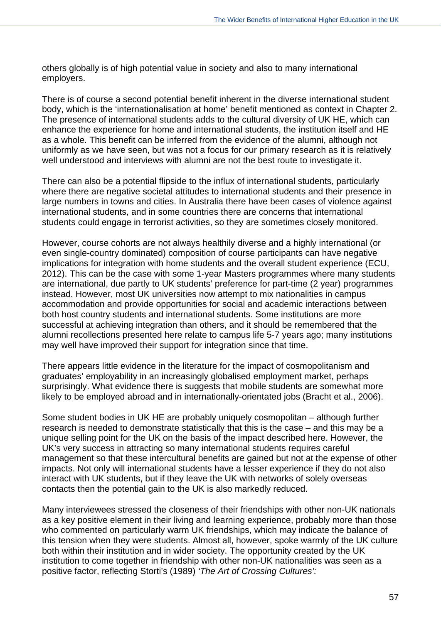others globally is of high potential value in society and also to many international employers.

There is of course a second potential benefit inherent in the diverse international student body, which is the 'internationalisation at home' benefit mentioned as context in Chapter 2. The presence of international students adds to the cultural diversity of UK HE, which can enhance the experience for home and international students, the institution itself and HE as a whole. This benefit can be inferred from the evidence of the alumni, although not uniformly as we have seen, but was not a focus for our primary research as it is relatively well understood and interviews with alumni are not the best route to investigate it.

There can also be a potential flipside to the influx of international students, particularly where there are negative societal attitudes to international students and their presence in large numbers in towns and cities. In Australia there have been cases of violence against international students, and in some countries there are concerns that international students could engage in terrorist activities, so they are sometimes closely monitored.

However, course cohorts are not always healthily diverse and a highly international (or even single-country dominated) composition of course participants can have negative implications for integration with home students and the overall student experience (ECU, 2012). This can be the case with some 1-year Masters programmes where many students are international, due partly to UK students' preference for part-time (2 year) programmes instead. However, most UK universities now attempt to mix nationalities in campus accommodation and provide opportunities for social and academic interactions between both host country students and international students. Some institutions are more successful at achieving integration than others, and it should be remembered that the alumni recollections presented here relate to campus life 5-7 years ago; many institutions may well have improved their support for integration since that time.

There appears little evidence in the literature for the impact of cosmopolitanism and graduates' employability in an increasingly globalised employment market, perhaps surprisingly. What evidence there is suggests that mobile students are somewhat more likely to be employed abroad and in internationally-orientated jobs (Bracht et al., 2006).

Some student bodies in UK HE are probably uniquely cosmopolitan – although further research is needed to demonstrate statistically that this is the case – and this may be a unique selling point for the UK on the basis of the impact described here. However, the UK's very success in attracting so many international students requires careful management so that these intercultural benefits are gained but not at the expense of other impacts. Not only will international students have a lesser experience if they do not also interact with UK students, but if they leave the UK with networks of solely overseas contacts then the potential gain to the UK is also markedly reduced.

Many interviewees stressed the closeness of their friendships with other non-UK nationals as a key positive element in their living and learning experience, probably more than those who commented on particularly warm UK friendships, which may indicate the balance of this tension when they were students. Almost all, however, spoke warmly of the UK culture both within their institution and in wider society. The opportunity created by the UK institution to come together in friendship with other non-UK nationalities was seen as a positive factor, reflecting Storti's (1989) *'The Art of Crossing Cultures':*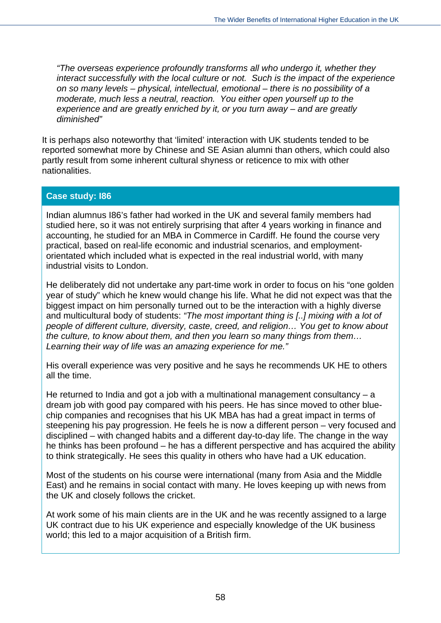*"The overseas experience profoundly transforms all who undergo it, whether they interact successfully with the local culture or not. Such is the impact of the experience on so many levels – physical, intellectual, emotional – there is no possibility of a moderate, much less a neutral, reaction. You either open yourself up to the experience and are greatly enriched by it, or you turn away – and are greatly diminished"*

It is perhaps also noteworthy that 'limited' interaction with UK students tended to be reported somewhat more by Chinese and SE Asian alumni than others, which could also partly result from some inherent cultural shyness or reticence to mix with other nationalities.

#### **Case study: I86**

Indian alumnus I86's father had worked in the UK and several family members had studied here, so it was not entirely surprising that after 4 years working in finance and accounting, he studied for an MBA in Commerce in Cardiff. He found the course very practical, based on real-life economic and industrial scenarios, and employmentorientated which included what is expected in the real industrial world, with many industrial visits to London.

He deliberately did not undertake any part-time work in order to focus on his "one golden year of study" which he knew would change his life. What he did not expect was that the biggest impact on him personally turned out to be the interaction with a highly diverse and multicultural body of students: *"The most important thing is [..] mixing with a lot of people of different culture, diversity, caste, creed, and religion… You get to know about the culture, to know about them, and then you learn so many things from them… Learning their way of life was an amazing experience for me."*

His overall experience was very positive and he says he recommends UK HE to others all the time.

He returned to India and got a job with a multinational management consultancy  $-$  a dream job with good pay compared with his peers. He has since moved to other bluechip companies and recognises that his UK MBA has had a great impact in terms of steepening his pay progression. He feels he is now a different person – very focused and disciplined – with changed habits and a different day-to-day life. The change in the way he thinks has been profound – he has a different perspective and has acquired the ability to think strategically. He sees this quality in others who have had a UK education.

Most of the students on his course were international (many from Asia and the Middle East) and he remains in social contact with many. He loves keeping up with news from the UK and closely follows the cricket.

At work some of his main clients are in the UK and he was recently assigned to a large UK contract due to his UK experience and especially knowledge of the UK business world; this led to a major acquisition of a British firm.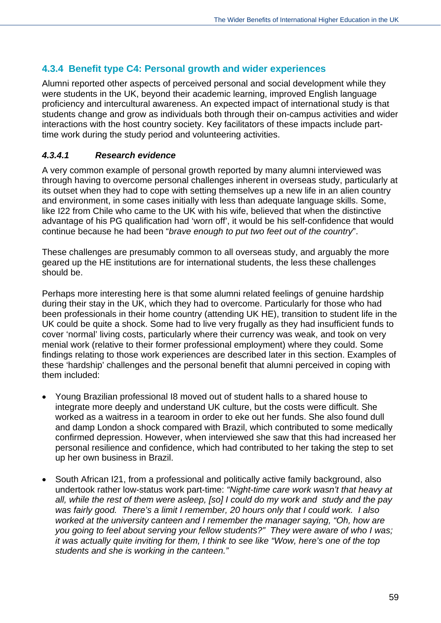## **4.3.4 Benefit type C4: Personal growth and wider experiences**

Alumni reported other aspects of perceived personal and social development while they were students in the UK, beyond their academic learning, improved English language proficiency and intercultural awareness. An expected impact of international study is that students change and grow as individuals both through their on-campus activities and wider interactions with the host country society. Key facilitators of these impacts include parttime work during the study period and volunteering activities.

#### *4.3.4.1 Research evidence*

A very common example of personal growth reported by many alumni interviewed was through having to overcome personal challenges inherent in overseas study, particularly at its outset when they had to cope with setting themselves up a new life in an alien country and environment, in some cases initially with less than adequate language skills. Some, like I22 from Chile who came to the UK with his wife, believed that when the distinctive advantage of his PG qualification had 'worn off', it would be his self-confidence that would continue because he had been "*brave enough to put two feet out of the country*".

These challenges are presumably common to all overseas study, and arguably the more geared up the HE institutions are for international students, the less these challenges should be.

Perhaps more interesting here is that some alumni related feelings of genuine hardship during their stay in the UK, which they had to overcome. Particularly for those who had been professionals in their home country (attending UK HE), transition to student life in the UK could be quite a shock. Some had to live very frugally as they had insufficient funds to cover 'normal' living costs, particularly where their currency was weak, and took on very menial work (relative to their former professional employment) where they could. Some findings relating to those work experiences are described later in this section. Examples of these 'hardship' challenges and the personal benefit that alumni perceived in coping with them included:

- Young Brazilian professional I8 moved out of student halls to a shared house to integrate more deeply and understand UK culture, but the costs were difficult. She worked as a waitress in a tearoom in order to eke out her funds. She also found dull and damp London a shock compared with Brazil, which contributed to some medically confirmed depression. However, when interviewed she saw that this had increased her personal resilience and confidence, which had contributed to her taking the step to set up her own business in Brazil.
- South African I21, from a professional and politically active family background, also undertook rather low-status work part-time: *"Night-time care work wasn't that heavy at all, while the rest of them were asleep, [so] I could do my work and study and the pay was fairly good. There's a limit I remember, 20 hours only that I could work. I also worked at the university canteen and I remember the manager saying, "Oh, how are you going to feel about serving your fellow students?" They were aware of who I was; it was actually quite inviting for them, I think to see like "Wow, here's one of the top students and she is working in the canteen."*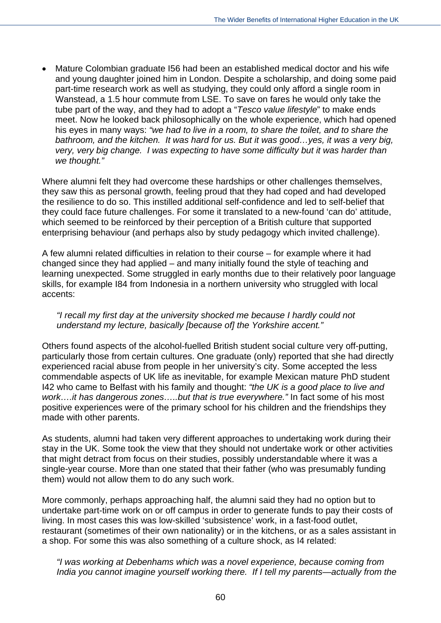Mature Colombian graduate I56 had been an established medical doctor and his wife and young daughter joined him in London. Despite a scholarship, and doing some paid part-time research work as well as studying, they could only afford a single room in Wanstead, a 1.5 hour commute from LSE. To save on fares he would only take the tube part of the way, and they had to adopt a "*Tesco value lifestyle*" to make ends meet. Now he looked back philosophically on the whole experience, which had opened his eyes in many ways: *"we had to live in a room, to share the toilet, and to share the bathroom, and the kitchen. It was hard for us. But it was good…yes, it was a very big, very, very big change. I was expecting to have some difficulty but it was harder than we thought."*

Where alumni felt they had overcome these hardships or other challenges themselves, they saw this as personal growth, feeling proud that they had coped and had developed the resilience to do so. This instilled additional self-confidence and led to self-belief that they could face future challenges. For some it translated to a new-found 'can do' attitude, which seemed to be reinforced by their perception of a British culture that supported enterprising behaviour (and perhaps also by study pedagogy which invited challenge).

A few alumni related difficulties in relation to their course – for example where it had changed since they had applied – and many initially found the style of teaching and learning unexpected. Some struggled in early months due to their relatively poor language skills, for example I84 from Indonesia in a northern university who struggled with local accents:

*"I recall my first day at the university shocked me because I hardly could not understand my lecture, basically [because of] the Yorkshire accent."* 

Others found aspects of the alcohol-fuelled British student social culture very off-putting, particularly those from certain cultures. One graduate (only) reported that she had directly experienced racial abuse from people in her university's city. Some accepted the less commendable aspects of UK life as inevitable, for example Mexican mature PhD student I42 who came to Belfast with his family and thought: *"the UK is a good place to live and work….it has dangerous zones…..but that is true everywhere."* In fact some of his most positive experiences were of the primary school for his children and the friendships they made with other parents.

As students, alumni had taken very different approaches to undertaking work during their stay in the UK. Some took the view that they should not undertake work or other activities that might detract from focus on their studies, possibly understandable where it was a single-year course. More than one stated that their father (who was presumably funding them) would not allow them to do any such work.

More commonly, perhaps approaching half, the alumni said they had no option but to undertake part-time work on or off campus in order to generate funds to pay their costs of living. In most cases this was low-skilled 'subsistence' work, in a fast-food outlet, restaurant (sometimes of their own nationality) or in the kitchens, or as a sales assistant in a shop. For some this was also something of a culture shock, as I4 related:

*"I was working at Debenhams which was a novel experience, because coming from India you cannot imagine yourself working there. If I tell my parents—actually from the*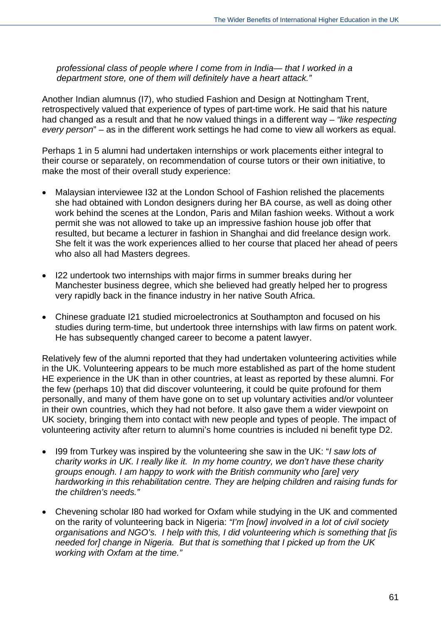*professional class of people where I come from in India— that I worked in a department store, one of them will definitely have a heart attack."* 

Another Indian alumnus (I7), who studied Fashion and Design at Nottingham Trent, retrospectively valued that experience of types of part-time work. He said that his nature had changed as a result and that he now valued things in a different way – *"like respecting every person*" – as in the different work settings he had come to view all workers as equal.

Perhaps 1 in 5 alumni had undertaken internships or work placements either integral to their course or separately, on recommendation of course tutors or their own initiative, to make the most of their overall study experience:

- Malaysian interviewee I32 at the London School of Fashion relished the placements she had obtained with London designers during her BA course, as well as doing other work behind the scenes at the London, Paris and Milan fashion weeks. Without a work permit she was not allowed to take up an impressive fashion house job offer that resulted, but became a lecturer in fashion in Shanghai and did freelance design work. She felt it was the work experiences allied to her course that placed her ahead of peers who also all had Masters degrees.
- I22 undertook two internships with major firms in summer breaks during her Manchester business degree, which she believed had greatly helped her to progress very rapidly back in the finance industry in her native South Africa.
- Chinese graduate I21 studied microelectronics at Southampton and focused on his studies during term-time, but undertook three internships with law firms on patent work. He has subsequently changed career to become a patent lawyer.

Relatively few of the alumni reported that they had undertaken volunteering activities while in the UK. Volunteering appears to be much more established as part of the home student HE experience in the UK than in other countries, at least as reported by these alumni. For the few (perhaps 10) that did discover volunteering, it could be quite profound for them personally, and many of them have gone on to set up voluntary activities and/or volunteer in their own countries, which they had not before. It also gave them a wider viewpoint on UK society, bringing them into contact with new people and types of people. The impact of volunteering activity after return to alumni's home countries is included ni benefit type D2.

- I99 from Turkey was inspired by the volunteering she saw in the UK: "*I saw lots of charity works in UK. I really like it. In my home country, we don't have these charity groups enough. I am happy to work with the British community who [are] very hardworking in this rehabilitation centre. They are helping children and raising funds for the children's needs."*
- Chevening scholar I80 had worked for Oxfam while studying in the UK and commented on the rarity of volunteering back in Nigeria: *"I'm [now] involved in a lot of civil society organisations and NGO's. I help with this, I did volunteering which is something that [is needed for] change in Nigeria. But that is something that I picked up from the UK working with Oxfam at the time."*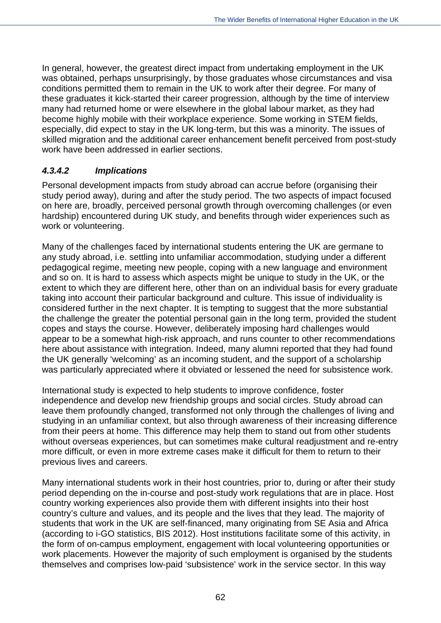In general, however, the greatest direct impact from undertaking employment in the UK was obtained, perhaps unsurprisingly, by those graduates whose circumstances and visa conditions permitted them to remain in the UK to work after their degree. For many of these graduates it kick-started their career progression, although by the time of interview many had returned home or were elsewhere in the global labour market, as they had become highly mobile with their workplace experience. Some working in STEM fields, especially, did expect to stay in the UK long-term, but this was a minority. The issues of skilled migration and the additional career enhancement benefit perceived from post-study work have been addressed in earlier sections.

## *4.3.4.2 Implications*

Personal development impacts from study abroad can accrue before (organising their study period away), during and after the study period. The two aspects of impact focused on here are, broadly, perceived personal growth through overcoming challenges (or even hardship) encountered during UK study, and benefits through wider experiences such as work or volunteering.

Many of the challenges faced by international students entering the UK are germane to any study abroad, i.e. settling into unfamiliar accommodation, studying under a different pedagogical regime, meeting new people, coping with a new language and environment and so on. It is hard to assess which aspects might be unique to study in the UK, or the extent to which they are different here, other than on an individual basis for every graduate taking into account their particular background and culture. This issue of individuality is considered further in the next chapter. It is tempting to suggest that the more substantial the challenge the greater the potential personal gain in the long term, provided the student copes and stays the course. However, deliberately imposing hard challenges would appear to be a somewhat high-risk approach, and runs counter to other recommendations here about assistance with integration. Indeed, many alumni reported that they had found the UK generally 'welcoming' as an incoming student, and the support of a scholarship was particularly appreciated where it obviated or lessened the need for subsistence work.

International study is expected to help students to improve confidence, foster independence and develop new friendship groups and social circles. Study abroad can leave them profoundly changed, transformed not only through the challenges of living and studying in an unfamiliar context, but also through awareness of their increasing difference from their peers at home. This difference may help them to stand out from other students without overseas experiences, but can sometimes make cultural readjustment and re-entry more difficult, or even in more extreme cases make it difficult for them to return to their previous lives and careers.

Many international students work in their host countries, prior to, during or after their study period depending on the in-course and post-study work regulations that are in place. Host country working experiences also provide them with different insights into their host country's culture and values, and its people and the lives that they lead. The majority of students that work in the UK are self-financed, many originating from SE Asia and Africa (according to i-GO statistics, BIS 2012). Host institutions facilitate some of this activity, in the form of on-campus employment, engagement with local volunteering opportunities or work placements. However the majority of such employment is organised by the students themselves and comprises low-paid 'subsistence' work in the service sector. In this way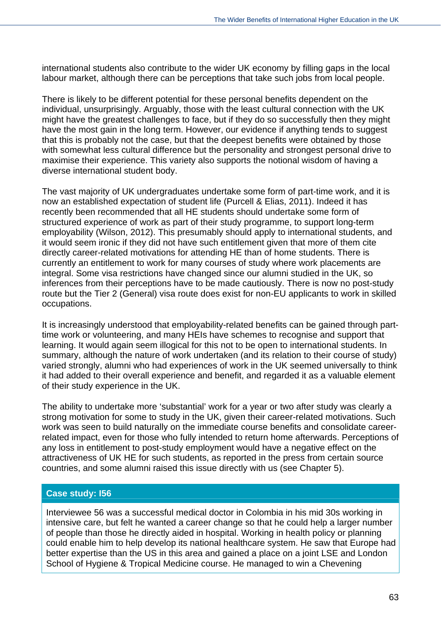international students also contribute to the wider UK economy by filling gaps in the local labour market, although there can be perceptions that take such jobs from local people.

There is likely to be different potential for these personal benefits dependent on the individual, unsurprisingly. Arguably, those with the least cultural connection with the UK might have the greatest challenges to face, but if they do so successfully then they might have the most gain in the long term. However, our evidence if anything tends to suggest that this is probably not the case, but that the deepest benefits were obtained by those with somewhat less cultural difference but the personality and strongest personal drive to maximise their experience. This variety also supports the notional wisdom of having a diverse international student body.

The vast majority of UK undergraduates undertake some form of part-time work, and it is now an established expectation of student life (Purcell & Elias, 2011). Indeed it has recently been recommended that all HE students should undertake some form of structured experience of work as part of their study programme, to support long-term employability (Wilson, 2012). This presumably should apply to international students, and it would seem ironic if they did not have such entitlement given that more of them cite directly career-related motivations for attending HE than of home students. There is currently an entitlement to work for many courses of study where work placements are integral. Some visa restrictions have changed since our alumni studied in the UK, so inferences from their perceptions have to be made cautiously. There is now no post-study route but the Tier 2 (General) visa route does exist for non-EU applicants to work in skilled occupations.

It is increasingly understood that employability-related benefits can be gained through parttime work or volunteering, and many HEIs have schemes to recognise and support that learning. It would again seem illogical for this not to be open to international students. In summary, although the nature of work undertaken (and its relation to their course of study) varied strongly, alumni who had experiences of work in the UK seemed universally to think it had added to their overall experience and benefit, and regarded it as a valuable element of their study experience in the UK.

The ability to undertake more 'substantial' work for a year or two after study was clearly a strong motivation for some to study in the UK, given their career-related motivations. Such work was seen to build naturally on the immediate course benefits and consolidate careerrelated impact, even for those who fully intended to return home afterwards. Perceptions of any loss in entitlement to post-study employment would have a negative effect on the attractiveness of UK HE for such students, as reported in the press from certain source countries, and some alumni raised this issue directly with us (see Chapter 5).

#### **Case study: I56**

Interviewee 56 was a successful medical doctor in Colombia in his mid 30s working in intensive care, but felt he wanted a career change so that he could help a larger number of people than those he directly aided in hospital. Working in health policy or planning could enable him to help develop its national healthcare system. He saw that Europe had better expertise than the US in this area and gained a place on a joint LSE and London School of Hygiene & Tropical Medicine course. He managed to win a Chevening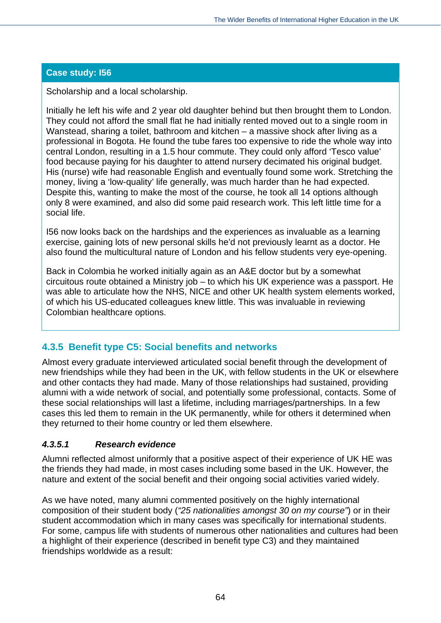## **Case study: I56**

Scholarship and a local scholarship.

Initially he left his wife and 2 year old daughter behind but then brought them to London. They could not afford the small flat he had initially rented moved out to a single room in Wanstead, sharing a toilet, bathroom and kitchen – a massive shock after living as a professional in Bogota. He found the tube fares too expensive to ride the whole way into central London, resulting in a 1.5 hour commute. They could only afford 'Tesco value' food because paying for his daughter to attend nursery decimated his original budget. His (nurse) wife had reasonable English and eventually found some work. Stretching the money, living a 'low-quality' life generally, was much harder than he had expected. Despite this, wanting to make the most of the course, he took all 14 options although only 8 were examined, and also did some paid research work. This left little time for a social life.

I56 now looks back on the hardships and the experiences as invaluable as a learning exercise, gaining lots of new personal skills he'd not previously learnt as a doctor. He also found the multicultural nature of London and his fellow students very eye-opening.

Back in Colombia he worked initially again as an A&E doctor but by a somewhat circuitous route obtained a Ministry job – to which his UK experience was a passport. He was able to articulate how the NHS, NICE and other UK health system elements worked, of which his US-educated colleagues knew little. This was invaluable in reviewing Colombian healthcare options.

## **4.3.5 Benefit type C5: Social benefits and networks**

Almost every graduate interviewed articulated social benefit through the development of new friendships while they had been in the UK, with fellow students in the UK or elsewhere and other contacts they had made. Many of those relationships had sustained, providing alumni with a wide network of social, and potentially some professional, contacts. Some of these social relationships will last a lifetime, including marriages/partnerships. In a few cases this led them to remain in the UK permanently, while for others it determined when they returned to their home country or led them elsewhere.

## *4.3.5.1 Research evidence*

Alumni reflected almost uniformly that a positive aspect of their experience of UK HE was the friends they had made, in most cases including some based in the UK. However, the nature and extent of the social benefit and their ongoing social activities varied widely.

As we have noted, many alumni commented positively on the highly international composition of their student body (*"25 nationalities amongst 30 on my course"*) or in their student accommodation which in many cases was specifically for international students. For some, campus life with students of numerous other nationalities and cultures had been a highlight of their experience (described in benefit type C3) and they maintained friendships worldwide as a result: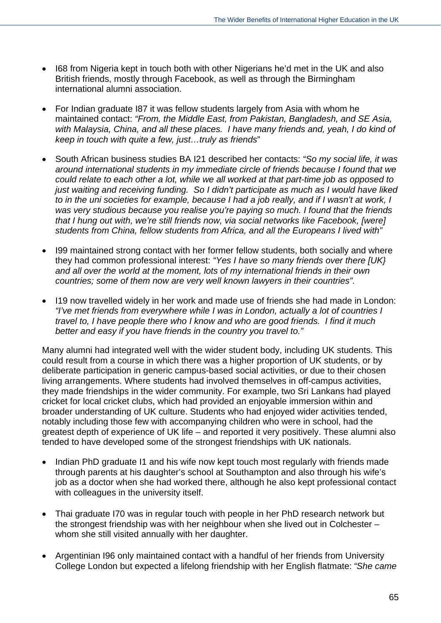- I68 from Nigeria kept in touch both with other Nigerians he'd met in the UK and also British friends, mostly through Facebook, as well as through the Birmingham international alumni association.
- For Indian graduate I87 it was fellow students largely from Asia with whom he maintained contact: *"From, the Middle East, from Pakistan, Bangladesh, and SE Asia, with Malaysia, China, and all these places. I have many friends and, yeah, I do kind of keep in touch with quite a few, just…truly as friends*"
- South African business studies BA I21 described her contacts: *"So my social life, it was around international students in my immediate circle of friends because I found that we could relate to each other a lot, while we all worked at that part-time job as opposed to just waiting and receiving funding. So I didn't participate as much as I would have liked to in the uni societies for example, because I had a job really, and if I wasn't at work, I was very studious because you realise you're paying so much. I found that the friends that I hung out with, we're still friends now, via social networks like Facebook, [were] students from China, fellow students from Africa, and all the Europeans I lived with"*
- I99 maintained strong contact with her former fellow students, both socially and where they had common professional interest: *"Yes I have so many friends over there [UK} and all over the world at the moment, lots of my international friends in their own countries; some of them now are very well known lawyers in their countries".*
- I19 now travelled widely in her work and made use of friends she had made in London: *"I've met friends from everywhere while I was in London, actually a lot of countries I travel to, I have people there who I know and who are good friends. I find it much better and easy if you have friends in the country you travel to."*

Many alumni had integrated well with the wider student body, including UK students. This could result from a course in which there was a higher proportion of UK students, or by deliberate participation in generic campus-based social activities, or due to their chosen living arrangements. Where students had involved themselves in off-campus activities, they made friendships in the wider community. For example, two Sri Lankans had played cricket for local cricket clubs, which had provided an enjoyable immersion within and broader understanding of UK culture. Students who had enjoyed wider activities tended, notably including those few with accompanying children who were in school, had the greatest depth of experience of UK life – and reported it very positively. These alumni also tended to have developed some of the strongest friendships with UK nationals.

- Indian PhD graduate I1 and his wife now kept touch most regularly with friends made through parents at his daughter's school at Southampton and also through his wife's job as a doctor when she had worked there, although he also kept professional contact with colleagues in the university itself.
- Thai graduate I70 was in regular touch with people in her PhD research network but the strongest friendship was with her neighbour when she lived out in Colchester – whom she still visited annually with her daughter.
- Argentinian I96 only maintained contact with a handful of her friends from University College London but expected a lifelong friendship with her English flatmate: *"She came*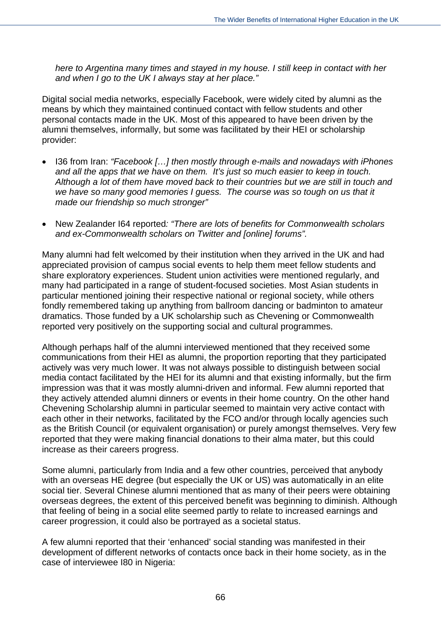*here to Argentina many times and stayed in my house. I still keep in contact with her and when I go to the UK I always stay at her place."*

Digital social media networks, especially Facebook, were widely cited by alumni as the means by which they maintained continued contact with fellow students and other personal contacts made in the UK. Most of this appeared to have been driven by the alumni themselves, informally, but some was facilitated by their HEI or scholarship provider:

- I36 from Iran: *"Facebook […] then mostly through e-mails and nowadays with iPhones and all the apps that we have on them. It's just so much easier to keep in touch. Although a lot of them have moved back to their countries but we are still in touch and we have so many good memories I guess. The course was so tough on us that it made our friendship so much stronger"*
- New Zealander I64 reported*: "There are lots of benefits for Commonwealth scholars and ex-Commonwealth scholars on Twitter and [online] forums".*

Many alumni had felt welcomed by their institution when they arrived in the UK and had appreciated provision of campus social events to help them meet fellow students and share exploratory experiences. Student union activities were mentioned regularly, and many had participated in a range of student-focused societies. Most Asian students in particular mentioned joining their respective national or regional society, while others fondly remembered taking up anything from ballroom dancing or badminton to amateur dramatics. Those funded by a UK scholarship such as Chevening or Commonwealth reported very positively on the supporting social and cultural programmes.

Although perhaps half of the alumni interviewed mentioned that they received some communications from their HEI as alumni, the proportion reporting that they participated actively was very much lower. It was not always possible to distinguish between social media contact facilitated by the HEI for its alumni and that existing informally, but the firm impression was that it was mostly alumni-driven and informal. Few alumni reported that they actively attended alumni dinners or events in their home country. On the other hand Chevening Scholarship alumni in particular seemed to maintain very active contact with each other in their networks, facilitated by the FCO and/or through locally agencies such as the British Council (or equivalent organisation) or purely amongst themselves. Very few reported that they were making financial donations to their alma mater, but this could increase as their careers progress.

Some alumni, particularly from India and a few other countries, perceived that anybody with an overseas HE degree (but especially the UK or US) was automatically in an elite social tier. Several Chinese alumni mentioned that as many of their peers were obtaining overseas degrees, the extent of this perceived benefit was beginning to diminish. Although that feeling of being in a social elite seemed partly to relate to increased earnings and career progression, it could also be portrayed as a societal status.

A few alumni reported that their 'enhanced' social standing was manifested in their development of different networks of contacts once back in their home society, as in the case of interviewee I80 in Nigeria: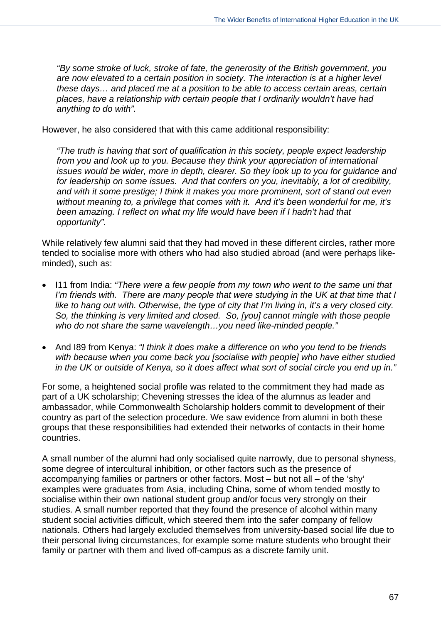*"By some stroke of luck, stroke of fate, the generosity of the British government, you are now elevated to a certain position in society. The interaction is at a higher level these days… and placed me at a position to be able to access certain areas, certain places, have a relationship with certain people that I ordinarily wouldn't have had anything to do with".*

However, he also considered that with this came additional responsibility:

*"The truth is having that sort of qualification in this society, people expect leadership from you and look up to you. Because they think your appreciation of international issues would be wider, more in depth, clearer. So they look up to you for guidance and for leadership on some issues. And that confers on you, inevitably, a lot of credibility, and with it some prestige; I think it makes you more prominent, sort of stand out even without meaning to, a privilege that comes with it. And it's been wonderful for me, it's been amazing. I reflect on what my life would have been if I hadn't had that opportunity".* 

While relatively few alumni said that they had moved in these different circles, rather more tended to socialise more with others who had also studied abroad (and were perhaps likeminded), such as:

- I11 from India: "There were a few people from my town who went to the same uni that *I'm friends with. There are many people that were studying in the UK at that time that I like to hang out with. Otherwise, the type of city that I'm living in, it's a very closed city. So, the thinking is very limited and closed. So, [you] cannot mingle with those people who do not share the same wavelength…you need like-minded people."*
- And I89 from Kenya: *"I think it does make a difference on who you tend to be friends with because when you come back you [socialise with people] who have either studied in the UK or outside of Kenya, so it does affect what sort of social circle you end up in."*

For some, a heightened social profile was related to the commitment they had made as part of a UK scholarship; Chevening stresses the idea of the alumnus as leader and ambassador, while Commonwealth Scholarship holders commit to development of their country as part of the selection procedure. We saw evidence from alumni in both these groups that these responsibilities had extended their networks of contacts in their home countries.

A small number of the alumni had only socialised quite narrowly, due to personal shyness, some degree of intercultural inhibition, or other factors such as the presence of accompanying families or partners or other factors. Most – but not all – of the 'shy' examples were graduates from Asia, including China, some of whom tended mostly to socialise within their own national student group and/or focus very strongly on their studies. A small number reported that they found the presence of alcohol within many student social activities difficult, which steered them into the safer company of fellow nationals. Others had largely excluded themselves from university-based social life due to their personal living circumstances, for example some mature students who brought their family or partner with them and lived off-campus as a discrete family unit.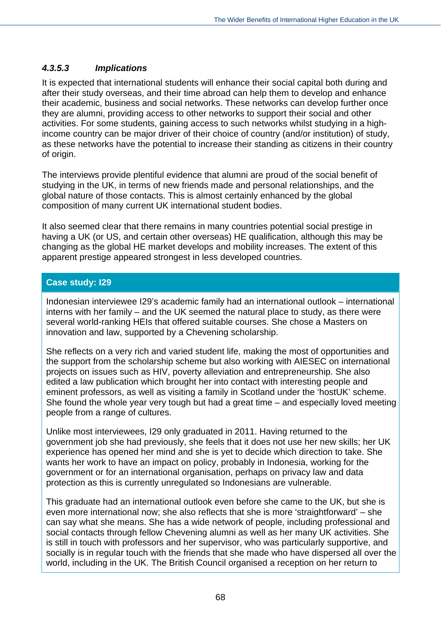### *4.3.5.3 Implications*

It is expected that international students will enhance their social capital both during and after their study overseas, and their time abroad can help them to develop and enhance their academic, business and social networks. These networks can develop further once they are alumni, providing access to other networks to support their social and other activities. For some students, gaining access to such networks whilst studying in a highincome country can be major driver of their choice of country (and/or institution) of study, as these networks have the potential to increase their standing as citizens in their country of origin.

The interviews provide plentiful evidence that alumni are proud of the social benefit of studying in the UK, in terms of new friends made and personal relationships, and the global nature of those contacts. This is almost certainly enhanced by the global composition of many current UK international student bodies.

It also seemed clear that there remains in many countries potential social prestige in having a UK (or US, and certain other overseas) HE qualification, although this may be changing as the global HE market develops and mobility increases. The extent of this apparent prestige appeared strongest in less developed countries.

## **Case study: I29**

Indonesian interviewee I29's academic family had an international outlook – international interns with her family – and the UK seemed the natural place to study, as there were several world-ranking HEIs that offered suitable courses. She chose a Masters on innovation and law, supported by a Chevening scholarship.

She reflects on a very rich and varied student life, making the most of opportunities and the support from the scholarship scheme but also working with AIESEC on international projects on issues such as HIV, poverty alleviation and entrepreneurship. She also edited a law publication which brought her into contact with interesting people and eminent professors, as well as visiting a family in Scotland under the 'hostUK' scheme. She found the whole year very tough but had a great time – and especially loved meeting people from a range of cultures.

Unlike most interviewees, I29 only graduated in 2011. Having returned to the government job she had previously, she feels that it does not use her new skills; her UK experience has opened her mind and she is yet to decide which direction to take. She wants her work to have an impact on policy, probably in Indonesia, working for the government or for an international organisation, perhaps on privacy law and data protection as this is currently unregulated so Indonesians are vulnerable.

This graduate had an international outlook even before she came to the UK, but she is even more international now; she also reflects that she is more 'straightforward' – she can say what she means. She has a wide network of people, including professional and social contacts through fellow Chevening alumni as well as her many UK activities. She is still in touch with professors and her supervisor, who was particularly supportive, and socially is in regular touch with the friends that she made who have dispersed all over the world, including in the UK. The British Council organised a reception on her return to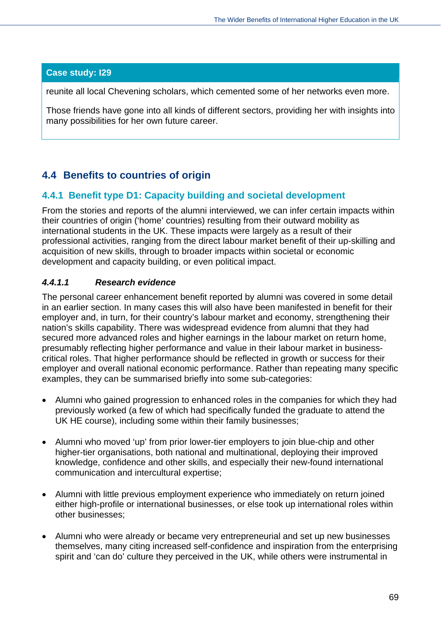## **Case study: I29**

reunite all local Chevening scholars, which cemented some of her networks even more.

Those friends have gone into all kinds of different sectors, providing her with insights into many possibilities for her own future career.

# **4.4 Benefits to countries of origin**

## **4.4.1 Benefit type D1: Capacity building and societal development**

From the stories and reports of the alumni interviewed, we can infer certain impacts within their countries of origin ('home' countries) resulting from their outward mobility as international students in the UK. These impacts were largely as a result of their professional activities, ranging from the direct labour market benefit of their up-skilling and acquisition of new skills, through to broader impacts within societal or economic development and capacity building, or even political impact.

## *4.4.1.1 Research evidence*

The personal career enhancement benefit reported by alumni was covered in some detail in an earlier section. In many cases this will also have been manifested in benefit for their employer and, in turn, for their country's labour market and economy, strengthening their nation's skills capability. There was widespread evidence from alumni that they had secured more advanced roles and higher earnings in the labour market on return home, presumably reflecting higher performance and value in their labour market in businesscritical roles. That higher performance should be reflected in growth or success for their employer and overall national economic performance. Rather than repeating many specific examples, they can be summarised briefly into some sub-categories:

- Alumni who gained progression to enhanced roles in the companies for which they had previously worked (a few of which had specifically funded the graduate to attend the UK HE course), including some within their family businesses;
- Alumni who moved 'up' from prior lower-tier employers to join blue-chip and other higher-tier organisations, both national and multinational, deploying their improved knowledge, confidence and other skills, and especially their new-found international communication and intercultural expertise;
- Alumni with little previous employment experience who immediately on return joined either high-profile or international businesses, or else took up international roles within other businesses;
- Alumni who were already or became very entrepreneurial and set up new businesses themselves, many citing increased self-confidence and inspiration from the enterprising spirit and 'can do' culture they perceived in the UK, while others were instrumental in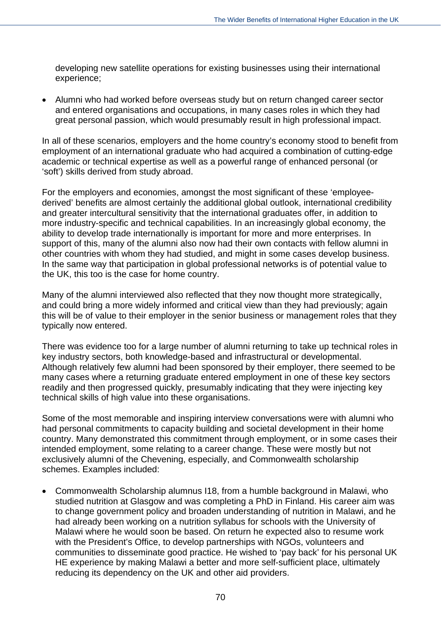developing new satellite operations for existing businesses using their international experience;

 Alumni who had worked before overseas study but on return changed career sector and entered organisations and occupations, in many cases roles in which they had great personal passion, which would presumably result in high professional impact.

In all of these scenarios, employers and the home country's economy stood to benefit from employment of an international graduate who had acquired a combination of cutting-edge academic or technical expertise as well as a powerful range of enhanced personal (or 'soft') skills derived from study abroad.

For the employers and economies, amongst the most significant of these 'employeederived' benefits are almost certainly the additional global outlook, international credibility and greater intercultural sensitivity that the international graduates offer, in addition to more industry-specific and technical capabilities. In an increasingly global economy, the ability to develop trade internationally is important for more and more enterprises. In support of this, many of the alumni also now had their own contacts with fellow alumni in other countries with whom they had studied, and might in some cases develop business. In the same way that participation in global professional networks is of potential value to the UK, this too is the case for home country.

Many of the alumni interviewed also reflected that they now thought more strategically, and could bring a more widely informed and critical view than they had previously; again this will be of value to their employer in the senior business or management roles that they typically now entered.

There was evidence too for a large number of alumni returning to take up technical roles in key industry sectors, both knowledge-based and infrastructural or developmental. Although relatively few alumni had been sponsored by their employer, there seemed to be many cases where a returning graduate entered employment in one of these key sectors readily and then progressed quickly, presumably indicating that they were injecting key technical skills of high value into these organisations.

Some of the most memorable and inspiring interview conversations were with alumni who had personal commitments to capacity building and societal development in their home country. Many demonstrated this commitment through employment, or in some cases their intended employment, some relating to a career change. These were mostly but not exclusively alumni of the Chevening, especially, and Commonwealth scholarship schemes. Examples included:

 Commonwealth Scholarship alumnus I18, from a humble background in Malawi, who studied nutrition at Glasgow and was completing a PhD in Finland. His career aim was to change government policy and broaden understanding of nutrition in Malawi, and he had already been working on a nutrition syllabus for schools with the University of Malawi where he would soon be based. On return he expected also to resume work with the President's Office, to develop partnerships with NGOs, volunteers and communities to disseminate good practice. He wished to 'pay back' for his personal UK HE experience by making Malawi a better and more self-sufficient place, ultimately reducing its dependency on the UK and other aid providers.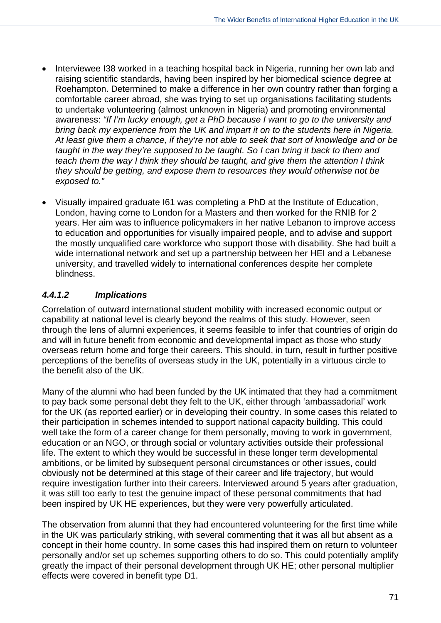- Interviewee I38 worked in a teaching hospital back in Nigeria, running her own lab and raising scientific standards, having been inspired by her biomedical science degree at Roehampton. Determined to make a difference in her own country rather than forging a comfortable career abroad, she was trying to set up organisations facilitating students to undertake volunteering (almost unknown in Nigeria) and promoting environmental awareness: *"If I'm lucky enough, get a PhD because I want to go to the university and bring back my experience from the UK and impart it on to the students here in Nigeria. At least give them a chance, if they're not able to seek that sort of knowledge and or be taught in the way they're supposed to be taught. So I can bring it back to them and teach them the way I think they should be taught, and give them the attention I think they should be getting, and expose them to resources they would otherwise not be exposed to."*
- Visually impaired graduate I61 was completing a PhD at the Institute of Education, London, having come to London for a Masters and then worked for the RNIB for 2 years. Her aim was to influence policymakers in her native Lebanon to improve access to education and opportunities for visually impaired people, and to advise and support the mostly unqualified care workforce who support those with disability. She had built a wide international network and set up a partnership between her HEI and a Lebanese university, and travelled widely to international conferences despite her complete blindness.

## *4.4.1.2 Implications*

Correlation of outward international student mobility with increased economic output or capability at national level is clearly beyond the realms of this study. However, seen through the lens of alumni experiences, it seems feasible to infer that countries of origin do and will in future benefit from economic and developmental impact as those who study overseas return home and forge their careers. This should, in turn, result in further positive perceptions of the benefits of overseas study in the UK, potentially in a virtuous circle to the benefit also of the UK.

Many of the alumni who had been funded by the UK intimated that they had a commitment to pay back some personal debt they felt to the UK, either through 'ambassadorial' work for the UK (as reported earlier) or in developing their country. In some cases this related to their participation in schemes intended to support national capacity building. This could well take the form of a career change for them personally, moving to work in government, education or an NGO, or through social or voluntary activities outside their professional life. The extent to which they would be successful in these longer term developmental ambitions, or be limited by subsequent personal circumstances or other issues, could obviously not be determined at this stage of their career and life trajectory, but would require investigation further into their careers. Interviewed around 5 years after graduation, it was still too early to test the genuine impact of these personal commitments that had been inspired by UK HE experiences, but they were very powerfully articulated.

The observation from alumni that they had encountered volunteering for the first time while in the UK was particularly striking, with several commenting that it was all but absent as a concept in their home country. In some cases this had inspired them on return to volunteer personally and/or set up schemes supporting others to do so. This could potentially amplify greatly the impact of their personal development through UK HE; other personal multiplier effects were covered in benefit type D1.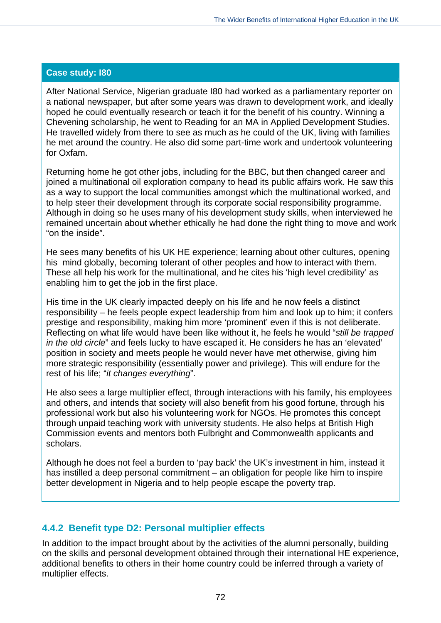#### **Case study: I80**

After National Service, Nigerian graduate I80 had worked as a parliamentary reporter on a national newspaper, but after some years was drawn to development work, and ideally hoped he could eventually research or teach it for the benefit of his country. Winning a Chevening scholarship, he went to Reading for an MA in Applied Development Studies. He travelled widely from there to see as much as he could of the UK, living with families he met around the country. He also did some part-time work and undertook volunteering for Oxfam.

Returning home he got other jobs, including for the BBC, but then changed career and joined a multinational oil exploration company to head its public affairs work. He saw this as a way to support the local communities amongst which the multinational worked, and to help steer their development through its corporate social responsibility programme. Although in doing so he uses many of his development study skills, when interviewed he remained uncertain about whether ethically he had done the right thing to move and work "on the inside".

He sees many benefits of his UK HE experience; learning about other cultures, opening his mind globally, becoming tolerant of other peoples and how to interact with them. These all help his work for the multinational, and he cites his 'high level credibility' as enabling him to get the job in the first place.

His time in the UK clearly impacted deeply on his life and he now feels a distinct responsibility – he feels people expect leadership from him and look up to him; it confers prestige and responsibility, making him more 'prominent' even if this is not deliberate. Reflecting on what life would have been like without it, he feels he would "*still be trapped in the old circle*" and feels lucky to have escaped it. He considers he has an 'elevated' position in society and meets people he would never have met otherwise, giving him more strategic responsibility (essentially power and privilege). This will endure for the rest of his life; "*it changes everything*".

He also sees a large multiplier effect, through interactions with his family, his employees and others, and intends that society will also benefit from his good fortune, through his professional work but also his volunteering work for NGOs. He promotes this concept through unpaid teaching work with university students. He also helps at British High Commission events and mentors both Fulbright and Commonwealth applicants and scholars.

Although he does not feel a burden to 'pay back' the UK's investment in him, instead it has instilled a deep personal commitment – an obligation for people like him to inspire better development in Nigeria and to help people escape the poverty trap.

## **4.4.2 Benefit type D2: Personal multiplier effects**

In addition to the impact brought about by the activities of the alumni personally, building on the skills and personal development obtained through their international HE experience, additional benefits to others in their home country could be inferred through a variety of multiplier effects.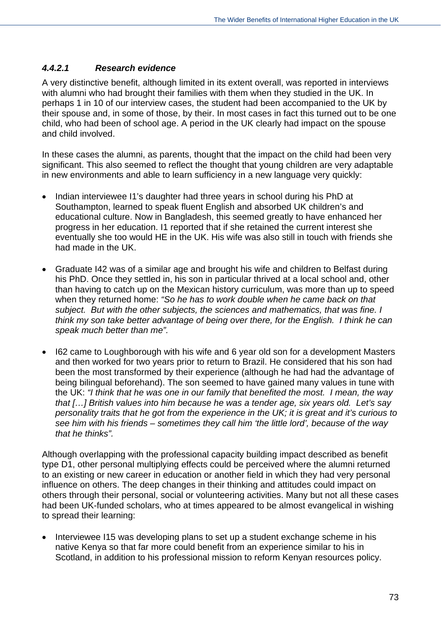#### *4.4.2.1 Research evidence*

A very distinctive benefit, although limited in its extent overall, was reported in interviews with alumni who had brought their families with them when they studied in the UK. In perhaps 1 in 10 of our interview cases, the student had been accompanied to the UK by their spouse and, in some of those, by their. In most cases in fact this turned out to be one child, who had been of school age. A period in the UK clearly had impact on the spouse and child involved.

In these cases the alumni, as parents, thought that the impact on the child had been very significant. This also seemed to reflect the thought that young children are very adaptable in new environments and able to learn sufficiency in a new language very quickly:

- Indian interviewee I1's daughter had three years in school during his PhD at Southampton, learned to speak fluent English and absorbed UK children's and educational culture. Now in Bangladesh, this seemed greatly to have enhanced her progress in her education. I1 reported that if she retained the current interest she eventually she too would HE in the UK. His wife was also still in touch with friends she had made in the UK.
- Graduate I42 was of a similar age and brought his wife and children to Belfast during his PhD. Once they settled in, his son in particular thrived at a local school and, other than having to catch up on the Mexican history curriculum, was more than up to speed when they returned home: *"So he has to work double when he came back on that subject. But with the other subjects, the sciences and mathematics, that was fine. I think my son take better advantage of being over there, for the English. I think he can speak much better than me".*
- I62 came to Loughborough with his wife and 6 year old son for a development Masters and then worked for two years prior to return to Brazil. He considered that his son had been the most transformed by their experience (although he had had the advantage of being bilingual beforehand). The son seemed to have gained many values in tune with the UK: *"I think that he was one in our family that benefited the most. I mean, the way that […] British values into him because he was a tender age, six years old. Let's say personality traits that he got from the experience in the UK; it is great and it's curious to see him with his friends – sometimes they call him 'the little lord', because of the way that he thinks".*

Although overlapping with the professional capacity building impact described as benefit type D1, other personal multiplying effects could be perceived where the alumni returned to an existing or new career in education or another field in which they had very personal influence on others. The deep changes in their thinking and attitudes could impact on others through their personal, social or volunteering activities. Many but not all these cases had been UK-funded scholars, who at times appeared to be almost evangelical in wishing to spread their learning:

 Interviewee I15 was developing plans to set up a student exchange scheme in his native Kenya so that far more could benefit from an experience similar to his in Scotland, in addition to his professional mission to reform Kenyan resources policy.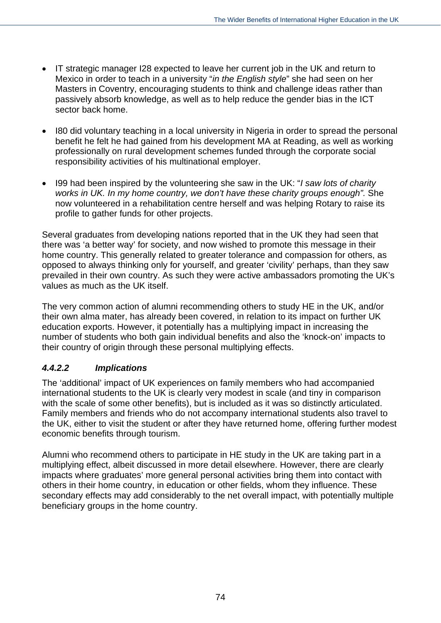- IT strategic manager I28 expected to leave her current job in the UK and return to Mexico in order to teach in a university "*in the English style*" she had seen on her Masters in Coventry, encouraging students to think and challenge ideas rather than passively absorb knowledge, as well as to help reduce the gender bias in the ICT sector back home.
- I80 did voluntary teaching in a local university in Nigeria in order to spread the personal benefit he felt he had gained from his development MA at Reading, as well as working professionally on rural development schemes funded through the corporate social responsibility activities of his multinational employer.
- I99 had been inspired by the volunteering she saw in the UK: "*I saw lots of charity*  works in UK. In my home country, we don't have these charity groups enough". She now volunteered in a rehabilitation centre herself and was helping Rotary to raise its profile to gather funds for other projects.

Several graduates from developing nations reported that in the UK they had seen that there was 'a better way' for society, and now wished to promote this message in their home country. This generally related to greater tolerance and compassion for others, as opposed to always thinking only for yourself, and greater 'civility' perhaps, than they saw prevailed in their own country. As such they were active ambassadors promoting the UK's values as much as the UK itself.

The very common action of alumni recommending others to study HE in the UK, and/or their own alma mater, has already been covered, in relation to its impact on further UK education exports. However, it potentially has a multiplying impact in increasing the number of students who both gain individual benefits and also the 'knock-on' impacts to their country of origin through these personal multiplying effects.

## *4.4.2.2 Implications*

The 'additional' impact of UK experiences on family members who had accompanied international students to the UK is clearly very modest in scale (and tiny in comparison with the scale of some other benefits), but is included as it was so distinctly articulated. Family members and friends who do not accompany international students also travel to the UK, either to visit the student or after they have returned home, offering further modest economic benefits through tourism.

Alumni who recommend others to participate in HE study in the UK are taking part in a multiplying effect, albeit discussed in more detail elsewhere. However, there are clearly impacts where graduates' more general personal activities bring them into contact with others in their home country, in education or other fields, whom they influence. These secondary effects may add considerably to the net overall impact, with potentially multiple beneficiary groups in the home country.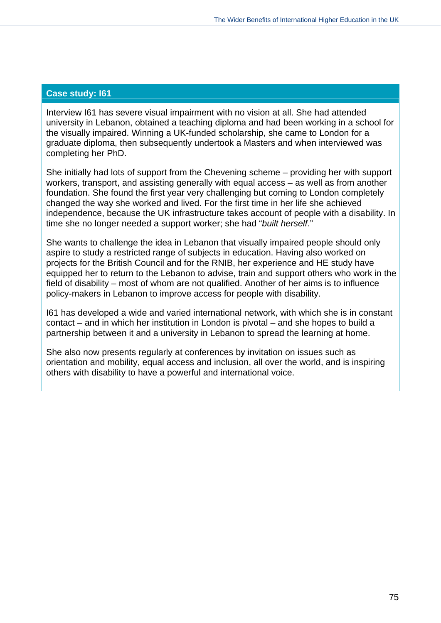#### **Case study: I61**

Interview I61 has severe visual impairment with no vision at all. She had attended university in Lebanon, obtained a teaching diploma and had been working in a school for the visually impaired. Winning a UK-funded scholarship, she came to London for a graduate diploma, then subsequently undertook a Masters and when interviewed was completing her PhD.

She initially had lots of support from the Chevening scheme – providing her with support workers, transport, and assisting generally with equal access – as well as from another foundation. She found the first year very challenging but coming to London completely changed the way she worked and lived. For the first time in her life she achieved independence, because the UK infrastructure takes account of people with a disability. In time she no longer needed a support worker; she had "*built herself*."

She wants to challenge the idea in Lebanon that visually impaired people should only aspire to study a restricted range of subjects in education. Having also worked on projects for the British Council and for the RNIB, her experience and HE study have equipped her to return to the Lebanon to advise, train and support others who work in the field of disability – most of whom are not qualified. Another of her aims is to influence policy-makers in Lebanon to improve access for people with disability.

I61 has developed a wide and varied international network, with which she is in constant contact – and in which her institution in London is pivotal – and she hopes to build a partnership between it and a university in Lebanon to spread the learning at home.

She also now presents regularly at conferences by invitation on issues such as orientation and mobility, equal access and inclusion, all over the world, and is inspiring others with disability to have a powerful and international voice.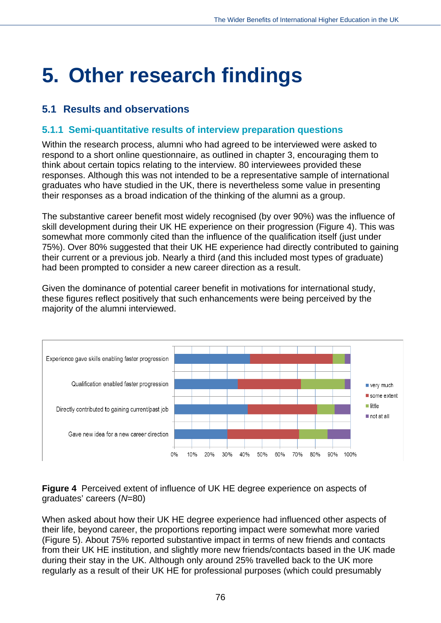# **5. Other research findings**

# **5.1 Results and observations**

## **5.1.1 Semi-quantitative results of interview preparation questions**

Within the research process, alumni who had agreed to be interviewed were asked to respond to a short online questionnaire, as outlined in chapter 3, encouraging them to think about certain topics relating to the interview. 80 interviewees provided these responses. Although this was not intended to be a representative sample of international graduates who have studied in the UK, there is nevertheless some value in presenting their responses as a broad indication of the thinking of the alumni as a group.

The substantive career benefit most widely recognised (by over 90%) was the influence of skill development during their UK HE experience on their progression (Figure 4). This was somewhat more commonly cited than the influence of the qualification itself (just under 75%). Over 80% suggested that their UK HE experience had directly contributed to gaining their current or a previous job. Nearly a third (and this included most types of graduate) had been prompted to consider a new career direction as a result.

Given the dominance of potential career benefit in motivations for international study, these figures reflect positively that such enhancements were being perceived by the majority of the alumni interviewed.



**Figure 4** Perceived extent of influence of UK HE degree experience on aspects of graduates' careers (*N*=80)

When asked about how their UK HE degree experience had influenced other aspects of their life, beyond career, the proportions reporting impact were somewhat more varied (Figure 5). About 75% reported substantive impact in terms of new friends and contacts from their UK HE institution, and slightly more new friends/contacts based in the UK made during their stay in the UK. Although only around 25% travelled back to the UK more regularly as a result of their UK HE for professional purposes (which could presumably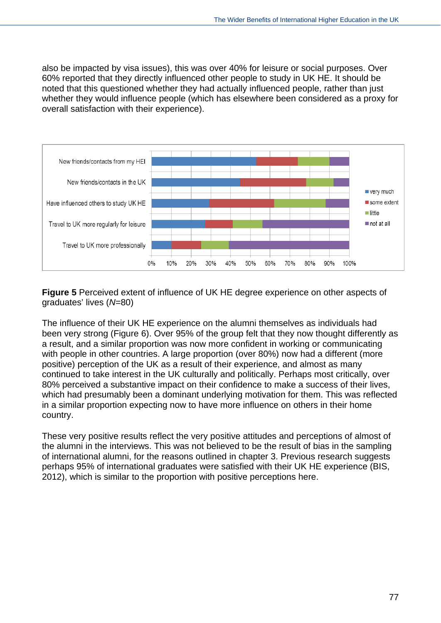also be impacted by visa issues), this was over 40% for leisure or social purposes. Over 60% reported that they directly influenced other people to study in UK HE. It should be noted that this questioned whether they had actually influenced people, rather than just whether they would influence people (which has elsewhere been considered as a proxy for overall satisfaction with their experience).



**Figure 5** Perceived extent of influence of UK HE degree experience on other aspects of graduates' lives (*N*=80)

The influence of their UK HE experience on the alumni themselves as individuals had been very strong (Figure 6). Over 95% of the group felt that they now thought differently as a result, and a similar proportion was now more confident in working or communicating with people in other countries. A large proportion (over 80%) now had a different (more positive) perception of the UK as a result of their experience, and almost as many continued to take interest in the UK culturally and politically. Perhaps most critically, over 80% perceived a substantive impact on their confidence to make a success of their lives, which had presumably been a dominant underlying motivation for them. This was reflected in a similar proportion expecting now to have more influence on others in their home country.

These very positive results reflect the very positive attitudes and perceptions of almost of the alumni in the interviews. This was not believed to be the result of bias in the sampling of international alumni, for the reasons outlined in chapter 3. Previous research suggests perhaps 95% of international graduates were satisfied with their UK HE experience (BIS, 2012), which is similar to the proportion with positive perceptions here.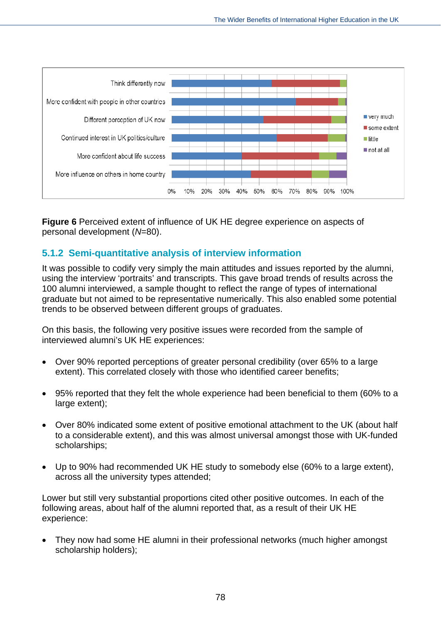

**Figure 6** Perceived extent of influence of UK HE degree experience on aspects of personal development (*N*=80).

## **5.1.2 Semi-quantitative analysis of interview information**

It was possible to codify very simply the main attitudes and issues reported by the alumni, using the interview 'portraits' and transcripts. This gave broad trends of results across the 100 alumni interviewed, a sample thought to reflect the range of types of international graduate but not aimed to be representative numerically. This also enabled some potential trends to be observed between different groups of graduates.

On this basis, the following very positive issues were recorded from the sample of interviewed alumni's UK HE experiences:

- Over 90% reported perceptions of greater personal credibility (over 65% to a large extent). This correlated closely with those who identified career benefits;
- 95% reported that they felt the whole experience had been beneficial to them (60% to a large extent);
- Over 80% indicated some extent of positive emotional attachment to the UK (about half to a considerable extent), and this was almost universal amongst those with UK-funded scholarships;
- Up to 90% had recommended UK HE study to somebody else (60% to a large extent), across all the university types attended;

Lower but still very substantial proportions cited other positive outcomes. In each of the following areas, about half of the alumni reported that, as a result of their UK HE experience:

 They now had some HE alumni in their professional networks (much higher amongst scholarship holders);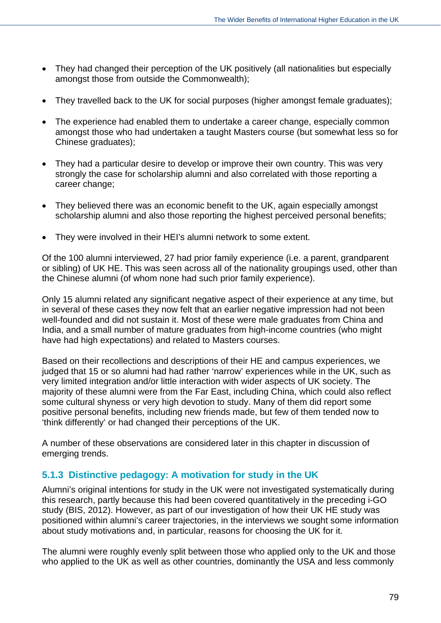- They had changed their perception of the UK positively (all nationalities but especially amongst those from outside the Commonwealth);
- They travelled back to the UK for social purposes (higher amongst female graduates);
- The experience had enabled them to undertake a career change, especially common amongst those who had undertaken a taught Masters course (but somewhat less so for Chinese graduates);
- They had a particular desire to develop or improve their own country. This was very strongly the case for scholarship alumni and also correlated with those reporting a career change;
- They believed there was an economic benefit to the UK, again especially amongst scholarship alumni and also those reporting the highest perceived personal benefits;
- They were involved in their HEI's alumni network to some extent.

Of the 100 alumni interviewed, 27 had prior family experience (i.e. a parent, grandparent or sibling) of UK HE. This was seen across all of the nationality groupings used, other than the Chinese alumni (of whom none had such prior family experience).

Only 15 alumni related any significant negative aspect of their experience at any time, but in several of these cases they now felt that an earlier negative impression had not been well-founded and did not sustain it. Most of these were male graduates from China and India, and a small number of mature graduates from high-income countries (who might have had high expectations) and related to Masters courses.

Based on their recollections and descriptions of their HE and campus experiences, we judged that 15 or so alumni had had rather 'narrow' experiences while in the UK, such as very limited integration and/or little interaction with wider aspects of UK society. The majority of these alumni were from the Far East, including China, which could also reflect some cultural shyness or very high devotion to study. Many of them did report some positive personal benefits, including new friends made, but few of them tended now to 'think differently' or had changed their perceptions of the UK.

A number of these observations are considered later in this chapter in discussion of emerging trends.

## **5.1.3 Distinctive pedagogy: A motivation for study in the UK**

Alumni's original intentions for study in the UK were not investigated systematically during this research, partly because this had been covered quantitatively in the preceding i-GO study (BIS, 2012). However, as part of our investigation of how their UK HE study was positioned within alumni's career trajectories, in the interviews we sought some information about study motivations and, in particular, reasons for choosing the UK for it.

The alumni were roughly evenly split between those who applied only to the UK and those who applied to the UK as well as other countries, dominantly the USA and less commonly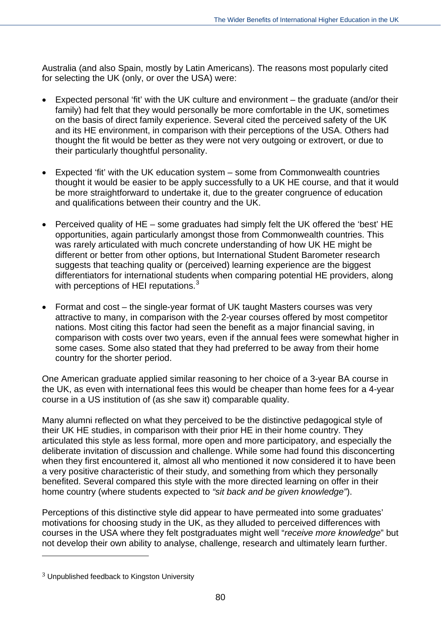Australia (and also Spain, mostly by Latin Americans). The reasons most popularly cited for selecting the UK (only, or over the USA) were:

- Expected personal 'fit' with the UK culture and environment the graduate (and/or their family) had felt that they would personally be more comfortable in the UK, sometimes on the basis of direct family experience. Several cited the perceived safety of the UK and its HE environment, in comparison with their perceptions of the USA. Others had thought the fit would be better as they were not very outgoing or extrovert, or due to their particularly thoughtful personality.
- Expected 'fit' with the UK education system some from Commonwealth countries thought it would be easier to be apply successfully to a UK HE course, and that it would be more straightforward to undertake it, due to the greater congruence of education and qualifications between their country and the UK.
- Perceived quality of HE some graduates had simply felt the UK offered the 'best' HE opportunities, again particularly amongst those from Commonwealth countries. This was rarely articulated with much concrete understanding of how UK HE might be different or better from other options, but International Student Barometer research suggests that teaching quality or (perceived) learning experience are the biggest differentiators for international students when comparing potential HE providers, along with perceptions of HEI reputations.<sup>[3](#page-20-0)</sup>
- Format and cost the single-year format of UK taught Masters courses was very attractive to many, in comparison with the 2-year courses offered by most competitor nations. Most citing this factor had seen the benefit as a major financial saving, in comparison with costs over two years, even if the annual fees were somewhat higher in some cases. Some also stated that they had preferred to be away from their home country for the shorter period.

One American graduate applied similar reasoning to her choice of a 3-year BA course in the UK, as even with international fees this would be cheaper than home fees for a 4-year course in a US institution of (as she saw it) comparable quality.

Many alumni reflected on what they perceived to be the distinctive pedagogical style of their UK HE studies, in comparison with their prior HE in their home country. They articulated this style as less formal, more open and more participatory, and especially the deliberate invitation of discussion and challenge. While some had found this disconcerting when they first encountered it, almost all who mentioned it now considered it to have been a very positive characteristic of their study, and something from which they personally benefited. Several compared this style with the more directed learning on offer in their home country (where students expected to *"sit back and be given knowledge"*).

Perceptions of this distinctive style did appear to have permeated into some graduates' motivations for choosing study in the UK, as they alluded to perceived differences with courses in the USA where they felt postgraduates might well "*receive more knowledge*" but not develop their own ability to analyse, challenge, research and ultimately learn further.

 $\overline{a}$ 

<span id="page-93-0"></span><sup>3</sup> Unpublished feedback to Kingston University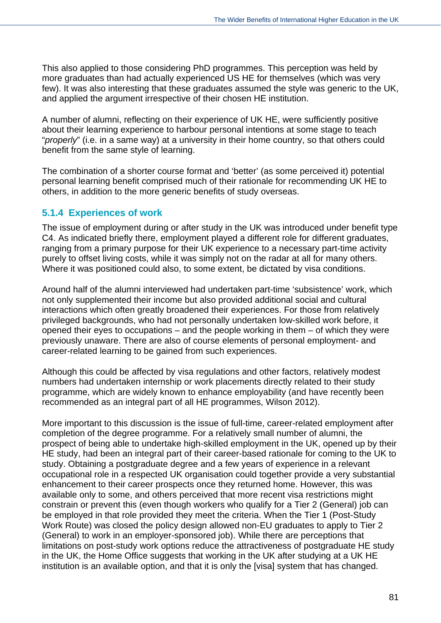This also applied to those considering PhD programmes. This perception was held by more graduates than had actually experienced US HE for themselves (which was very few). It was also interesting that these graduates assumed the style was generic to the UK, and applied the argument irrespective of their chosen HE institution.

A number of alumni, reflecting on their experience of UK HE, were sufficiently positive about their learning experience to harbour personal intentions at some stage to teach "*properly*" (i.e. in a same way) at a university in their home country, so that others could benefit from the same style of learning.

The combination of a shorter course format and 'better' (as some perceived it) potential personal learning benefit comprised much of their rationale for recommending UK HE to others, in addition to the more generic benefits of study overseas.

## **5.1.4 Experiences of work**

The issue of employment during or after study in the UK was introduced under benefit type C4. As indicated briefly there, employment played a different role for different graduates, ranging from a primary purpose for their UK experience to a necessary part-time activity purely to offset living costs, while it was simply not on the radar at all for many others. Where it was positioned could also, to some extent, be dictated by visa conditions.

Around half of the alumni interviewed had undertaken part-time 'subsistence' work, which not only supplemented their income but also provided additional social and cultural interactions which often greatly broadened their experiences. For those from relatively privileged backgrounds, who had not personally undertaken low-skilled work before, it opened their eyes to occupations – and the people working in them – of which they were previously unaware. There are also of course elements of personal employment- and career-related learning to be gained from such experiences.

Although this could be affected by visa regulations and other factors, relatively modest numbers had undertaken internship or work placements directly related to their study programme, which are widely known to enhance employability (and have recently been recommended as an integral part of all HE programmes, Wilson 2012).

More important to this discussion is the issue of full-time, career-related employment after completion of the degree programme. For a relatively small number of alumni, the prospect of being able to undertake high-skilled employment in the UK, opened up by their HE study, had been an integral part of their career-based rationale for coming to the UK to study. Obtaining a postgraduate degree and a few years of experience in a relevant occupational role in a respected UK organisation could together provide a very substantial enhancement to their career prospects once they returned home. However, this was available only to some, and others perceived that more recent visa restrictions might constrain or prevent this (even though workers who qualify for a Tier 2 (General) job can be employed in that role provided they meet the criteria. When the Tier 1 (Post-Study Work Route) was closed the policy design allowed non-EU graduates to apply to Tier 2 (General) to work in an employer-sponsored job). While there are perceptions that limitations on post-study work options reduce the attractiveness of postgraduate HE study in the UK, the Home Office suggests that working in the UK after studying at a UK HE institution is an available option, and that it is only the [visa] system that has changed.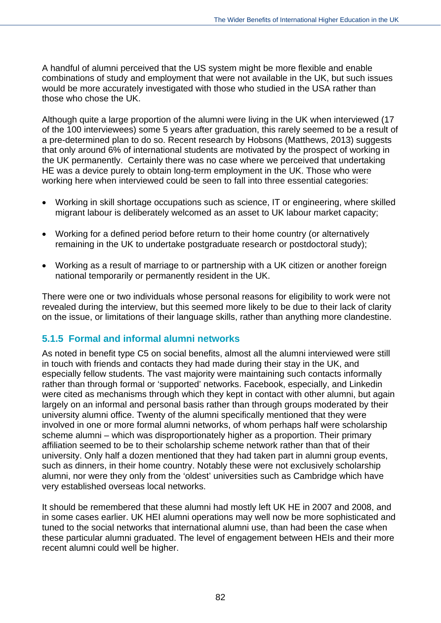A handful of alumni perceived that the US system might be more flexible and enable combinations of study and employment that were not available in the UK, but such issues would be more accurately investigated with those who studied in the USA rather than those who chose the UK.

Although quite a large proportion of the alumni were living in the UK when interviewed (17 of the 100 interviewees) some 5 years after graduation, this rarely seemed to be a result of a pre-determined plan to do so. Recent research by Hobsons (Matthews, 2013) suggests that only around 6% of international students are motivated by the prospect of working in the UK permanently. Certainly there was no case where we perceived that undertaking HE was a device purely to obtain long-term employment in the UK. Those who were working here when interviewed could be seen to fall into three essential categories:

- Working in skill shortage occupations such as science, IT or engineering, where skilled migrant labour is deliberately welcomed as an asset to UK labour market capacity;
- Working for a defined period before return to their home country (or alternatively remaining in the UK to undertake postgraduate research or postdoctoral study);
- Working as a result of marriage to or partnership with a UK citizen or another foreign national temporarily or permanently resident in the UK.

There were one or two individuals whose personal reasons for eligibility to work were not revealed during the interview, but this seemed more likely to be due to their lack of clarity on the issue, or limitations of their language skills, rather than anything more clandestine.

## **5.1.5 Formal and informal alumni networks**

As noted in benefit type C5 on social benefits, almost all the alumni interviewed were still in touch with friends and contacts they had made during their stay in the UK, and especially fellow students. The vast majority were maintaining such contacts informally rather than through formal or 'supported' networks. Facebook, especially, and Linkedin were cited as mechanisms through which they kept in contact with other alumni, but again largely on an informal and personal basis rather than through groups moderated by their university alumni office. Twenty of the alumni specifically mentioned that they were involved in one or more formal alumni networks, of whom perhaps half were scholarship scheme alumni – which was disproportionately higher as a proportion. Their primary affiliation seemed to be to their scholarship scheme network rather than that of their university. Only half a dozen mentioned that they had taken part in alumni group events, such as dinners, in their home country. Notably these were not exclusively scholarship alumni, nor were they only from the 'oldest' universities such as Cambridge which have very established overseas local networks.

It should be remembered that these alumni had mostly left UK HE in 2007 and 2008, and in some cases earlier. UK HEI alumni operations may well now be more sophisticated and tuned to the social networks that international alumni use, than had been the case when these particular alumni graduated. The level of engagement between HEIs and their more recent alumni could well be higher.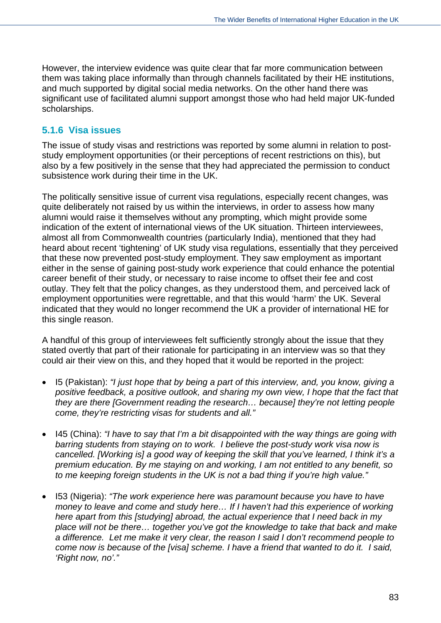However, the interview evidence was quite clear that far more communication between them was taking place informally than through channels facilitated by their HE institutions, and much supported by digital social media networks. On the other hand there was significant use of facilitated alumni support amongst those who had held major UK-funded scholarships.

## **5.1.6 Visa issues**

The issue of study visas and restrictions was reported by some alumni in relation to poststudy employment opportunities (or their perceptions of recent restrictions on this), but also by a few positively in the sense that they had appreciated the permission to conduct subsistence work during their time in the UK.

The politically sensitive issue of current visa regulations, especially recent changes, was quite deliberately not raised by us within the interviews, in order to assess how many alumni would raise it themselves without any prompting, which might provide some indication of the extent of international views of the UK situation. Thirteen interviewees, almost all from Commonwealth countries (particularly India), mentioned that they had heard about recent 'tightening' of UK study visa regulations, essentially that they perceived that these now prevented post-study employment. They saw employment as important either in the sense of gaining post-study work experience that could enhance the potential career benefit of their study, or necessary to raise income to offset their fee and cost outlay. They felt that the policy changes, as they understood them, and perceived lack of employment opportunities were regrettable, and that this would 'harm' the UK. Several indicated that they would no longer recommend the UK a provider of international HE for this single reason.

A handful of this group of interviewees felt sufficiently strongly about the issue that they stated overtly that part of their rationale for participating in an interview was so that they could air their view on this, and they hoped that it would be reported in the project:

- I5 (Pakistan): *"I just hope that by being a part of this interview, and, you know, giving a positive feedback, a positive outlook, and sharing my own view, I hope that the fact that they are there [Government reading the research… because] they're not letting people come, they're restricting visas for students and all."*
- I45 (China): *"I have to say that I'm a bit disappointed with the way things are going with barring students from staying on to work. I believe the post-study work visa now is cancelled. [Working is] a good way of keeping the skill that you've learned, I think it's a premium education. By me staying on and working, I am not entitled to any benefit, so to me keeping foreign students in the UK is not a bad thing if you're high value."*
- I53 (Nigeria): *"The work experience here was paramount because you have to have money to leave and come and study here… If I haven't had this experience of working here apart from this [studying] abroad, the actual experience that I need back in my place will not be there… together you've got the knowledge to take that back and make a difference. Let me make it very clear, the reason I said I don't recommend people to come now is because of the [visa] scheme. I have a friend that wanted to do it. I said, 'Right now, no'."*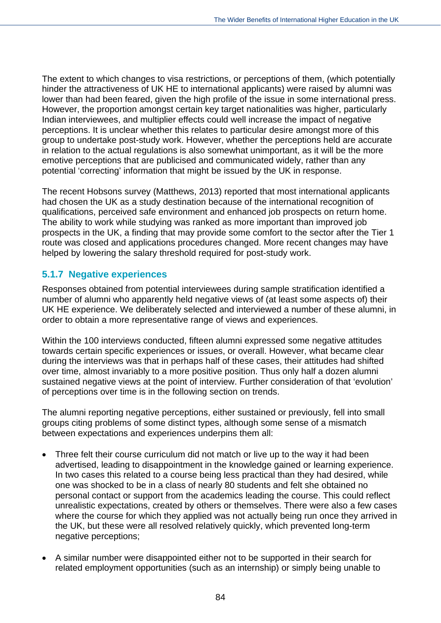The extent to which changes to visa restrictions, or perceptions of them, (which potentially hinder the attractiveness of UK HE to international applicants) were raised by alumni was lower than had been feared, given the high profile of the issue in some international press. However, the proportion amongst certain key target nationalities was higher, particularly Indian interviewees, and multiplier effects could well increase the impact of negative perceptions. It is unclear whether this relates to particular desire amongst more of this group to undertake post-study work. However, whether the perceptions held are accurate in relation to the actual regulations is also somewhat unimportant, as it will be the more emotive perceptions that are publicised and communicated widely, rather than any potential 'correcting' information that might be issued by the UK in response.

The recent Hobsons survey (Matthews, 2013) reported that most international applicants had chosen the UK as a study destination because of the international recognition of qualifications, perceived safe environment and enhanced job prospects on return home. The ability to work while studying was ranked as more important than improved job prospects in the UK, a finding that may provide some comfort to the sector after the Tier 1 route was closed and applications procedures changed. More recent changes may have helped by lowering the salary threshold required for post-study work.

## **5.1.7 Negative experiences**

Responses obtained from potential interviewees during sample stratification identified a number of alumni who apparently held negative views of (at least some aspects of) their UK HE experience. We deliberately selected and interviewed a number of these alumni, in order to obtain a more representative range of views and experiences.

Within the 100 interviews conducted, fifteen alumni expressed some negative attitudes towards certain specific experiences or issues, or overall. However, what became clear during the interviews was that in perhaps half of these cases, their attitudes had shifted over time, almost invariably to a more positive position. Thus only half a dozen alumni sustained negative views at the point of interview. Further consideration of that 'evolution' of perceptions over time is in the following section on trends.

The alumni reporting negative perceptions, either sustained or previously, fell into small groups citing problems of some distinct types, although some sense of a mismatch between expectations and experiences underpins them all:

- Three felt their course curriculum did not match or live up to the way it had been advertised, leading to disappointment in the knowledge gained or learning experience. In two cases this related to a course being less practical than they had desired, while one was shocked to be in a class of nearly 80 students and felt she obtained no personal contact or support from the academics leading the course. This could reflect unrealistic expectations, created by others or themselves. There were also a few cases where the course for which they applied was not actually being run once they arrived in the UK, but these were all resolved relatively quickly, which prevented long-term negative perceptions;
- A similar number were disappointed either not to be supported in their search for related employment opportunities (such as an internship) or simply being unable to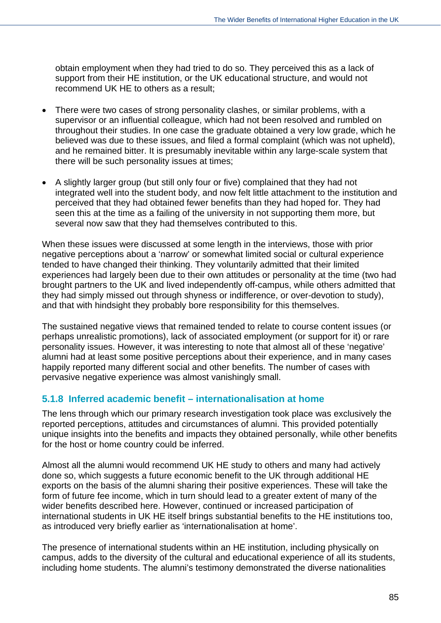obtain employment when they had tried to do so. They perceived this as a lack of support from their HE institution, or the UK educational structure, and would not recommend UK HE to others as a result;

- There were two cases of strong personality clashes, or similar problems, with a supervisor or an influential colleague, which had not been resolved and rumbled on throughout their studies. In one case the graduate obtained a very low grade, which he believed was due to these issues, and filed a formal complaint (which was not upheld), and he remained bitter. It is presumably inevitable within any large-scale system that there will be such personality issues at times;
- A slightly larger group (but still only four or five) complained that they had not integrated well into the student body, and now felt little attachment to the institution and perceived that they had obtained fewer benefits than they had hoped for. They had seen this at the time as a failing of the university in not supporting them more, but several now saw that they had themselves contributed to this.

When these issues were discussed at some length in the interviews, those with prior negative perceptions about a 'narrow' or somewhat limited social or cultural experience tended to have changed their thinking. They voluntarily admitted that their limited experiences had largely been due to their own attitudes or personality at the time (two had brought partners to the UK and lived independently off-campus, while others admitted that they had simply missed out through shyness or indifference, or over-devotion to study), and that with hindsight they probably bore responsibility for this themselves.

The sustained negative views that remained tended to relate to course content issues (or perhaps unrealistic promotions), lack of associated employment (or support for it) or rare personality issues. However, it was interesting to note that almost all of these 'negative' alumni had at least some positive perceptions about their experience, and in many cases happily reported many different social and other benefits. The number of cases with pervasive negative experience was almost vanishingly small.

## **5.1.8 Inferred academic benefit – internationalisation at home**

The lens through which our primary research investigation took place was exclusively the reported perceptions, attitudes and circumstances of alumni. This provided potentially unique insights into the benefits and impacts they obtained personally, while other benefits for the host or home country could be inferred.

Almost all the alumni would recommend UK HE study to others and many had actively done so, which suggests a future economic benefit to the UK through additional HE exports on the basis of the alumni sharing their positive experiences. These will take the form of future fee income, which in turn should lead to a greater extent of many of the wider benefits described here. However, continued or increased participation of international students in UK HE itself brings substantial benefits to the HE institutions too, as introduced very briefly earlier as 'internationalisation at home'.

The presence of international students within an HE institution, including physically on campus, adds to the diversity of the cultural and educational experience of all its students, including home students. The alumni's testimony demonstrated the diverse nationalities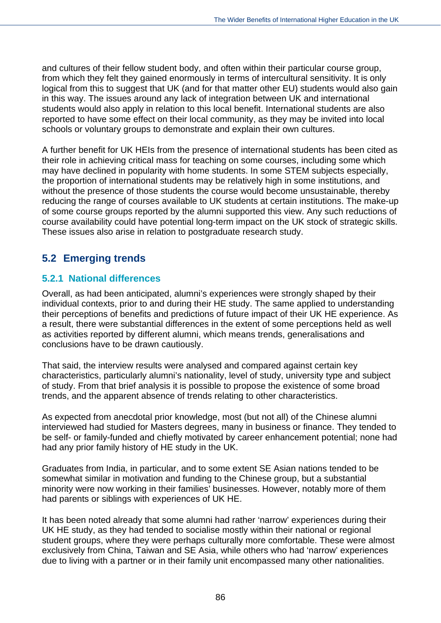and cultures of their fellow student body, and often within their particular course group, from which they felt they gained enormously in terms of intercultural sensitivity. It is only logical from this to suggest that UK (and for that matter other EU) students would also gain in this way. The issues around any lack of integration between UK and international students would also apply in relation to this local benefit. International students are also reported to have some effect on their local community, as they may be invited into local schools or voluntary groups to demonstrate and explain their own cultures.

A further benefit for UK HEIs from the presence of international students has been cited as their role in achieving critical mass for teaching on some courses, including some which may have declined in popularity with home students. In some STEM subjects especially, the proportion of international students may be relatively high in some institutions, and without the presence of those students the course would become unsustainable, thereby reducing the range of courses available to UK students at certain institutions. The make-up of some course groups reported by the alumni supported this view. Any such reductions of course availability could have potential long-term impact on the UK stock of strategic skills. These issues also arise in relation to postgraduate research study.

# **5.2 Emerging trends**

## **5.2.1 National differences**

Overall, as had been anticipated, alumni's experiences were strongly shaped by their individual contexts, prior to and during their HE study. The same applied to understanding their perceptions of benefits and predictions of future impact of their UK HE experience. As a result, there were substantial differences in the extent of some perceptions held as well as activities reported by different alumni, which means trends, generalisations and conclusions have to be drawn cautiously.

That said, the interview results were analysed and compared against certain key characteristics, particularly alumni's nationality, level of study, university type and subject of study. From that brief analysis it is possible to propose the existence of some broad trends, and the apparent absence of trends relating to other characteristics.

As expected from anecdotal prior knowledge, most (but not all) of the Chinese alumni interviewed had studied for Masters degrees, many in business or finance. They tended to be self- or family-funded and chiefly motivated by career enhancement potential; none had had any prior family history of HE study in the UK.

Graduates from India, in particular, and to some extent SE Asian nations tended to be somewhat similar in motivation and funding to the Chinese group, but a substantial minority were now working in their families' businesses. However, notably more of them had parents or siblings with experiences of UK HE.

It has been noted already that some alumni had rather 'narrow' experiences during their UK HE study, as they had tended to socialise mostly within their national or regional student groups, where they were perhaps culturally more comfortable. These were almost exclusively from China, Taiwan and SE Asia, while others who had 'narrow' experiences due to living with a partner or in their family unit encompassed many other nationalities.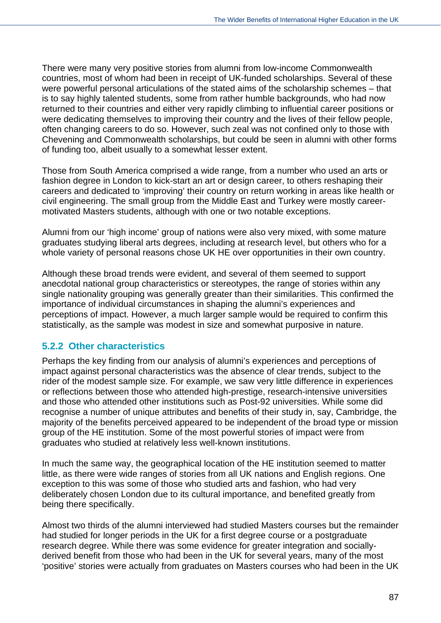There were many very positive stories from alumni from low-income Commonwealth countries, most of whom had been in receipt of UK-funded scholarships. Several of these were powerful personal articulations of the stated aims of the scholarship schemes – that is to say highly talented students, some from rather humble backgrounds, who had now returned to their countries and either very rapidly climbing to influential career positions or were dedicating themselves to improving their country and the lives of their fellow people, often changing careers to do so. However, such zeal was not confined only to those with Chevening and Commonwealth scholarships, but could be seen in alumni with other forms of funding too, albeit usually to a somewhat lesser extent.

Those from South America comprised a wide range, from a number who used an arts or fashion degree in London to kick-start an art or design career, to others reshaping their careers and dedicated to 'improving' their country on return working in areas like health or civil engineering. The small group from the Middle East and Turkey were mostly careermotivated Masters students, although with one or two notable exceptions.

Alumni from our 'high income' group of nations were also very mixed, with some mature graduates studying liberal arts degrees, including at research level, but others who for a whole variety of personal reasons chose UK HE over opportunities in their own country.

Although these broad trends were evident, and several of them seemed to support anecdotal national group characteristics or stereotypes, the range of stories within any single nationality grouping was generally greater than their similarities. This confirmed the importance of individual circumstances in shaping the alumni's experiences and perceptions of impact. However, a much larger sample would be required to confirm this statistically, as the sample was modest in size and somewhat purposive in nature.

## **5.2.2 Other characteristics**

Perhaps the key finding from our analysis of alumni's experiences and perceptions of impact against personal characteristics was the absence of clear trends, subject to the rider of the modest sample size. For example, we saw very little difference in experiences or reflections between those who attended high-prestige, research-intensive universities and those who attended other institutions such as Post-92 universities. While some did recognise a number of unique attributes and benefits of their study in, say, Cambridge, the majority of the benefits perceived appeared to be independent of the broad type or mission group of the HE institution. Some of the most powerful stories of impact were from graduates who studied at relatively less well-known institutions.

In much the same way, the geographical location of the HE institution seemed to matter little, as there were wide ranges of stories from all UK nations and English regions. One exception to this was some of those who studied arts and fashion, who had very deliberately chosen London due to its cultural importance, and benefited greatly from being there specifically.

Almost two thirds of the alumni interviewed had studied Masters courses but the remainder had studied for longer periods in the UK for a first degree course or a postgraduate research degree. While there was some evidence for greater integration and sociallyderived benefit from those who had been in the UK for several years, many of the most 'positive' stories were actually from graduates on Masters courses who had been in the UK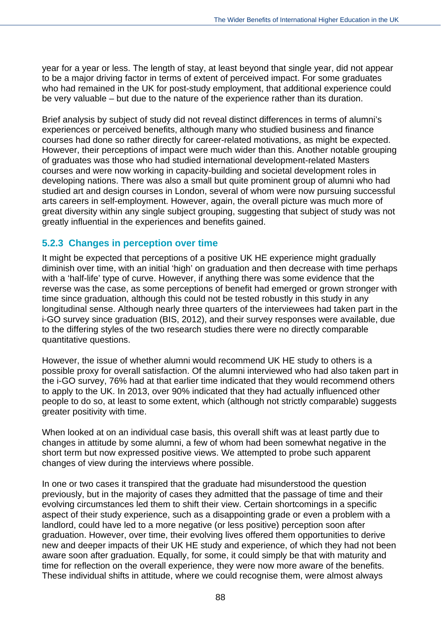year for a year or less. The length of stay, at least beyond that single year, did not appear to be a major driving factor in terms of extent of perceived impact. For some graduates who had remained in the UK for post-study employment, that additional experience could be very valuable – but due to the nature of the experience rather than its duration.

Brief analysis by subject of study did not reveal distinct differences in terms of alumni's experiences or perceived benefits, although many who studied business and finance courses had done so rather directly for career-related motivations, as might be expected. However, their perceptions of impact were much wider than this. Another notable grouping of graduates was those who had studied international development-related Masters courses and were now working in capacity-building and societal development roles in developing nations. There was also a small but quite prominent group of alumni who had studied art and design courses in London, several of whom were now pursuing successful arts careers in self-employment. However, again, the overall picture was much more of great diversity within any single subject grouping, suggesting that subject of study was not greatly influential in the experiences and benefits gained.

## **5.2.3 Changes in perception over time**

It might be expected that perceptions of a positive UK HE experience might gradually diminish over time, with an initial 'high' on graduation and then decrease with time perhaps with a 'half-life' type of curve. However, if anything there was some evidence that the reverse was the case, as some perceptions of benefit had emerged or grown stronger with time since graduation, although this could not be tested robustly in this study in any longitudinal sense. Although nearly three quarters of the interviewees had taken part in the i-GO survey since graduation (BIS, 2012), and their survey responses were available, due to the differing styles of the two research studies there were no directly comparable quantitative questions.

However, the issue of whether alumni would recommend UK HE study to others is a possible proxy for overall satisfaction. Of the alumni interviewed who had also taken part in the i-GO survey, 76% had at that earlier time indicated that they would recommend others to apply to the UK. In 2013, over 90% indicated that they had actually influenced other people to do so, at least to some extent, which (although not strictly comparable) suggests greater positivity with time.

When looked at on an individual case basis, this overall shift was at least partly due to changes in attitude by some alumni, a few of whom had been somewhat negative in the short term but now expressed positive views. We attempted to probe such apparent changes of view during the interviews where possible.

In one or two cases it transpired that the graduate had misunderstood the question previously, but in the majority of cases they admitted that the passage of time and their evolving circumstances led them to shift their view. Certain shortcomings in a specific aspect of their study experience, such as a disappointing grade or even a problem with a landlord, could have led to a more negative (or less positive) perception soon after graduation. However, over time, their evolving lives offered them opportunities to derive new and deeper impacts of their UK HE study and experience, of which they had not been aware soon after graduation. Equally, for some, it could simply be that with maturity and time for reflection on the overall experience, they were now more aware of the benefits. These individual shifts in attitude, where we could recognise them, were almost always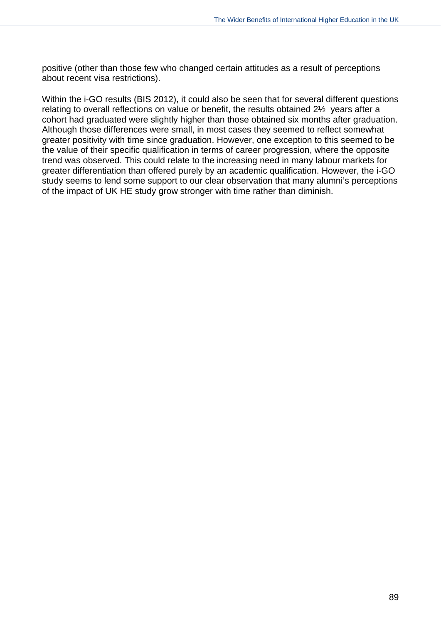positive (other than those few who changed certain attitudes as a result of perceptions about recent visa restrictions).

Within the i-GO results (BIS 2012), it could also be seen that for several different questions relating to overall reflections on value or benefit, the results obtained 2½ years after a cohort had graduated were slightly higher than those obtained six months after graduation. Although those differences were small, in most cases they seemed to reflect somewhat greater positivity with time since graduation. However, one exception to this seemed to be the value of their specific qualification in terms of career progression, where the opposite trend was observed. This could relate to the increasing need in many labour markets for greater differentiation than offered purely by an academic qualification. However, the i-GO study seems to lend some support to our clear observation that many alumni's perceptions of the impact of UK HE study grow stronger with time rather than diminish.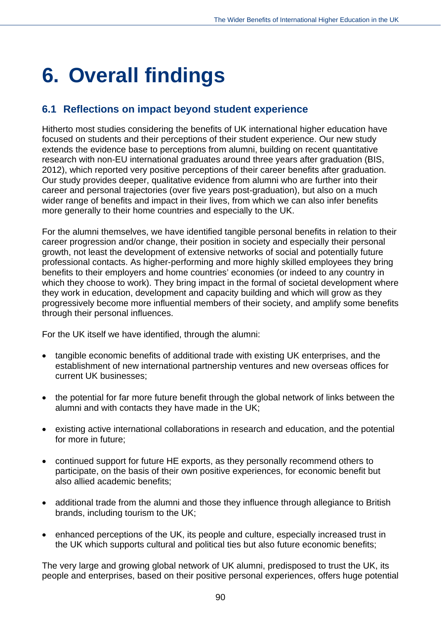# **6. Overall findings**

# **6.1 Reflections on impact beyond student experience**

Hitherto most studies considering the benefits of UK international higher education have focused on students and their perceptions of their student experience. Our new study extends the evidence base to perceptions from alumni, building on recent quantitative research with non-EU international graduates around three years after graduation (BIS, 2012), which reported very positive perceptions of their career benefits after graduation. Our study provides deeper, qualitative evidence from alumni who are further into their career and personal trajectories (over five years post-graduation), but also on a much wider range of benefits and impact in their lives, from which we can also infer benefits more generally to their home countries and especially to the UK.

For the alumni themselves, we have identified tangible personal benefits in relation to their career progression and/or change, their position in society and especially their personal growth, not least the development of extensive networks of social and potentially future professional contacts. As higher-performing and more highly skilled employees they bring benefits to their employers and home countries' economies (or indeed to any country in which they choose to work). They bring impact in the formal of societal development where they work in education, development and capacity building and which will grow as they progressively become more influential members of their society, and amplify some benefits through their personal influences.

For the UK itself we have identified, through the alumni:

- tangible economic benefits of additional trade with existing UK enterprises, and the establishment of new international partnership ventures and new overseas offices for current UK businesses;
- the potential for far more future benefit through the global network of links between the alumni and with contacts they have made in the UK;
- existing active international collaborations in research and education, and the potential for more in future;
- continued support for future HE exports, as they personally recommend others to participate, on the basis of their own positive experiences, for economic benefit but also allied academic benefits;
- additional trade from the alumni and those they influence through allegiance to British brands, including tourism to the UK;
- enhanced perceptions of the UK, its people and culture, especially increased trust in the UK which supports cultural and political ties but also future economic benefits;

The very large and growing global network of UK alumni, predisposed to trust the UK, its people and enterprises, based on their positive personal experiences, offers huge potential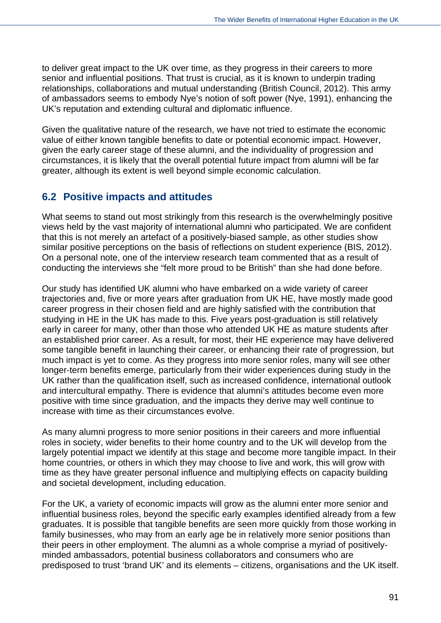to deliver great impact to the UK over time, as they progress in their careers to more senior and influential positions. That trust is crucial, as it is known to underpin trading relationships, collaborations and mutual understanding (British Council, 2012). This army of ambassadors seems to embody Nye's notion of soft power (Nye, 1991), enhancing the UK's reputation and extending cultural and diplomatic influence.

Given the qualitative nature of the research, we have not tried to estimate the economic value of either known tangible benefits to date or potential economic impact. However, given the early career stage of these alumni, and the individuality of progression and circumstances, it is likely that the overall potential future impact from alumni will be far greater, although its extent is well beyond simple economic calculation.

# **6.2 Positive impacts and attitudes**

What seems to stand out most strikingly from this research is the overwhelmingly positive views held by the vast majority of international alumni who participated. We are confident that this is not merely an artefact of a positively-biased sample, as other studies show similar positive perceptions on the basis of reflections on student experience (BIS, 2012). On a personal note, one of the interview research team commented that as a result of conducting the interviews she "felt more proud to be British" than she had done before.

Our study has identified UK alumni who have embarked on a wide variety of career trajectories and, five or more years after graduation from UK HE, have mostly made good career progress in their chosen field and are highly satisfied with the contribution that studying in HE in the UK has made to this. Five years post-graduation is still relatively early in career for many, other than those who attended UK HE as mature students after an established prior career. As a result, for most, their HE experience may have delivered some tangible benefit in launching their career, or enhancing their rate of progression, but much impact is yet to come. As they progress into more senior roles, many will see other longer-term benefits emerge, particularly from their wider experiences during study in the UK rather than the qualification itself, such as increased confidence, international outlook and intercultural empathy. There is evidence that alumni's attitudes become even more positive with time since graduation, and the impacts they derive may well continue to increase with time as their circumstances evolve.

As many alumni progress to more senior positions in their careers and more influential roles in society, wider benefits to their home country and to the UK will develop from the largely potential impact we identify at this stage and become more tangible impact. In their home countries, or others in which they may choose to live and work, this will grow with time as they have greater personal influence and multiplying effects on capacity building and societal development, including education.

For the UK, a variety of economic impacts will grow as the alumni enter more senior and influential business roles, beyond the specific early examples identified already from a few graduates. It is possible that tangible benefits are seen more quickly from those working in family businesses, who may from an early age be in relatively more senior positions than their peers in other employment. The alumni as a whole comprise a myriad of positivelyminded ambassadors, potential business collaborators and consumers who are predisposed to trust 'brand UK' and its elements – citizens, organisations and the UK itself.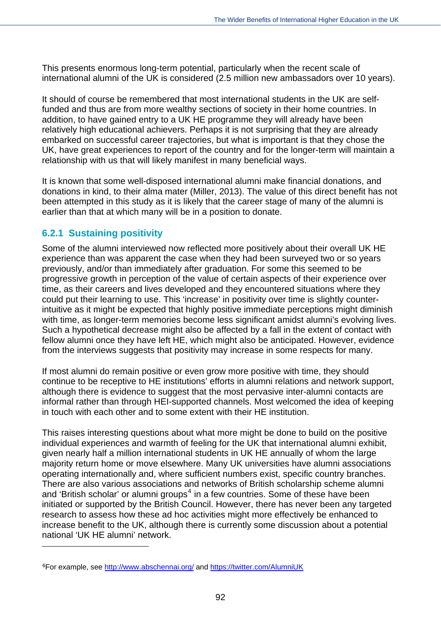This presents enormous long-term potential, particularly when the recent scale of international alumni of the UK is considered (2.5 million new ambassadors over 10 years).

It should of course be remembered that most international students in the UK are selffunded and thus are from more wealthy sections of society in their home countries. In addition, to have gained entry to a UK HE programme they will already have been relatively high educational achievers. Perhaps it is not surprising that they are already embarked on successful career trajectories, but what is important is that they chose the UK, have great experiences to report of the country and for the longer-term will maintain a relationship with us that will likely manifest in many beneficial ways.

It is known that some well-disposed international alumni make financial donations, and donations in kind, to their alma mater (Miller, 2013). The value of this direct benefit has not been attempted in this study as it is likely that the career stage of many of the alumni is earlier than that at which many will be in a position to donate.

## **6.2.1 Sustaining positivity**

 $\overline{a}$ 

Some of the alumni interviewed now reflected more positively about their overall UK HE experience than was apparent the case when they had been surveyed two or so years previously, and/or than immediately after graduation. For some this seemed to be progressive growth in perception of the value of certain aspects of their experience over time, as their careers and lives developed and they encountered situations where they could put their learning to use. This 'increase' in positivity over time is slightly counterintuitive as it might be expected that highly positive immediate perceptions might diminish with time, as longer-term memories become less significant amidst alumni's evolving lives. Such a hypothetical decrease might also be affected by a fall in the extent of contact with fellow alumni once they have left HE, which might also be anticipated. However, evidence from the interviews suggests that positivity may increase in some respects for many.

If most alumni do remain positive or even grow more positive with time, they should continue to be receptive to HE institutions' efforts in alumni relations and network support, although there is evidence to suggest that the most pervasive inter-alumni contacts are informal rather than through HEI-supported channels. Most welcomed the idea of keeping in touch with each other and to some extent with their HE institution.

This raises interesting questions about what more might be done to build on the positive individual experiences and warmth of feeling for the UK that international alumni exhibit, given nearly half a million international students in UK HE annually of whom the large majority return home or move elsewhere. Many UK universities have alumni associations operating internationally and, where sufficient numbers exist, specific country branches. There are also various associations and networks of British scholarship scheme alumni and 'British scholar' or alumni groups<sup>[4](#page-93-0)</sup> in a few countries. Some of these have been initiated or supported by the British Council. However, there has never been any targeted research to assess how these ad hoc activities might more effectively be enhanced to increase benefit to the UK, although there is currently some discussion about a potential national 'UK HE alumni' network.

<span id="page-105-0"></span><sup>4</sup>For example, see<http://www.abschennai.org/>and<https://twitter.com/AlumniUK>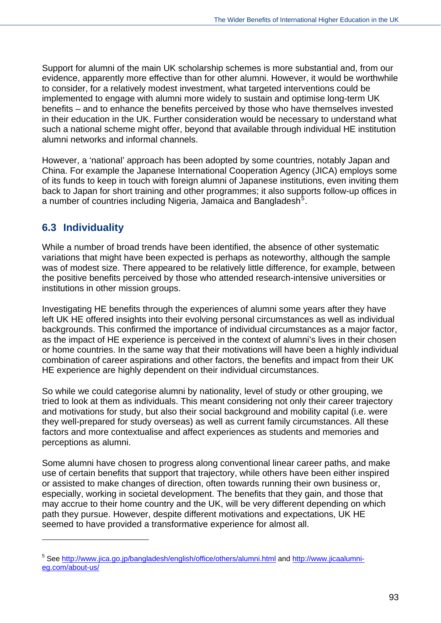Support for alumni of the main UK scholarship schemes is more substantial and, from our evidence, apparently more effective than for other alumni. However, it would be worthwhile to consider, for a relatively modest investment, what targeted interventions could be implemented to engage with alumni more widely to sustain and optimise long-term UK benefits – and to enhance the benefits perceived by those who have themselves invested in their education in the UK. Further consideration would be necessary to understand what such a national scheme might offer, beyond that available through individual HE institution alumni networks and informal channels.

However, a 'national' approach has been adopted by some countries, notably Japan and China. For example the Japanese International Cooperation Agency (JICA) employs some of its funds to keep in touch with foreign alumni of Japanese institutions, even inviting them back to Japan for short training and other programmes; it also supports follow-up offices in a number of countries including Nigeria, Jamaica and Bangladesh $^5$  $^5$ .

# **6.3 Individuality**

 $\overline{a}$ 

While a number of broad trends have been identified, the absence of other systematic variations that might have been expected is perhaps as noteworthy, although the sample was of modest size. There appeared to be relatively little difference, for example, between the positive benefits perceived by those who attended research-intensive universities or institutions in other mission groups.

Investigating HE benefits through the experiences of alumni some years after they have left UK HE offered insights into their evolving personal circumstances as well as individual backgrounds. This confirmed the importance of individual circumstances as a major factor, as the impact of HE experience is perceived in the context of alumni's lives in their chosen or home countries. In the same way that their motivations will have been a highly individual combination of career aspirations and other factors, the benefits and impact from their UK HE experience are highly dependent on their individual circumstances.

So while we could categorise alumni by nationality, level of study or other grouping, we tried to look at them as individuals. This meant considering not only their career trajectory and motivations for study, but also their social background and mobility capital (i.e. were they well-prepared for study overseas) as well as current family circumstances. All these factors and more contextualise and affect experiences as students and memories and perceptions as alumni.

Some alumni have chosen to progress along conventional linear career paths, and make use of certain benefits that support that trajectory, while others have been either inspired or assisted to make changes of direction, often towards running their own business or, especially, working in societal development. The benefits that they gain, and those that may accrue to their home country and the UK, will be very different depending on which path they pursue. However, despite different motivations and expectations, UK HE seemed to have provided a transformative experience for almost all.

<sup>&</sup>lt;sup>5</sup> See <u>http://www.jica.go.jp/bangladesh/english/office/others/alumni.html</u> and [http://www.jicaalumni](http://www.jicaalumni-eg.com/about-us/)[eg.com/about-us/](http://www.jicaalumni-eg.com/about-us/)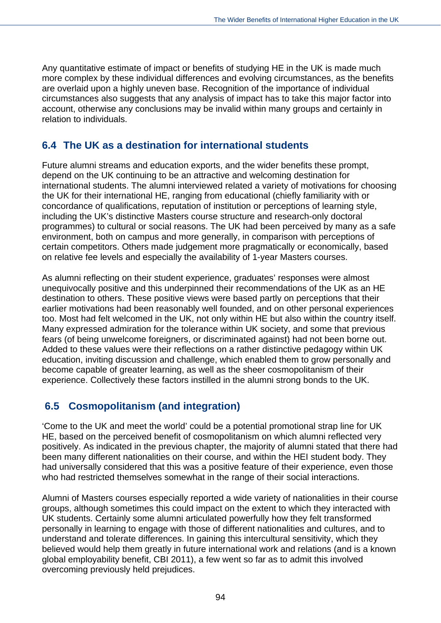Any quantitative estimate of impact or benefits of studying HE in the UK is made much more complex by these individual differences and evolving circumstances, as the benefits are overlaid upon a highly uneven base. Recognition of the importance of individual circumstances also suggests that any analysis of impact has to take this major factor into account, otherwise any conclusions may be invalid within many groups and certainly in relation to individuals.

## **6.4 The UK as a destination for international students**

Future alumni streams and education exports, and the wider benefits these prompt, depend on the UK continuing to be an attractive and welcoming destination for international students. The alumni interviewed related a variety of motivations for choosing the UK for their international HE, ranging from educational (chiefly familiarity with or concordance of qualifications, reputation of institution or perceptions of learning style, including the UK's distinctive Masters course structure and research-only doctoral programmes) to cultural or social reasons. The UK had been perceived by many as a safe environment, both on campus and more generally, in comparison with perceptions of certain competitors. Others made judgement more pragmatically or economically, based on relative fee levels and especially the availability of 1-year Masters courses.

As alumni reflecting on their student experience, graduates' responses were almost unequivocally positive and this underpinned their recommendations of the UK as an HE destination to others. These positive views were based partly on perceptions that their earlier motivations had been reasonably well founded, and on other personal experiences too. Most had felt welcomed in the UK, not only within HE but also within the country itself. Many expressed admiration for the tolerance within UK society, and some that previous fears (of being unwelcome foreigners, or discriminated against) had not been borne out. Added to these values were their reflections on a rather distinctive pedagogy within UK education, inviting discussion and challenge, which enabled them to grow personally and become capable of greater learning, as well as the sheer cosmopolitanism of their experience. Collectively these factors instilled in the alumni strong bonds to the UK.

# **6.5 Cosmopolitanism (and integration)**

'Come to the UK and meet the world' could be a potential promotional strap line for UK HE, based on the perceived benefit of cosmopolitanism on which alumni reflected very positively. As indicated in the previous chapter, the majority of alumni stated that there had been many different nationalities on their course, and within the HEI student body. They had universally considered that this was a positive feature of their experience, even those who had restricted themselves somewhat in the range of their social interactions.

Alumni of Masters courses especially reported a wide variety of nationalities in their course groups, although sometimes this could impact on the extent to which they interacted with UK students. Certainly some alumni articulated powerfully how they felt transformed personally in learning to engage with those of different nationalities and cultures, and to understand and tolerate differences. In gaining this intercultural sensitivity, which they believed would help them greatly in future international work and relations (and is a known global employability benefit, CBI 2011), a few went so far as to admit this involved overcoming previously held prejudices.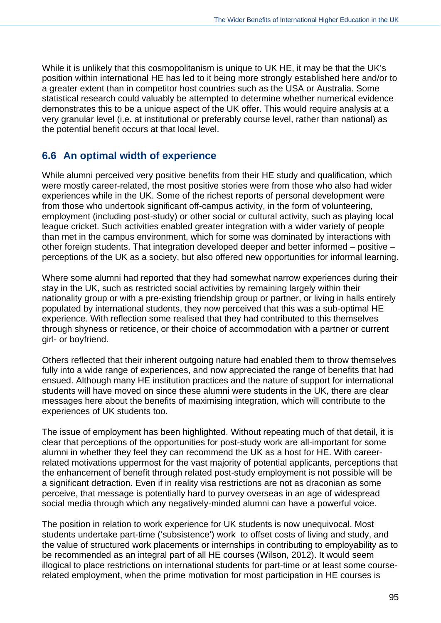While it is unlikely that this cosmopolitanism is unique to UK HE, it may be that the UK's position within international HE has led to it being more strongly established here and/or to a greater extent than in competitor host countries such as the USA or Australia. Some statistical research could valuably be attempted to determine whether numerical evidence demonstrates this to be a unique aspect of the UK offer. This would require analysis at a very granular level (i.e. at institutional or preferably course level, rather than national) as the potential benefit occurs at that local level.

### **6.6 An optimal width of experience**

While alumni perceived very positive benefits from their HE study and qualification, which were mostly career-related, the most positive stories were from those who also had wider experiences while in the UK. Some of the richest reports of personal development were from those who undertook significant off-campus activity, in the form of volunteering, employment (including post-study) or other social or cultural activity, such as playing local league cricket. Such activities enabled greater integration with a wider variety of people than met in the campus environment, which for some was dominated by interactions with other foreign students. That integration developed deeper and better informed – positive – perceptions of the UK as a society, but also offered new opportunities for informal learning.

Where some alumni had reported that they had somewhat narrow experiences during their stay in the UK, such as restricted social activities by remaining largely within their nationality group or with a pre-existing friendship group or partner, or living in halls entirely populated by international students, they now perceived that this was a sub-optimal HE experience. With reflection some realised that they had contributed to this themselves through shyness or reticence, or their choice of accommodation with a partner or current girl- or boyfriend.

Others reflected that their inherent outgoing nature had enabled them to throw themselves fully into a wide range of experiences, and now appreciated the range of benefits that had ensued. Although many HE institution practices and the nature of support for international students will have moved on since these alumni were students in the UK, there are clear messages here about the benefits of maximising integration, which will contribute to the experiences of UK students too.

The issue of employment has been highlighted. Without repeating much of that detail, it is clear that perceptions of the opportunities for post-study work are all-important for some alumni in whether they feel they can recommend the UK as a host for HE. With careerrelated motivations uppermost for the vast majority of potential applicants, perceptions that the enhancement of benefit through related post-study employment is not possible will be a significant detraction. Even if in reality visa restrictions are not as draconian as some perceive, that message is potentially hard to purvey overseas in an age of widespread social media through which any negatively-minded alumni can have a powerful voice.

The position in relation to work experience for UK students is now unequivocal. Most students undertake part-time ('subsistence') work to offset costs of living and study, and the value of structured work placements or internships in contributing to employability as to be recommended as an integral part of all HE courses (Wilson, 2012). It would seem illogical to place restrictions on international students for part-time or at least some courserelated employment, when the prime motivation for most participation in HE courses is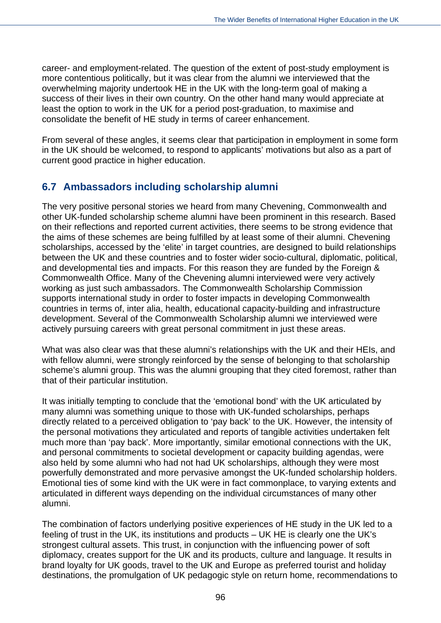career- and employment-related. The question of the extent of post-study employment is more contentious politically, but it was clear from the alumni we interviewed that the overwhelming majority undertook HE in the UK with the long-term goal of making a success of their lives in their own country. On the other hand many would appreciate at least the option to work in the UK for a period post-graduation, to maximise and consolidate the benefit of HE study in terms of career enhancement.

From several of these angles, it seems clear that participation in employment in some form in the UK should be welcomed, to respond to applicants' motivations but also as a part of current good practice in higher education.

### **6.7 Ambassadors including scholarship alumni**

The very positive personal stories we heard from many Chevening, Commonwealth and other UK-funded scholarship scheme alumni have been prominent in this research. Based on their reflections and reported current activities, there seems to be strong evidence that the aims of these schemes are being fulfilled by at least some of their alumni. Chevening scholarships, accessed by the 'elite' in target countries, are designed to build relationships between the UK and these countries and to foster wider socio-cultural, diplomatic, political, and developmental ties and impacts. For this reason they are funded by the Foreign & Commonwealth Office. Many of the Chevening alumni interviewed were very actively working as just such ambassadors. The Commonwealth Scholarship Commission supports international study in order to foster impacts in developing Commonwealth countries in terms of, inter alia, health, educational capacity-building and infrastructure development. Several of the Commonwealth Scholarship alumni we interviewed were actively pursuing careers with great personal commitment in just these areas.

What was also clear was that these alumni's relationships with the UK and their HEIs, and with fellow alumni, were strongly reinforced by the sense of belonging to that scholarship scheme's alumni group. This was the alumni grouping that they cited foremost, rather than that of their particular institution.

It was initially tempting to conclude that the 'emotional bond' with the UK articulated by many alumni was something unique to those with UK-funded scholarships, perhaps directly related to a perceived obligation to 'pay back' to the UK. However, the intensity of the personal motivations they articulated and reports of tangible activities undertaken felt much more than 'pay back'. More importantly, similar emotional connections with the UK, and personal commitments to societal development or capacity building agendas, were also held by some alumni who had not had UK scholarships, although they were most powerfully demonstrated and more pervasive amongst the UK-funded scholarship holders. Emotional ties of some kind with the UK were in fact commonplace, to varying extents and articulated in different ways depending on the individual circumstances of many other alumni.

The combination of factors underlying positive experiences of HE study in the UK led to a feeling of trust in the UK, its institutions and products – UK HE is clearly one the UK's strongest cultural assets. This trust, in conjunction with the influencing power of soft diplomacy, creates support for the UK and its products, culture and language. It results in brand loyalty for UK goods, travel to the UK and Europe as preferred tourist and holiday destinations, the promulgation of UK pedagogic style on return home, recommendations to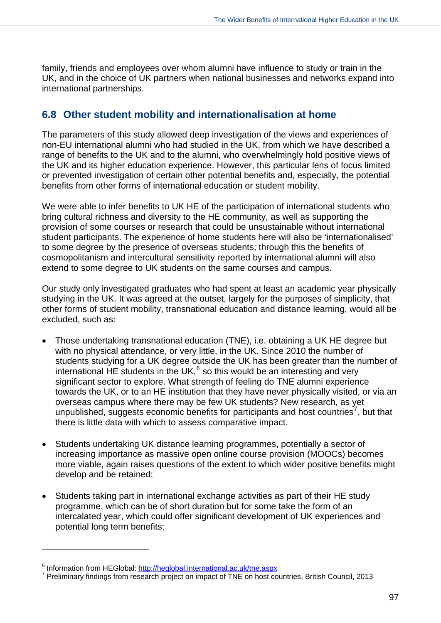family, friends and employees over whom alumni have influence to study or train in the UK, and in the choice of UK partners when national businesses and networks expand into international partnerships.

### **6.8 Other student mobility and internationalisation at home**

The parameters of this study allowed deep investigation of the views and experiences of non-EU international alumni who had studied in the UK, from which we have described a range of benefits to the UK and to the alumni, who overwhelmingly hold positive views of the UK and its higher education experience. However, this particular lens of focus limited or prevented investigation of certain other potential benefits and, especially, the potential benefits from other forms of international education or student mobility.

We were able to infer benefits to UK HE of the participation of international students who bring cultural richness and diversity to the HE community, as well as supporting the provision of some courses or research that could be unsustainable without international student participants. The experience of home students here will also be 'internationalised' to some degree by the presence of overseas students; through this the benefits of cosmopolitanism and intercultural sensitivity reported by international alumni will also extend to some degree to UK students on the same courses and campus.

Our study only investigated graduates who had spent at least an academic year physically studying in the UK. It was agreed at the outset, largely for the purposes of simplicity, that other forms of student mobility, transnational education and distance learning, would all be excluded, such as:

- Those undertaking transnational education (TNE), i.e. obtaining a UK HE degree but with no physical attendance, or very little, in the UK. Since 2010 the number of students studying for a UK degree outside the UK has been greater than the number of international HE students in the UK, $^6$  $^6$  so this would be an interesting and very significant sector to explore. What strength of feeling do TNE alumni experience towards the UK, or to an HE institution that they have never physically visited, or via an overseas campus where there may be few UK students? New research, as yet unpublished, suggests economic benefits for participants and host countries<sup>[7](#page-110-0)</sup>, but that there is little data with which to assess comparative impact.
- Students undertaking UK distance learning programmes, potentially a sector of increasing importance as massive open online course provision (MOOCs) becomes more viable, again raises questions of the extent to which wider positive benefits might develop and be retained;
- Students taking part in international exchange activities as part of their HE study programme, which can be of short duration but for some take the form of an intercalated year, which could offer significant development of UK experiences and potential long term benefits;

 $\overline{a}$ 

<sup>&</sup>lt;sup>6</sup> Information from HEGlobal:<http://heglobal.international.ac.uk/tne.aspx><br>7 Dreliminary findings from research preject on import of TNE on best on

<span id="page-110-0"></span><sup>&</sup>lt;sup>7</sup> Preliminary findings from research project on impact of TNE on host countries, British Council, 2013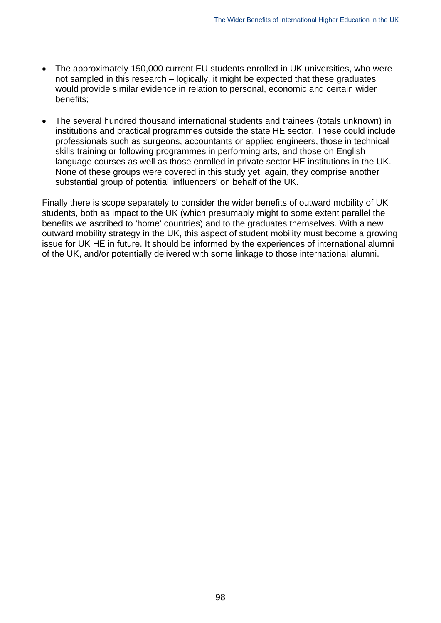- The approximately 150,000 current EU students enrolled in UK universities, who were not sampled in this research – logically, it might be expected that these graduates would provide similar evidence in relation to personal, economic and certain wider benefits;
- The several hundred thousand international students and trainees (totals unknown) in institutions and practical programmes outside the state HE sector. These could include professionals such as surgeons, accountants or applied engineers, those in technical skills training or following programmes in performing arts, and those on English language courses as well as those enrolled in private sector HE institutions in the UK. None of these groups were covered in this study yet, again, they comprise another substantial group of potential 'influencers' on behalf of the UK.

Finally there is scope separately to consider the wider benefits of outward mobility of UK students, both as impact to the UK (which presumably might to some extent parallel the benefits we ascribed to 'home' countries) and to the graduates themselves. With a new outward mobility strategy in the UK, this aspect of student mobility must become a growing issue for UK HE in future. It should be informed by the experiences of international alumni of the UK, and/or potentially delivered with some linkage to those international alumni.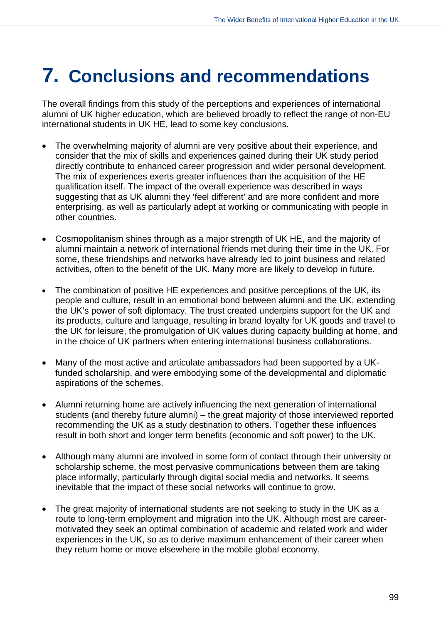## **7. Conclusions and recommendations**

The overall findings from this study of the perceptions and experiences of international alumni of UK higher education, which are believed broadly to reflect the range of non-EU international students in UK HE, lead to some key conclusions.

- The overwhelming majority of alumni are very positive about their experience, and consider that the mix of skills and experiences gained during their UK study period directly contribute to enhanced career progression and wider personal development. The mix of experiences exerts greater influences than the acquisition of the HE qualification itself. The impact of the overall experience was described in ways suggesting that as UK alumni they 'feel different' and are more confident and more enterprising, as well as particularly adept at working or communicating with people in other countries.
- Cosmopolitanism shines through as a major strength of UK HE, and the majority of alumni maintain a network of international friends met during their time in the UK. For some, these friendships and networks have already led to joint business and related activities, often to the benefit of the UK. Many more are likely to develop in future.
- The combination of positive HE experiences and positive perceptions of the UK, its people and culture, result in an emotional bond between alumni and the UK, extending the UK's power of soft diplomacy. The trust created underpins support for the UK and its products, culture and language, resulting in brand loyalty for UK goods and travel to the UK for leisure, the promulgation of UK values during capacity building at home, and in the choice of UK partners when entering international business collaborations.
- Many of the most active and articulate ambassadors had been supported by a UKfunded scholarship, and were embodying some of the developmental and diplomatic aspirations of the schemes.
- Alumni returning home are actively influencing the next generation of international students (and thereby future alumni) – the great majority of those interviewed reported recommending the UK as a study destination to others. Together these influences result in both short and longer term benefits (economic and soft power) to the UK.
- Although many alumni are involved in some form of contact through their university or scholarship scheme, the most pervasive communications between them are taking place informally, particularly through digital social media and networks. It seems inevitable that the impact of these social networks will continue to grow.
- The great majority of international students are not seeking to study in the UK as a route to long-term employment and migration into the UK. Although most are careermotivated they seek an optimal combination of academic and related work and wider experiences in the UK, so as to derive maximum enhancement of their career when they return home or move elsewhere in the mobile global economy.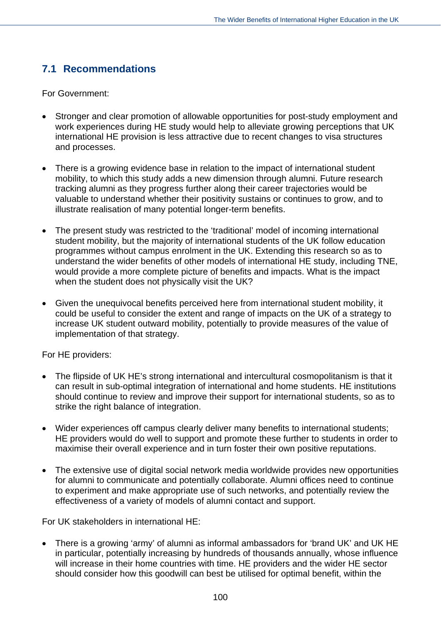### **7.1 Recommendations**

For Government:

- Stronger and clear promotion of allowable opportunities for post-study employment and work experiences during HE study would help to alleviate growing perceptions that UK international HE provision is less attractive due to recent changes to visa structures and processes.
- There is a growing evidence base in relation to the impact of international student mobility, to which this study adds a new dimension through alumni. Future research tracking alumni as they progress further along their career trajectories would be valuable to understand whether their positivity sustains or continues to grow, and to illustrate realisation of many potential longer-term benefits.
- The present study was restricted to the 'traditional' model of incoming international student mobility, but the majority of international students of the UK follow education programmes without campus enrolment in the UK. Extending this research so as to understand the wider benefits of other models of international HE study, including TNE, would provide a more complete picture of benefits and impacts. What is the impact when the student does not physically visit the UK?
- Given the unequivocal benefits perceived here from international student mobility, it could be useful to consider the extent and range of impacts on the UK of a strategy to increase UK student outward mobility, potentially to provide measures of the value of implementation of that strategy.

For HE providers:

- The flipside of UK HE's strong international and intercultural cosmopolitanism is that it can result in sub-optimal integration of international and home students. HE institutions should continue to review and improve their support for international students, so as to strike the right balance of integration.
- Wider experiences off campus clearly deliver many benefits to international students; HE providers would do well to support and promote these further to students in order to maximise their overall experience and in turn foster their own positive reputations.
- The extensive use of digital social network media worldwide provides new opportunities for alumni to communicate and potentially collaborate. Alumni offices need to continue to experiment and make appropriate use of such networks, and potentially review the effectiveness of a variety of models of alumni contact and support.

For UK stakeholders in international HE:

 There is a growing 'army' of alumni as informal ambassadors for 'brand UK' and UK HE in particular, potentially increasing by hundreds of thousands annually, whose influence will increase in their home countries with time. HE providers and the wider HE sector should consider how this goodwill can best be utilised for optimal benefit, within the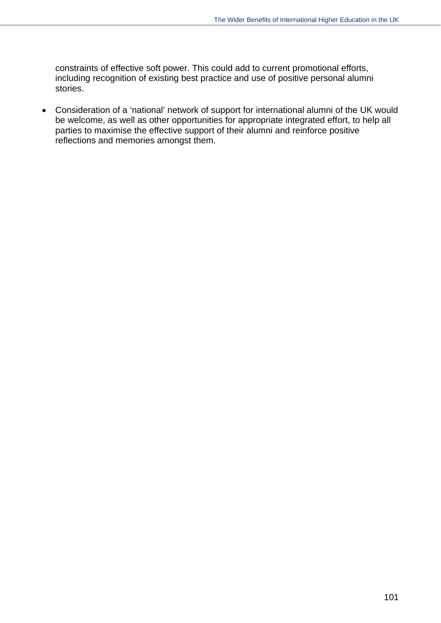constraints of effective soft power. This could add to current promotional efforts, including recognition of existing best practice and use of positive personal alumni stories.

 Consideration of a 'national' network of support for international alumni of the UK would be welcome, as well as other opportunities for appropriate integrated effort, to help all parties to maximise the effective support of their alumni and reinforce positive reflections and memories amongst them.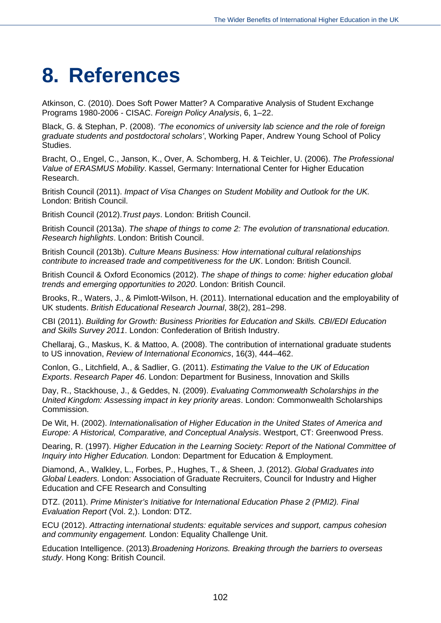# **8. References**

Atkinson, C. (2010). Does Soft Power Matter? A Comparative Analysis of Student Exchange Programs 1980-2006 - CISAC. *Foreign Policy Analysis*, 6, 1–22.

Black, G. & Stephan, P. (2008). *'The economics of university lab science and the role of foreign graduate students and postdoctoral scholars'*, Working Paper, Andrew Young School of Policy Studies.

Bracht, O., Engel, C., Janson, K., Over, A. Schomberg, H. & Teichler, U. (2006). *The Professional Value of ERASMUS Mobility*. Kassel, Germany: International Center for Higher Education Research.

British Council (2011). *Impact of Visa Changes on Student Mobility and Outlook for the UK.*  London: British Council.

British Council (2012).*Trust pays*. London: British Council.

British Council (2013a). *The shape of things to come 2: The evolution of transnational education. Research highlights*. London: British Council.

British Council (2013b). *Culture Means Business: How international cultural relationships contribute to increased trade and competitiveness for the UK*. London: British Council.

British Council & Oxford Economics (2012). *The shape of things to come: higher education global trends and emerging opportunities to 2020*. London: British Council.

Brooks, R., Waters, J., & Pimlott-Wilson, H. (2011). International education and the employability of UK students. *British Educational Research Journal*, 38(2), 281–298.

CBI (2011). *Building for Growth: Business Priorities for Education and Skills. CBI/EDI Education and Skills Survey 2011*. London: Confederation of British Industry.

Chellaraj, G., Maskus, K. & Mattoo, A. (2008). The contribution of international graduate students to US innovation, *Review of International Economics*, 16(3), 444–462.

Conlon, G., Litchfield, A., & Sadlier, G. (2011). *Estimating the Value to the UK of Education Exports*. *Research Paper 46*. London: Department for Business, Innovation and Skills

Day, R., Stackhouse, J., & Geddes, N. (2009). *Evaluating Commonwealth Scholarships in the United Kingdom: Assessing impact in key priority areas*. London: Commonwealth Scholarships Commission.

De Wit, H. (2002). *Internationalisation of Higher Education in the United States of America and Europe: A Historical, Comparative, and Conceptual Analysis*. Westport, CT: Greenwood Press.

Dearing, R. (1997). *Higher Education in the Learning Society: Report of the National Committee of Inquiry into Higher Education.* London: Department for Education & Employment.

Diamond, A., Walkley, L., Forbes, P., Hughes, T., & Sheen, J. (2012). *Global Graduates into Global Leaders.* London: Association of Graduate Recruiters, Council for Industry and Higher Education and CFE Research and Consulting

DTZ. (2011). *Prime Minister's Initiative for International Education Phase 2 (PMI2). Final Evaluation Report* (Vol. 2,). London: DTZ.

ECU (2012). *Attracting international students: equitable services and support, campus cohesion and community engagement.* London: Equality Challenge Unit.

Education Intelligence. (2013).*Broadening Horizons. Breaking through the barriers to overseas study*. Hong Kong: British Council.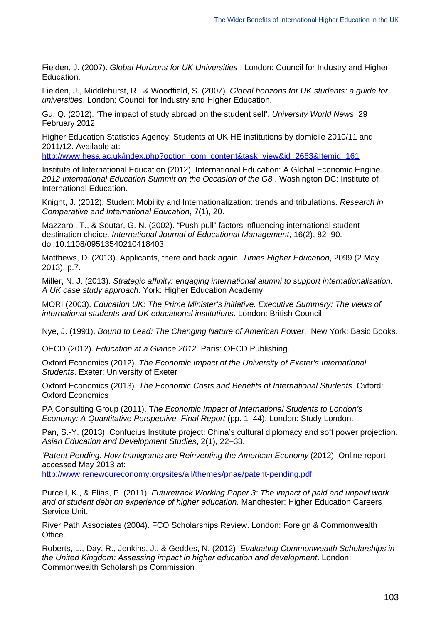Fielden, J. (2007). *Global Horizons for UK Universities* . London: Council for Industry and Higher Education.

Fielden, J., Middlehurst, R., & Woodfield, S. (2007). *Global horizons for UK students: a guide for universities*. London: Council for Industry and Higher Education.

Gu, Q. (2012). 'The impact of study abroad on the student self'. *University World News*, 29 February 2012.

Higher Education Statistics Agency: Students at UK HE institutions by domicile 2010/11 and 2011/12. Available at:

[http://www.hesa.ac.uk/index.php?option=com\\_content&task=view&id=2663&Itemid=161](http://www.hesa.ac.uk/index.php?option=com_content&task=view&id=2663&Itemid=161)

Institute of International Education (2012). International Education: A Global Economic Engine. *2012 International Education Summit on the Occasion of the G8* . Washington DC: Institute of International Education.

Knight, J. (2012). Student Mobility and Internationalization: trends and tribulations. *Research in Comparative and International Education*, 7(1), 20.

Mazzarol, T., & Soutar, G. N. (2002). "Push-pull" factors influencing international student destination choice. *International Journal of Educational Management*, 16(2), 82–90. doi:10.1108/09513540210418403

Matthews, D. (2013). Applicants, there and back again. *Times Higher Education*, 2099 (2 May 2013), p.7.

Miller, N. J. (2013). *Strategic affinity: engaging international alumni to support internationalisation. A UK case study approach*. York: Higher Education Academy.

MORI (2003). *Education UK: The Prime Minister's initiative. Executive Summary: The views of international students and UK educational institutions*. London: British Council.

Nye, J. (1991). *Bound to Lead: The Changing Nature of American Power*. New York: Basic Books.

OECD (2012). *Education at a Glance 2012*. Paris: OECD Publishing.

Oxford Economics (2012). *The Economic Impact of the University of Exeter's International Students*. Exeter: University of Exeter

Oxford Economics (2013). *The Economic Costs and Benefits of International Students*. Oxford: Oxford Economics

PA Consulting Group (2011). T*he Economic Impact of International Students to London's Economy: A Quantitative Perspective. Final Report* (pp. 1–44). London: Study London.

Pan, S.-Y. (2013). Confucius Institute project: China's cultural diplomacy and soft power projection. *Asian Education and Development Studies*, 2(1), 22–33.

*'Patent Pending: How Immigrants are Reinventing the American Economy'*(2012). Online report accessed May 2013 at:

<http://www.renewoureconomy.org/sites/all/themes/pnae/patent-pending.pdf>

Purcell, K., & Elias, P. (2011). *Futuretrack Working Paper 3: The impact of paid and unpaid work and of student debt on experience of higher education.* Manchester: Higher Education Careers Service Unit.

River Path Associates (2004). FCO Scholarships Review. London: Foreign & Commonwealth Office.

Roberts, L., Day, R., Jenkins, J., & Geddes, N. (2012). *Evaluating Commonwealth Scholarships in the United Kingdom: Assessing impact in higher education and development*. London: Commonwealth Scholarships Commission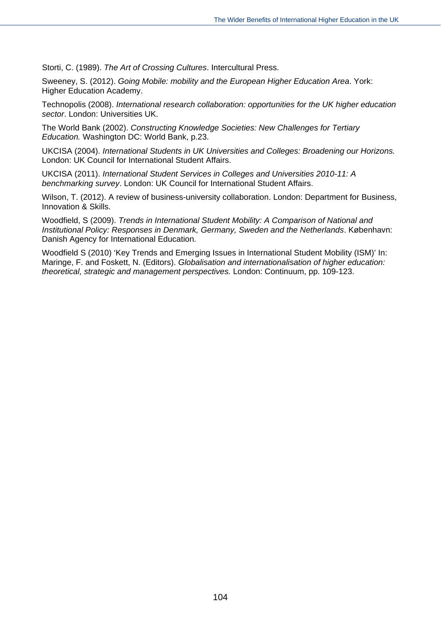Storti, C. (1989). *The Art of Crossing Cultures*. Intercultural Press.

Sweeney, S. (2012). *Going Mobile: mobility and the European Higher Education Area*. York: Higher Education Academy.

Technopolis (2008). *International research collaboration: opportunities for the UK higher education sector*. London: Universities UK.

The World Bank (2002). *Constructing Knowledge Societies: New Challenges for Tertiary Education.* Washington DC: World Bank, p.23.

UKCISA (2004). *International Students in UK Universities and Colleges: Broadening our Horizons.*  London: UK Council for International Student Affairs.

UKCISA (2011). *International Student Services in Colleges and Universities 2010-11: A benchmarking survey*. London: UK Council for International Student Affairs.

Wilson, T. (2012). A review of business-university collaboration. London: Department for Business, Innovation & Skills.

Woodfield, S (2009). *Trends in International Student Mobility: A Comparison of National and Institutional Policy: Responses in Denmark, Germany, Sweden and the Netherlands*. København: Danish Agency for International Education.

Woodfield S (2010) 'Key Trends and Emerging Issues in International Student Mobility (ISM)' In: Maringe, F. and Foskett, N. (Editors). *Globalisation and internationalisation of higher education: theoretical, strategic and management perspectives.* London: Continuum, pp. 109-123.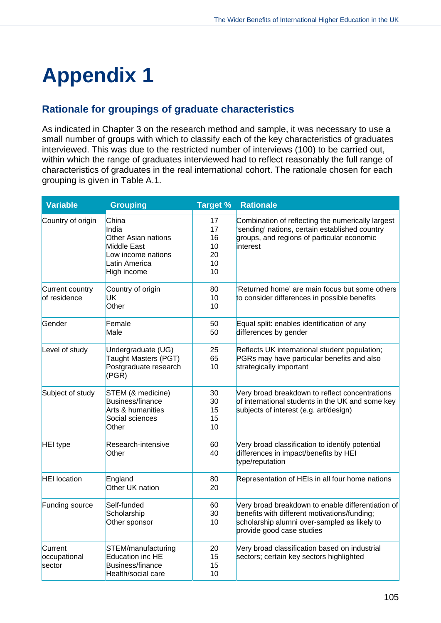# **Appendix 1**

### **Rationale for groupings of graduate characteristics**

As indicated in Chapter 3 on the research method and sample, it was necessary to use a small number of groups with which to classify each of the key characteristics of graduates interviewed. This was due to the restricted number of interviews (100) to be carried out, within which the range of graduates interviewed had to reflect reasonably the full range of characteristics of graduates in the real international cohort. The rationale chosen for each grouping is given in Table A.1.

| <b>Variable</b>                   | <b>Grouping</b>                                                                                                   | <b>Target %</b>                        | <b>Rationale</b>                                                                                                                                                               |
|-----------------------------------|-------------------------------------------------------------------------------------------------------------------|----------------------------------------|--------------------------------------------------------------------------------------------------------------------------------------------------------------------------------|
| Country of origin                 | China<br>India<br><b>Other Asian nations</b><br>Middle East<br>Low income nations<br>Latin America<br>High income | 17<br>17<br>16<br>10<br>20<br>10<br>10 | Combination of reflecting the numerically largest<br>'sending' nations, certain established country<br>groups, and regions of particular economic<br>interest                  |
| Current country<br>of residence   | Country of origin<br>UK<br>Other                                                                                  | 80<br>10<br>10                         | Returned home' are main focus but some others<br>to consider differences in possible benefits                                                                                  |
| Gender                            | Female<br>Male                                                                                                    | 50<br>50                               | Equal split: enables identification of any<br>differences by gender                                                                                                            |
| Level of study                    | Undergraduate (UG)<br>Taught Masters (PGT)<br>Postgraduate research<br>(PGR)                                      | 25<br>65<br>10                         | Reflects UK international student population;<br>PGRs may have particular benefits and also<br>strategically important                                                         |
| Subject of study                  | STEM (& medicine)<br>Business/finance<br>Arts & humanities<br>Social sciences<br>Other                            | 30<br>30<br>15<br>15<br>10             | Very broad breakdown to reflect concentrations<br>of international students in the UK and some key<br>subjects of interest (e.g. art/design)                                   |
| <b>HEI</b> type                   | Research-intensive<br>Other                                                                                       | 60<br>40                               | Very broad classification to identify potential<br>differences in impact/benefits by HEI<br>type/reputation                                                                    |
| <b>HEI</b> location               | England<br>Other UK nation                                                                                        | 80<br>20                               | Representation of HEIs in all four home nations                                                                                                                                |
| Funding source                    | Self-funded<br>Scholarship<br>Other sponsor                                                                       | 60<br>30<br>10                         | Very broad breakdown to enable differentiation of<br>benefits with different motivations/funding;<br>scholarship alumni over-sampled as likely to<br>provide good case studies |
| Current<br>occupational<br>sector | STEM/manufacturing<br>Education inc HE<br><b>Business/finance</b><br>Health/social care                           | 20<br>15<br>15<br>10                   | Very broad classification based on industrial<br>sectors; certain key sectors highlighted                                                                                      |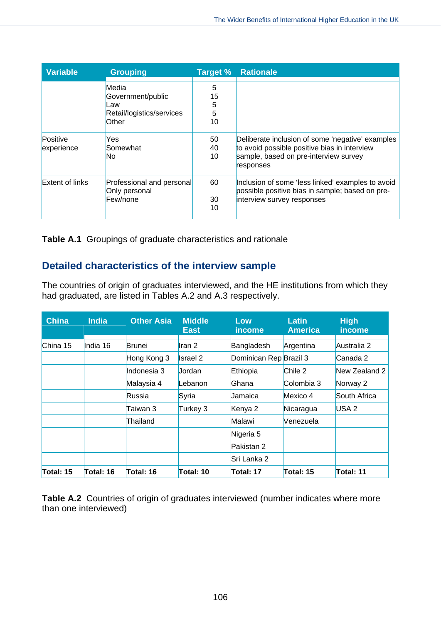| <b>Variable</b>        | <b>Grouping</b>                                                         | Target %                | <b>Rationale</b>                                                                                                                                       |
|------------------------|-------------------------------------------------------------------------|-------------------------|--------------------------------------------------------------------------------------------------------------------------------------------------------|
|                        | Media<br>Government/public<br>Law<br>Retail/logistics/services<br>Other | 5<br>15<br>5<br>5<br>10 |                                                                                                                                                        |
| Positive<br>experience | Yes<br>Somewhat<br>No                                                   | 50<br>40<br>10          | Deliberate inclusion of some 'negative' examples<br>to avoid possible positive bias in interview<br>sample, based on pre-interview survey<br>responses |
| Extent of links        | Professional and personal<br>Only personal<br>Few/none                  | 60<br>30<br>10          | Inclusion of some 'less linked' examples to avoid<br>possible positive bias in sample; based on pre-<br>interview survey responses                     |

**Table A.1** Groupings of graduate characteristics and rationale

### **Detailed characteristics of the interview sample**

The countries of origin of graduates interviewed, and the HE institutions from which they had graduated, are listed in Tables A.2 and A.3 respectively.

| <b>China</b> | <b>India</b> | <b>Other Asia</b> | <b>Middle</b><br><b>East</b> | Low<br>income          | Latin<br><b>America</b> | <b>High</b><br>income |
|--------------|--------------|-------------------|------------------------------|------------------------|-------------------------|-----------------------|
| China 15     | India 16     | Brunei            | Iran <sub>2</sub>            | Bangladesh             | Argentina               | Australia 2           |
|              |              | Hong Kong 3       | <b>Israel 2</b>              | Dominican Rep Brazil 3 |                         | Canada 2              |
|              |              | Indonesia 3       | Jordan                       | Ethiopia               | Chile 2                 | New Zealand 2         |
|              |              | Malaysia 4        | Lebanon                      | Ghana                  | Colombia 3              | Norway 2              |
|              |              | Russia            | Syria                        | Jamaica                | Mexico 4                | South Africa          |
|              |              | Taiwan 3          | Turkey 3                     | Kenya 2                | Nicaragua               | USA <sub>2</sub>      |
|              |              | Thailand          |                              | Malawi                 | Venezuela               |                       |
|              |              |                   |                              | Nigeria 5              |                         |                       |
|              |              |                   |                              | Pakistan 2             |                         |                       |
|              |              |                   |                              | Sri Lanka 2            |                         |                       |
| Total: 15    | Total: 16    | Total: 16         | Total: 10                    | Total: 17              | Total: 15               | Total: 11             |

**Table A.2** Countries of origin of graduates interviewed (number indicates where more than one interviewed)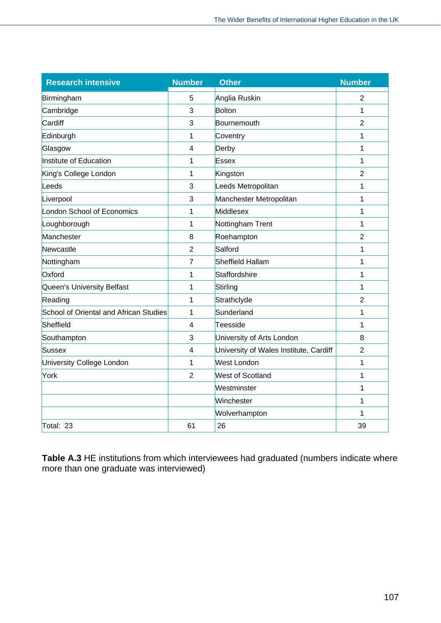| <b>Research intensive</b>              | <b>Number</b>  | <b>Other</b>                           | <b>Number</b>  |
|----------------------------------------|----------------|----------------------------------------|----------------|
| Birmingham                             | 5              | Anglia Ruskin                          | $\overline{2}$ |
| Cambridge                              | 3              | Bolton                                 | 1              |
| Cardiff                                | 3              | Bournemouth                            | $\overline{2}$ |
| Edinburgh                              | 1              | Coventry                               | 1              |
| Glasgow                                | $\overline{4}$ | Derby                                  | 1              |
| Institute of Education                 | 1              | <b>Essex</b>                           | 1              |
| King's College London                  | 1              | Kingston                               | $\overline{2}$ |
| Leeds                                  | 3              | Leeds Metropolitan                     | 1              |
| Liverpool                              | 3              | Manchester Metropolitan                | 1              |
| London School of Economics             | 1              | Middlesex                              | 1              |
| Loughborough                           | 1              | Nottingham Trent                       | 1              |
| Manchester                             | 8              | Roehampton                             | $\overline{2}$ |
| Newcastle                              | $\overline{2}$ | Salford                                | 1              |
| Nottingham                             | $\overline{7}$ | Sheffield Hallam                       | 1              |
| Oxford                                 | 1              | Staffordshire                          | 1              |
| Queen's University Belfast             | 1              | Stirling                               | 1              |
| Reading                                | 1              | Strathclyde                            | $\overline{2}$ |
| School of Oriental and African Studies | 1              | Sunderland                             | 1              |
| Sheffield                              | $\overline{4}$ | Teesside                               | 1              |
| Southampton                            | 3              | University of Arts London              | 8              |
| Sussex                                 | $\overline{4}$ | University of Wales Institute, Cardiff | $\overline{2}$ |
| University College London              | 1              | <b>West London</b>                     | 1              |
| York                                   | $\overline{2}$ | <b>West of Scotland</b>                | 1              |
|                                        |                | Westminster                            | 1              |
|                                        |                | Winchester                             | 1              |
|                                        |                | Wolverhampton                          | 1              |
| Total: 23                              | 61             | 26                                     | 39             |

**Table A.3** HE institutions from which interviewees had graduated (numbers indicate where more than one graduate was interviewed)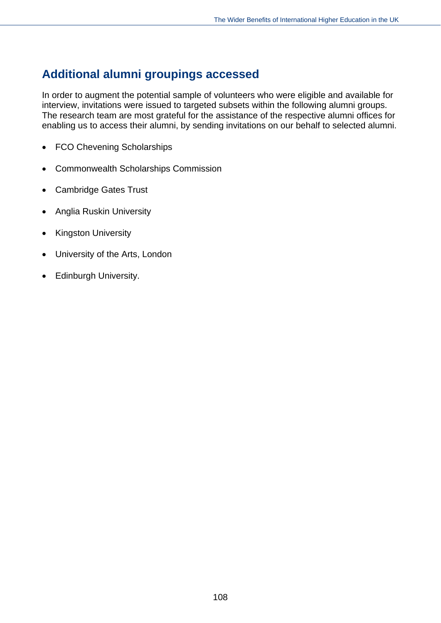### **Additional alumni groupings accessed**

In order to augment the potential sample of volunteers who were eligible and available for interview, invitations were issued to targeted subsets within the following alumni groups. The research team are most grateful for the assistance of the respective alumni offices for enabling us to access their alumni, by sending invitations on our behalf to selected alumni.

- FCO Chevening Scholarships
- Commonwealth Scholarships Commission
- Cambridge Gates Trust
- Anglia Ruskin University
- Kingston University
- University of the Arts, London
- Edinburgh University.